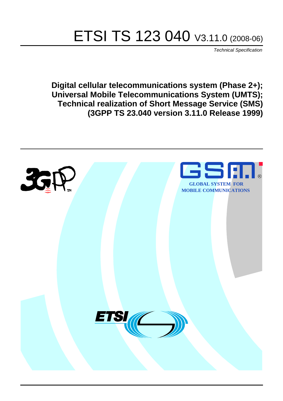# ETSI TS 123 040 V3.11.0 (2008-06)

*Technical Specification*

**Digital cellular telecommunications system (Phase 2+); Universal Mobile Telecommunications System (UMTS); Technical realization of Short Message Service (SMS) (3GPP TS 23.040 version 3.11.0 Release 1999)**

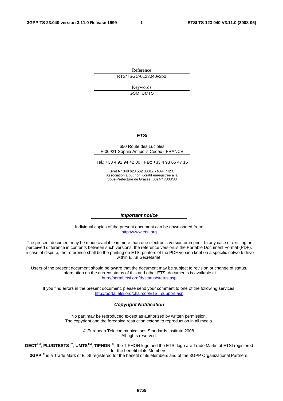Reference RTS/TSGC-0123040v3b0

> Keywords GSM, UMTS

#### *ETSI*

#### 650 Route des Lucioles F-06921 Sophia Antipolis Cedex - FRANCE

Tel.: +33 4 92 94 42 00 Fax: +33 4 93 65 47 16

Siret N° 348 623 562 00017 - NAF 742 C Association à but non lucratif enregistrée à la Sous-Préfecture de Grasse (06) N° 7803/88

#### *Important notice*

Individual copies of the present document can be downloaded from: [http://www.etsi.org](http://www.etsi.org/)

The present document may be made available in more than one electronic version or in print. In any case of existing or perceived difference in contents between such versions, the reference version is the Portable Document Format (PDF). In case of dispute, the reference shall be the printing on ETSI printers of the PDF version kept on a specific network drive within ETSI Secretariat.

Users of the present document should be aware that the document may be subject to revision or change of status. Information on the current status of this and other ETSI documents is available at <http://portal.etsi.org/tb/status/status.asp>

If you find errors in the present document, please send your comment to one of the following services: [http://portal.etsi.org/chaircor/ETSI\\_support.asp](http://portal.etsi.org/chaircor/ETSI_support.asp)

#### *Copyright Notification*

No part may be reproduced except as authorized by written permission. The copyright and the foregoing restriction extend to reproduction in all media.

> © European Telecommunications Standards Institute 2008. All rights reserved.

**DECT**TM, **PLUGTESTS**TM, **UMTS**TM, **TIPHON**TM, the TIPHON logo and the ETSI logo are Trade Marks of ETSI registered for the benefit of its Members.

**3GPP**TM is a Trade Mark of ETSI registered for the benefit of its Members and of the 3GPP Organizational Partners.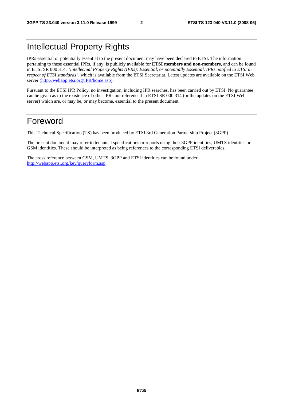# Intellectual Property Rights

IPRs essential or potentially essential to the present document may have been declared to ETSI. The information pertaining to these essential IPRs, if any, is publicly available for **ETSI members and non-members**, and can be found in ETSI SR 000 314: *"Intellectual Property Rights (IPRs); Essential, or potentially Essential, IPRs notified to ETSI in respect of ETSI standards"*, which is available from the ETSI Secretariat. Latest updates are available on the ETSI Web server (<http://webapp.etsi.org/IPR/home.asp>).

Pursuant to the ETSI IPR Policy, no investigation, including IPR searches, has been carried out by ETSI. No guarantee can be given as to the existence of other IPRs not referenced in ETSI SR 000 314 (or the updates on the ETSI Web server) which are, or may be, or may become, essential to the present document.

# Foreword

This Technical Specification (TS) has been produced by ETSI 3rd Generation Partnership Project (3GPP).

The present document may refer to technical specifications or reports using their 3GPP identities, UMTS identities or GSM identities. These should be interpreted as being references to the corresponding ETSI deliverables.

The cross reference between GSM, UMTS, 3GPP and ETSI identities can be found under <http://webapp.etsi.org/key/queryform.asp>.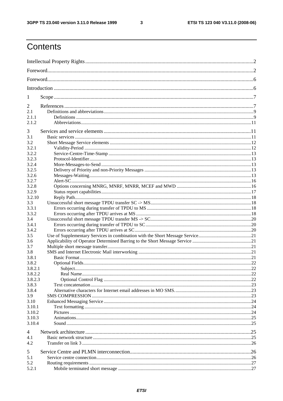$\mathbf{3}$ 

# Contents

| 1       |  |  |  |
|---------|--|--|--|
| 2       |  |  |  |
| 2.1     |  |  |  |
| 2.1.1   |  |  |  |
| 2.1.2   |  |  |  |
| 3       |  |  |  |
| 3.1     |  |  |  |
| 3.2     |  |  |  |
| 3.2.1   |  |  |  |
| 3.2.2   |  |  |  |
| 3.2.3   |  |  |  |
| 3.2.4   |  |  |  |
| 3.2.5   |  |  |  |
| 3.2.6   |  |  |  |
| 3.2.7   |  |  |  |
| 3.2.8   |  |  |  |
| 3.2.9   |  |  |  |
| 3.2.10  |  |  |  |
| 3.3     |  |  |  |
| 3.3.1   |  |  |  |
| 3.3.2   |  |  |  |
| 3.4     |  |  |  |
| 3.4.1   |  |  |  |
| 3.4.2   |  |  |  |
| 3.5     |  |  |  |
| 3.6     |  |  |  |
| 3.7     |  |  |  |
| 3.8     |  |  |  |
| 3.8.1   |  |  |  |
| 3.8.2   |  |  |  |
| 3.8.2.1 |  |  |  |
| 3.8.2.2 |  |  |  |
| 3.8.2.3 |  |  |  |
| 3.8.3   |  |  |  |
| 3.8.4   |  |  |  |
| 3.9     |  |  |  |
| 3.10    |  |  |  |
| 3.10.1  |  |  |  |
| 3.10.2  |  |  |  |
| 3.10.3  |  |  |  |
| 3.10.4  |  |  |  |
|         |  |  |  |
| 4       |  |  |  |
| 4.1     |  |  |  |
| 4.2     |  |  |  |
|         |  |  |  |
| 5       |  |  |  |
| 5.1     |  |  |  |
| 5.2     |  |  |  |
| 5.2.1   |  |  |  |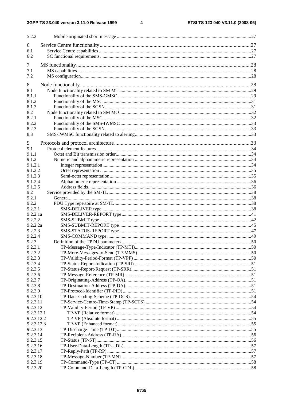$\overline{\mathbf{4}}$ 

| 5.2.2                |  |
|----------------------|--|
| 6                    |  |
| 6.1                  |  |
| 6.2                  |  |
|                      |  |
| 7                    |  |
| 7.1                  |  |
| 7.2                  |  |
| 8                    |  |
| 8.1                  |  |
| 8.1.1                |  |
| 8.1.2                |  |
| 8.1.3                |  |
| 8.2                  |  |
| 8.2.1                |  |
| 8.2.2                |  |
| 8.2.3                |  |
| 8.3                  |  |
| 9                    |  |
| 9.1                  |  |
| 9.1.1                |  |
| 9.1.2                |  |
| 9.1.2.1              |  |
| 9.1.2.2              |  |
| 9.1.2.3              |  |
| 9.1.2.4              |  |
| 9.1.2.5              |  |
| 9.2<br>9.2.1         |  |
| 9.2.2                |  |
| 9.2.2.1              |  |
| 9.2.2.1a             |  |
| 9.2.2.2              |  |
| 9.2.2.2a             |  |
| 9.2.2.3              |  |
| 9.2.2.4              |  |
| 9.2.3                |  |
| 9.2.3.1              |  |
| 9.2.3.2              |  |
| 9.2.3.3              |  |
| 9.2.3.4              |  |
| 9.2.3.5              |  |
| 9.2.3.6<br>9.2.3.7   |  |
| 9.2.3.8              |  |
| 9.2.3.9              |  |
| 9.2.3.10             |  |
| 9.2.3.11             |  |
| 9.2.3.12             |  |
| 9.2.3.12.1           |  |
| 9.2.3.12.2           |  |
| 9.2.3.12.3           |  |
| 9.2.3.13             |  |
| 9.2.3.14             |  |
| 9.2.3.15             |  |
| 9.2.3.16             |  |
| 9.2.3.17             |  |
| 9.2.3.18             |  |
| 9.2.3.19<br>9.2.3.20 |  |
|                      |  |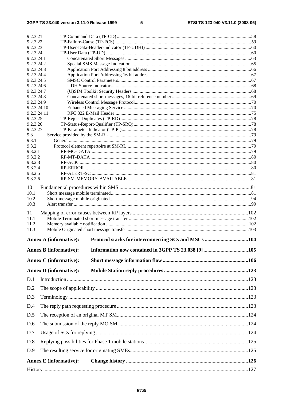| 9.2.3.21                 |                               |  |  |  |
|--------------------------|-------------------------------|--|--|--|
| 9.2.3.22<br>9.2.3.23     |                               |  |  |  |
| 9.2.3.24                 |                               |  |  |  |
| 9.2.3.24.1               |                               |  |  |  |
| 9.2.3.24.2               |                               |  |  |  |
| 9.2.3.24.3               |                               |  |  |  |
|                          | 9.2.3.24.4<br>9.2.3.24.5      |  |  |  |
| 9.2.3.24.6               |                               |  |  |  |
| 9.2.3.24.7               |                               |  |  |  |
| 9.2.3.24.8<br>9.2.3.24.9 |                               |  |  |  |
| 9.2.3.24.10              |                               |  |  |  |
| 9.2.3.24.11              |                               |  |  |  |
| 9.2.3.25                 |                               |  |  |  |
| 9.2.3.26<br>9.2.3.27     |                               |  |  |  |
| 9.3                      |                               |  |  |  |
| 9.3.1                    |                               |  |  |  |
| 9.3.2                    |                               |  |  |  |
| 9.3.2.1<br>9.3.2.2       |                               |  |  |  |
| 9.3.2.3                  |                               |  |  |  |
| 9.3.2.4                  |                               |  |  |  |
| 9.3.2.5                  |                               |  |  |  |
| 9.3.2.6                  |                               |  |  |  |
| 10                       |                               |  |  |  |
| 10.1<br>10.2             |                               |  |  |  |
| 10.3                     |                               |  |  |  |
| 11                       |                               |  |  |  |
| 11.1                     |                               |  |  |  |
| 11.2                     |                               |  |  |  |
| 11.3                     |                               |  |  |  |
|                          | <b>Annex A (informative):</b> |  |  |  |
|                          | <b>Annex B</b> (informative): |  |  |  |
|                          | <b>Annex C</b> (informative): |  |  |  |
|                          | <b>Annex D</b> (informative): |  |  |  |
| D.1                      |                               |  |  |  |
| D.2                      |                               |  |  |  |
| D.3                      |                               |  |  |  |
| D.4                      |                               |  |  |  |
| D.5                      |                               |  |  |  |
| D.6                      |                               |  |  |  |
| D.7                      |                               |  |  |  |
| D.8                      |                               |  |  |  |
| D.9                      |                               |  |  |  |
|                          |                               |  |  |  |
|                          | <b>Annex E</b> (informative): |  |  |  |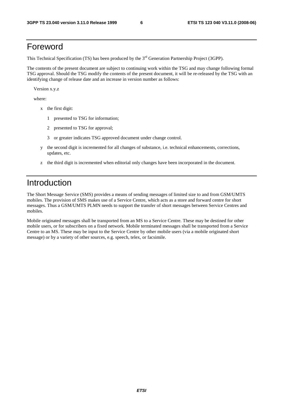# Foreword

This Technical Specification (TS) has been produced by the 3<sup>rd</sup> Generation Partnership Project (3GPP).

The contents of the present document are subject to continuing work within the TSG and may change following formal TSG approval. Should the TSG modify the contents of the present document, it will be re-released by the TSG with an identifying change of release date and an increase in version number as follows:

Version x.y.z

where:

- x the first digit:
	- 1 presented to TSG for information;
	- 2 presented to TSG for approval;
	- 3 or greater indicates TSG approved document under change control.
- y the second digit is incremented for all changes of substance, i.e. technical enhancements, corrections, updates, etc.
- z the third digit is incremented when editorial only changes have been incorporated in the document.

# Introduction

The Short Message Service (SMS) provides a means of sending messages of limited size to and from GSM/UMTS mobiles. The provision of SMS makes use of a Service Centre, which acts as a store and forward centre for short messages. Thus a GSM/UMTS PLMN needs to support the transfer of short messages between Service Centres and mobiles.

Mobile originated messages shall be transported from an MS to a Service Centre. These may be destined for other mobile users, or for subscribers on a fixed network. Mobile terminated messages shall be transported from a Service Centre to an MS. These may be input to the Service Centre by other mobile users (via a mobile originated short message) or by a variety of other sources, e.g. speech, telex, or facsimile.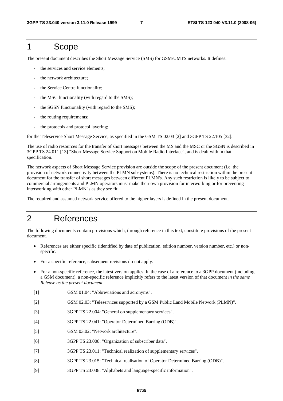# 1 Scope

The present document describes the Short Message Service (SMS) for GSM/UMTS networks. It defines:

- the services and service elements;
- the network architecture:
- the Service Centre functionality;
- the MSC functionality (with regard to the SMS);
- the SGSN functionality (with regard to the SMS);
- the routing requirements;
- the protocols and protocol layering;

for the Teleservice Short Message Service, as specified in the GSM TS 02.03 [2] and 3GPP TS 22.105 [32].

The use of radio resources for the transfer of short messages between the MS and the MSC or the SGSN is described in 3GPP TS 24.011 [13] "Short Message Service Support on Mobile Radio Interface", and is dealt with in that specification.

The network aspects of Short Message Service provision are outside the scope of the present document (i.e. the provision of network connectivity between the PLMN subsystems). There is no technical restriction within the present document for the transfer of short messages between different PLMN's. Any such restriction is likely to be subject to commercial arrangements and PLMN operators must make their own provision for interworking or for preventing interworking with other PLMN"s as they see fit.

The required and assumed network service offered to the higher layers is defined in the present document.

# 2 References

The following documents contain provisions which, through reference in this text, constitute provisions of the present document.

- References are either specific (identified by date of publication, edition number, version number, etc.) or nonspecific.
- For a specific reference, subsequent revisions do not apply.
- For a non-specific reference, the latest version applies. In the case of a reference to a 3GPP document (including a GSM document), a non-specific reference implicitly refers to the latest version of that document *in the same Release as the present document*.
- [1] GSM 01.04: "Abbreviations and acronyms".
- [2] GSM 02.03: "Teleservices supported by a GSM Public Land Mobile Network (PLMN)".
- [3] 3GPP TS 22.004: "General on supplementary services".
- [4] 3GPP TS 22.041: "Operator Determined Barring (ODB)".
- [5] GSM 03.02: "Network architecture".
- [6] 3GPP TS 23.008: "Organization of subscriber data".
- [7] 3GPP TS 23.011: "Technical realization of supplementary services".
- [8] 3GPP TS 23.015: "Technical realisation of Operator Determined Barring (ODB)".
- [9] 3GPP TS 23.038: "Alphabets and language-specific information".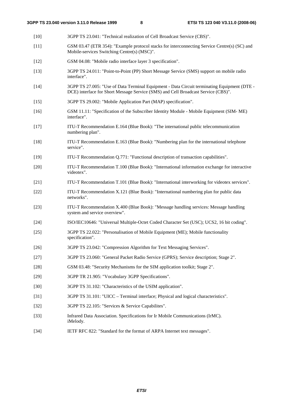| $[10]$ | 3GPP TS 23.041: "Technical realization of Cell Broadcast Service (CBS)".                                                                                                         |
|--------|----------------------------------------------------------------------------------------------------------------------------------------------------------------------------------|
| $[11]$ | GSM 03.47 (ETR 354): "Example protocol stacks for interconnecting Service Centre(s) (SC) and<br>Mobile-services Switching Centre(s) (MSC)".                                      |
| $[12]$ | GSM 04.08: "Mobile radio interface layer 3 specification".                                                                                                                       |
| $[13]$ | 3GPP TS 24.011: "Point-to-Point (PP) Short Message Service (SMS) support on mobile radio<br>interface".                                                                          |
| $[14]$ | 3GPP TS 27.005: "Use of Data Terminal Equipment - Data Circuit terminating Equipment (DTE -<br>DCE) interface for Short Message Service (SMS) and Cell Broadcast Service (CBS)". |
| $[15]$ | 3GPP TS 29.002: "Mobile Application Part (MAP) specification".                                                                                                                   |
| $[16]$ | GSM 11.11: "Specification of the Subscriber Identity Module - Mobile Equipment (SIM-ME)<br>interface".                                                                           |
| $[17]$ | ITU-T Recommendation E.164 (Blue Book): "The international public telecommunication<br>numbering plan".                                                                          |
| $[18]$ | ITU-T Recommendation E.163 (Blue Book): "Numbering plan for the international telephone<br>service".                                                                             |
| $[19]$ | ITU-T Recommendation Q.771: "Functional description of transaction capabilities".                                                                                                |
| $[20]$ | ITU-T Recommendation T.100 (Blue Book): "International information exchange for interactive<br>videotex".                                                                        |
| $[21]$ | ITU-T Recommendation T.101 (Blue Book): "International interworking for videotex services".                                                                                      |
| $[22]$ | ITU-T Recommendation X.121 (Blue Book): "International numbering plan for public data<br>networks".                                                                              |
| $[23]$ | ITU-T Recommendation X.400 (Blue Book): "Message handling services: Message handling<br>system and service overview".                                                            |
| $[24]$ | ISO/IEC10646: "Universal Multiple-Octet Coded Character Set (USC); UCS2, 16 bit coding".                                                                                         |
| $[25]$ | 3GPP TS 22.022: "Personalisation of Mobile Equipment (ME); Mobile functionality<br>specification".                                                                               |
| $[26]$ | 3GPP TS 23.042: "Compression Algorithm for Text Messaging Services".                                                                                                             |
| $[27]$ | 3GPP TS 23.060: "General Packet Radio Service (GPRS); Service description; Stage 2".                                                                                             |
| $[28]$ | GSM 03.48: "Security Mechanisms for the SIM application toolkit; Stage 2".                                                                                                       |
| $[29]$ | 3GPP TR 21.905: "Vocabulary 3GPP Specifications".                                                                                                                                |
| $[30]$ | 3GPP TS 31.102: "Characteristics of the USIM application".                                                                                                                       |
| $[31]$ | 3GPP TS 31.101: "UICC - Terminal interface; Physical and logical characteristics".                                                                                               |
| $[32]$ | 3GPP TS 22.105: "Services & Service Capabilites".                                                                                                                                |
| $[33]$ | Infrared Data Association. Specifications for Ir Mobile Communications (IrMC).<br>iMelody.                                                                                       |
|        |                                                                                                                                                                                  |

[34] IETF RFC 822: "Standard for the format of ARPA Internet text messages".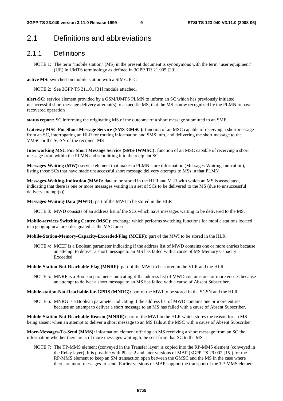# 2.1 Definitions and abbreviations

### 2.1.1 Definitions

NOTE 1: The term "mobile station" (MS) in the present document is synonymous with the term "user equipment" (UE) in UMTS terminology as defined in 3GPP TR 21.905 [29].

**active MS:** switched-on mobile station with a SIM/UICC

NOTE 2: See 3GPP TS 31.101 [31] module attached.

**alert-SC:** service element provided by a GSM/UMTS PLMN to inform an SC which has previously initiated unsuccessful short message delivery attempt(s) to a specific MS, that the MS is now recognized by the PLMN to have recovered operation

**status report:** SC informing the originating MS of the outcome of a short message submitted to an SME

**Gateway MSC For Short Message Service (SMS-GMSC):** function of an MSC capable of receiving a short message from an SC, interrogating an HLR for routing information and SMS info, and delivering the short message to the VMSC or the SGSN of the recipient MS

**Interworking MSC For Short Message Service (SMS-IWMSC):** function of an MSC capable of receiving a short message from within the PLMN and submitting it to the recipient SC

**Messages-Waiting (MW):** service element that makes a PLMN store information (Messages-Waiting-Indication), listing those SCs that have made unsuccessful short message delivery attempts to MSs in that PLMN

**Messages-Waiting-Indication (MWI):** data to be stored in the HLR and VLR with which an MS is associated, indicating that there is one or more messages waiting in a set of SCs to be delivered to the MS (due to unsuccessful delivery attempt(s))

**Messages-Waiting-Data (MWD):** part of the MWI to be stored in the HLR

NOTE 3: MWD consists of an address list of the SCs which have messages waiting to be delivered to the MS.

**Mobile-services Switching Centre (MSC):** exchange which performs switching functions for mobile stations located in a geographical area designated as the MSC area

**Mobile-Station-Memory-Capacity-Exceeded-Flag (MCEF):** part of the MWI to be stored in the HLR

NOTE 4: MCEF is a Boolean parameter indicating if the address list of MWD contains one or more entries because an attempt to deliver a short message to an MS has failed with a cause of MS Memory Capacity Exceeded.

**Mobile-Station-Not-Reachable-Flag (MNRF):** part of the MWI to be stored in the VLR and the HLR

NOTE 5: MNRF is a Boolean parameter indicating if the address list of MWD contains one or more entries because an attempt to deliver a short message to an MS has failed with a cause of Absent Subscriber.

**Mobile-station-Not-Reachable-for-GPRS (MNRG):** part of the MWI to be stored in the SGSN and the HLR

NOTE 6: MNRG is a Boolean parameter indicating if the address list of MWD contains one or more entries because an attempt to deliver a short message to an MS has failed with a cause of Absent Subscriber.

**Mobile-Station-Not-Reachable-Reason (MNRR):** part of the MWI in the HLR which stores the reason for an MS being absent when an attempt to deliver a short message to an MS fails at the MSC with a cause of Absent Subscriber

**More-Messages-To-Send (MMS):** information element offering an MS receiving a short message from an SC the information whether there are still more messages waiting to be sent from that SC to the MS

NOTE 7: The TP-MMS element (conveyed in the Transfer layer) is copied into the RP-MMS element (conveyed in the Relay layer). It is possible with Phase 2 and later versions of MAP (3GPP TS 29.002 [15]) for the RP-MMS element to keep an SM transaction open between the GMSC and the MS in the case where there are more-messages-to-send. Earlier versions of MAP support the transport of the TP-MMS element.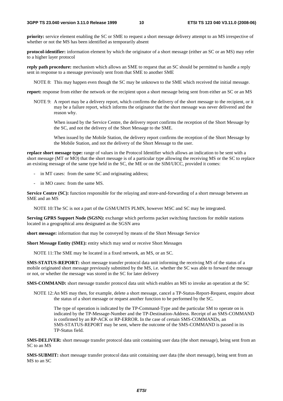**priority:** service element enabling the SC or SME to request a short message delivery attempt to an MS irrespective of whether or not the MS has been identified as temporarily absent

**protocol-identifier:** information element by which the originator of a short message (either an SC or an MS) may refer to a higher layer protocol

**reply path procedure:** mechanism which allows an SME to request that an SC should be permitted to handle a reply sent in response to a message previously sent from that SME to another SME

NOTE 8: This may happen even though the SC may be unknown to the SME which received the initial message.

**report:** response from either the network or the recipient upon a short message being sent from either an SC or an MS

NOTE 9: A report may be a delivery report, which confirms the delivery of the short message to the recipient, or it may be a failure report, which informs the originator that the short message was never delivered and the reason why.

 When issued by the Service Centre, the delivery report confirms the reception of the Short Message by the SC, and not the delivery of the Short Message to the SME.

 When issued by the Mobile Station, the delivery report confirms the reception of the Short Message by the Mobile Station, and not the delivery of the Short Message to the user.

**replace short message type:** range of values in the Protocol Identifier which allows an indication to be sent with a short message (MT or MO) that the short message is of a particular type allowing the receiving MS or the SC to replace an existing message of the same type held in the SC, the ME or on the SIM/UICC, provided it comes:

- in MT cases: from the same SC and originating address;
- in MO cases: from the same MS.

**Service Centre (SC):** function responsible for the relaying and store-and-forwarding of a short message between an SME and an MS

NOTE 10: The SC is not a part of the GSM/UMTS PLMN, however MSC and SC may be integrated.

**Serving GPRS Support Node (SGSN):** exchange which performs packet switching functions for mobile stations located in a geographical area designated as the SGSN area

**short message:** information that may be conveyed by means of the Short Message Service

**Short Message Entity (SME):** entity which may send or receive Short Messages

NOTE 11: The SME may be located in a fixed network, an MS, or an SC.

**SMS-STATUS-REPORT:** short message transfer protocol data unit informing the receiving MS of the status of a mobile originated short message previously submitted by the MS, i.e. whether the SC was able to forward the message or not, or whether the message was stored in the SC for later delivery

**SMS-COMMAND:** short message transfer protocol data unit which enables an MS to invoke an operation at the SC

NOTE 12: An MS may then, for example, delete a short message, cancel a TP-Status-Report-Request, enquire about the status of a short message or request another function to be performed by the SC.

 The type of operation is indicated by the TP-Command-Type and the particular SM to operate on is indicated by the TP-Message-Number and the TP-Destination-Address. Receipt of an SMS-COMMAND is confirmed by an RP-ACK or RP-ERROR. In the case of certain SMS-COMMANDs, an SMS-STATUS-REPORT may be sent, where the outcome of the SMS-COMMAND is passed in its TP-Status field.

**SMS-DELIVER:** short message transfer protocol data unit containing user data (the short message), being sent from an SC to an MS

**SMS-SUBMIT:** short message transfer protocol data unit containing user data (the short message), being sent from an MS to an SC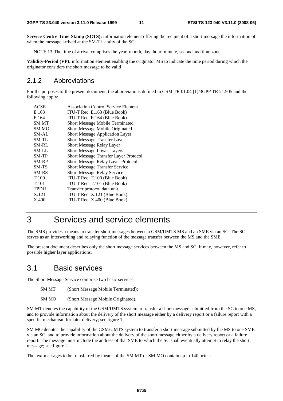**Service-Centre-Time-Stamp (SCTS):** information element offering the recipient of a short message the information of when the message arrived at the SM-TL entity of the SC

NOTE 13: The time of arrival comprises the year, month, day, hour, minute, second and time zone.

**Validity-Period (VP):** information element enabling the originator MS to indicate the time period during which the originator considers the short message to be valid

### 2.1.2 Abbreviations

For the purposes of the present document, the abbreviations defined in GSM TR 01.04 [1]/3GPP TR 21.905 and the following apply:

| <b>ACSE</b>      | <b>Association Control Service Element</b>   |
|------------------|----------------------------------------------|
| E.163            | ITU-T Rec. E.163 (Blue Book)                 |
| E.164            | ITU-T Rec. E.164 (Blue Book)                 |
| <b>SM MT</b>     | <b>Short Message Mobile Terminated</b>       |
| SM <sub>MO</sub> | Short Message Mobile Originated              |
| SM-AL            | Short Message Application Layer              |
| SM-TL            | <b>Short Message Transfer Layer</b>          |
| SM-RL            | Short Message Relay Layer                    |
| SM-LL            | <b>Short Message Lower Layers</b>            |
| $SM-TP$          | <b>Short Message Transfer Layer Protocol</b> |
| SM-RP            | Short Message Relay Layer Protocol           |
| SM-TS            | <b>Short Message Transfer Service</b>        |
| <b>SM-RS</b>     | <b>Short Message Relay Service</b>           |
| T.100            | ITU-T Rec. T.100 (Blue Book)                 |
| T.101            | ITU-T Rec. T.101 (Blue Book)                 |
| <b>TPDU</b>      | Transfer protocol data unit                  |
| X.121            | ITU-T Rec. X.121 (Blue Book)                 |
| X.400            | ITU-T Rec. X.400 (Blue Book)                 |
|                  |                                              |

# 3 Services and service elements

The SMS provides a means to transfer short messages between a GSM/UMTS MS and an SME via an SC. The SC serves as an interworking and relaying function of the message transfer between the MS and the SME.

The present document describes only the short message services between the MS and SC. It may, however, refer to possible higher layer applications.

### 3.1 Basic services

The Short Message Service comprise two basic services:

- SM MT (Short Message Mobile Terminated);
- SM MO (Short Message Mobile Originated).

SM MT denotes the capability of the GSM/UMTS system to transfer a short message submitted from the SC to one MS, and to provide information about the delivery of the short message either by a delivery report or a failure report with a specific mechanism for later delivery; see figure 1.

SM MO denotes the capability of the GSM/UMTS system to transfer a short message submitted by the MS to one SME via an SC, and to provide information about the delivery of the short message either by a delivery report or a failure report. The message must include the address of that SME to which the SC shall eventually attempt to relay the short message; see figure 2.

The text messages to be transferred by means of the SM MT or SM MO contain up to 140 octets.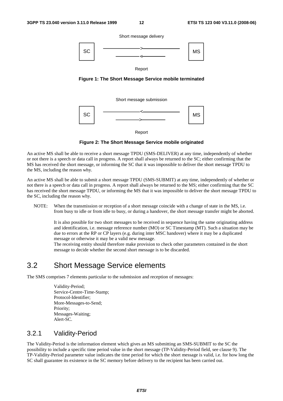Short message delivery



Report

**Figure 1: The Short Message Service mobile terminated** 

Short message submission



Report

**Figure 2: The Short Message Service mobile originated** 

An active MS shall be able to receive a short message TPDU (SMS-DELIVER) at any time, independently of whether or not there is a speech or data call in progress. A report shall always be returned to the SC; either confirming that the MS has received the short message, or informing the SC that it was impossible to deliver the short message TPDU to the MS, including the reason why.

An active MS shall be able to submit a short message TPDU (SMS-SUBMIT) at any time, independently of whether or not there is a speech or data call in progress. A report shall always be returned to the MS; either confirming that the SC has received the short message TPDU, or informing the MS that it was impossible to deliver the short message TPDU to the SC, including the reason why.

NOTE: When the transmission or reception of a short message coincide with a change of state in the MS, i.e. from busy to idle or from idle to busy, or during a handover, the short message transfer might be aborted.

It is also possible for two short messages to be received in sequence having the same originating address and identification, i.e. message reference number (MO) or SC Timestamp (MT). Such a situation may be due to errors at the RP or CP layers (e.g. during inter MSC handover) where it may be a duplicated message or otherwise it may be a valid new message.

The receiving entity should therefore make provision to check other parameters contained in the short message to decide whether the second short message is to be discarded.

# 3.2 Short Message Service elements

The SMS comprises 7 elements particular to the submission and reception of messages:

 Validity-Period; Service-Centre-Time-Stamp; Protocol-Identifier; More-Messages-to-Send; Priority; Messages-Waiting; Alert-SC.

### 3.2.1 Validity-Period

The Validity-Period is the information element which gives an MS submitting an SMS-SUBMIT to the SC the possibility to include a specific time period value in the short message (TP-Validity-Period field, see clause 9). The TP-Validity-Period parameter value indicates the time period for which the short message is valid, i.e. for how long the SC shall guarantee its existence in the SC memory before delivery to the recipient has been carried out.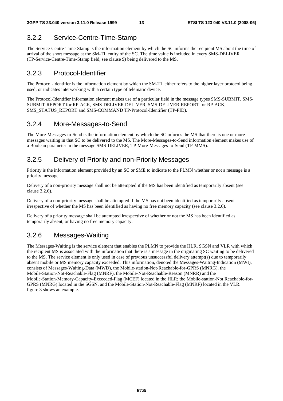# 3.2.2 Service-Centre-Time-Stamp

The Service-Centre-Time-Stamp is the information element by which the SC informs the recipient MS about the time of arrival of the short message at the SM-TL entity of the SC. The time value is included in every SMS-DELIVER (TP-Service-Centre-Time-Stamp field, see clause 9) being delivered to the MS.

# 3.2.3 Protocol-Identifier

The Protocol-Identifier is the information element by which the SM-TL either refers to the higher layer protocol being used, or indicates interworking with a certain type of telematic device.

The Protocol-Identifier information element makes use of a particular field in the message types SMS-SUBMIT, SMS-SUBMIT-REPORT for RP-ACK, SMS-DELIVER DELIVER, SMS-DELIVER-REPORT for RP-ACK, SMS\_STATUS\_REPORT and SMS-COMMAND TP-Protocol-Identifier (TP-PID).

# 3.2.4 More-Messages-to-Send

The More-Messages-to-Send is the information element by which the SC informs the MS that there is one or more messages waiting in that SC to be delivered to the MS. The More-Messages-to-Send information element makes use of a Boolean parameter in the message SMS-DELIVER, TP-More-Messages-to-Send (TP-MMS).

# 3.2.5 Delivery of Priority and non-Priority Messages

Priority is the information element provided by an SC or SME to indicate to the PLMN whether or not a message is a priority message.

Delivery of a non-priority message shall not be attempted if the MS has been identified as temporarily absent (see clause 3.2.6).

Delivery of a non-priority message shall be attempted if the MS has not been identified as temporarily absent irrespective of whether the MS has been identified as having no free memory capacity (see clause 3.2.6).

Delivery of a priority message shall be attempted irrespective of whether or not the MS has been identified as temporarily absent, or having no free memory capacity.

# 3.2.6 Messages-Waiting

The Messages-Waiting is the service element that enables the PLMN to provide the HLR, SGSN and VLR with which the recipient MS is associated with the information that there is a message in the originating SC waiting to be delivered to the MS. The service element is only used in case of previous unsuccessful delivery attempt(s) due to temporarily absent mobile or MS memory capacity exceeded. This information, denoted the Messages-Waiting-Indication (MWI), consists of Messages-Waiting-Data (MWD), the Mobile-station-Not-Reachable-for-GPRS (MNRG), the Mobile-Station-Not-Reachable-Flag (MNRF), the Mobile-Not-Reachable-Reason (MNRR) and the Mobile-Station-Memory-Capacity-Exceeded-Flag (MCEF) located in the HLR; the Mobile-station-Not Reachable-for-GPRS (MNRG) located in the SGSN, and the Mobile-Station-Not-Reachable-Flag (MNRF) located in the VLR. figure 3 shows an example.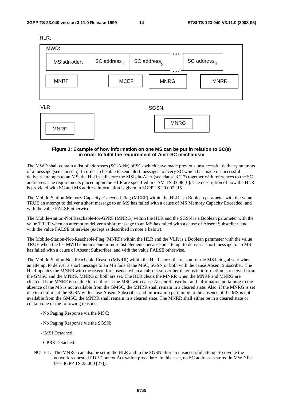HLR;



#### **Figure 3: Example of how information on one MS can be put in relation to SC(s) in order to fulfil the requirement of Alert-SC mechanism**

The MWD shall contain a list of addresses (SC-Addr) of SCs which have made previous unsuccessful delivery attempts of a message (see clause 5). In order to be able to send alert messages to every SC which has made unsuccessful delivery attempts to an MS, the HLR shall store the MSIsdn-Alert (see clause 3.2.7) together with references to the SC addresses. The requirements placed upon the HLR are specified in GSM TS 03.08 [6]. The description of how the HLR is provided with SC and MS address information is given in 3GPP TS 29.002 [15].

The Mobile-Station-Memory-Capacity-Exceeded-Flag (MCEF) within the HLR is a Boolean parameter with the value TRUE an attempt to deliver a short message to an MS has failed with a cause of MS Memory Capacity Exceeded, and with the value FALSE otherwise.

The Mobile-station-Not Reachable-for-GPRS (MNRG) within the HLR and the SGSN is a Boolean parameter with the value TRUE when an attempt to deliver a short message to an MS has failed with a cause of Absent Subscriber, and with the value FALSE otherwise (except as described in note 1 below).

The Mobile-Station-Not-Reachable-Flag (MNRF) within the HLR and the VLR is a Boolean parameter with the value TRUE when the list MWD contains one or more list elements because an attempt to deliver a short message to an MS has failed with a cause of Absent Subscriber, and with the value FALSE otherwise.

The Mobile-Station-Not-Reachable-Reason (MNRR) within the HLR stores the reason for the MS being absent when an attempt to deliver a short message to an MS fails at the MSC, SGSN or both with the cause Absent Subscriber. The HLR updates the MNRR with the reason for absence when an absent subscriber diagnostic information is received from the GMSC and the MNRF, MNRG or both are set. The HLR clears the MNRR when the MNRF and MNRG are cleared. If the MNRF is set due to a failure at the MSC with cause Absent Subscriber and information pertaining to the absence of the MS is not available from the GMSC, the MNRR shall remain in a cleared state. Also, if the MNRG is set due to a failure at the SGSN with cause Absent Subscriber and information pertaining to the absence of the MS is not available from the GMSC, the MNRR shall remain in a cleared state. The MNRR shall either be in a cleared state or contain one of the following reasons:

- No Paging Response via the MSC;
- No Paging Response via the SGSN;
- IMSI Detached;
- GPRS Detached.
- NOTE 1: The MNRG can also be set in the HLR and in the SGSN after an unsuccessful attempt to invoke the network requested PDP-Context Activation procedure. In this case, no SC address is stored in MWD list (see 3GPP TS 23.060 [27]).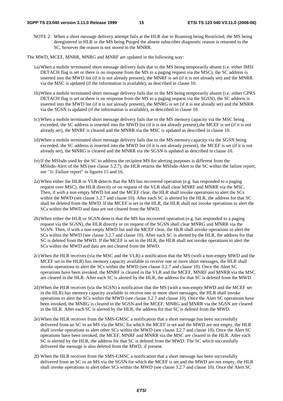NOTE 2: When a short message delivery attempt fails at the HLR due to Roaming being Restricted, the MS being deregistered in HLR or the MS being Purged the absent subscriber diagnostic reason is returned to the SC, however the reason is not stored in the MNRR.

The MWD, MCEF, MNRR, MNRG and MNRF are updated in the following way:

- 1a) When a mobile terminated short message delivery fails due to the MS being temporarily absent (i.e. either IMSI DETACH flag is set or there is no response from the MS to a paging request via the MSC), the SC address is inserted into the MWD list (if it is not already present), the MNRF is set (if it is not already set) and the MNRR via the MSC is updated (if the information is available), as described in clause 10.
- 1b) When a mobile terminated short message delivery fails due to the MS being temporarily absent (i.e. either GPRS DETACH flag is set or there is no response from the MS to a paging request via the SGSN), the SC address is inserted into the MWD list (if it is not already present), the MNRG is set (if it is not already set) and the MNRR via the SGSN is updated (if the information is available), as described in clause 10.
- 1c) When a mobile terminated short message delivery fails due to the MS memory capacity via the MSC being exceeded, the SC address is inserted into the MWD list (if it is not already present),the MCEF is set (if it is not already set), the MNRF is cleared and the MNRR via the MSC is updated as described in clause 10.
- 1d) When a mobile terminated short message delivery fails due to the MS memory capacity via the SGSN being exceeded, the SC address is inserted into the MWD list (if it is not already present), the MCEF is set (if it is not already set), the MNRG is cleared and the MNRR via the SGSN is updated as described in clause 10.
- 1e) If the MSIsdn used by the SC to address the recipient MS for alerting purposes is different from the MSIsdn-Alert of the MS (see clause 3.2.7), the HLR returns the MSIsdn-Alert to the SC within the failure report, see "1c Failure report" in figures 15 and 16.
- 2a) When either the HLR or VLR detects that the MS has recovered operation (e.g. has responded to a paging request over MSC), the HLR directly or on request of the VLR shall clear MNRF and MNRR via the MSC. Then, if with a non empty MWD list and the MCEF clear, the HLR shall invoke operations to alert the SCs within the MWD (see clause 3.2.7 and clause 10). After each SC is alerted by the HLR, the address for that SC shall be deleted from the MWD. If the MCEF is set in the HLR, the HLR shall not invoke operations to alert the SCs within the MWD and data are not cleared from the MWD.
- 2b) When either the HLR or SGSN detects that the MS has recovered operation (e.g. has responded to a paging request via the SGSN), the HLR directly or on request of the SGSN shall clear MNRG and MNRR via the SGSN. Then, if with a non empty MWD list and the MCEF clear, the HLR shall invoke operations to alert the SCs within the MWD (see clause 3.2.7 and clause 10). After each SC is alerted by the HLR, the address for that SC is deleted from the MWD. If the MCEF is set in the HLR, the HLR shall not invoke operations to alert the SCs within the MWD and data are not cleared from the MWD.
- 2c) When the HLR receives (via the MSC and the VLR) a notification that the MS (with a non-empty MWD and the MCEF set in the HLR) has memory capacity available to receive one or more short messages, the HLR shall invoke operations to alert the SCs within the MWD (see clause 3.2.7 and clause 10). Once the Alert SC operations have been invoked, the MNRF is cleared in the VLR and the MCEF, MNRF and MNRR via the MSC are cleared in the HLR. After each SC is alerted by the HLR, the address for that SC is deleted from the MWD.
- 2d) When the HLR receives (via the SGSN) a notification that the MS (with a non-empty MWD and the MCEF set in the HLR) has memory capacity available to receive one or more short messages, the HLR shall invoke operations to alert the SCs within the MWD (see clause 3.2.7 and clause 10). Once the Alert SC operations have been invoked, the MNRG is cleared in the SGSN and the MCEF, MNRG and MNRR via the SGSN are cleared in the HLR. After each SC is alerted by the HLR, the address for that SC is deleted from the MWD.
- 2e) When the HLR receives from the SMS-GMSC a notification that a short message has been successfully delivered from an SC to an MS via the MSC for which the MCEF is set and the MWD are not empty, the HLR shall invoke operations to alert other SCs within the MWD (see clause 3.2.7 and clause 10). Once the Alert SC operations have been invoked, the MCEF, MNRF and MNRR via the MSC are cleared in the HLR. After each SC is alerted by the HLR, the address for that SC is deleted from the MWD. The SC which successfully delivered the message is also deleted from the MWD, if present.
- 2f) When the HLR receives from the SMS-GMSC a notification that a short message has been successfully delivered from an SC to an MS via the SGSN for which the MCEF is set and the MWD are not empty, the HLR shall invoke operations to alert other SCs within the MWD (see clause 3.2.7 and clause 10). Once the Alert SC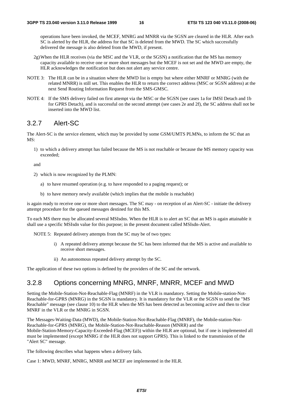operations have been invoked, the MCEF, MNRG and MNRR via the SGSN are cleared in the HLR. After each SC is alerted by the HLR, the address for that SC is deleted from the MWD. The SC which successfully delivered the message is also deleted from the MWD, if present.

- 2g) When the HLR receives (via the MSC and the VLR, or the SGSN) a notification that the MS has memory capacity available to receive one or more short messages but the MCEF is not set and the MWD are empty, the HLR acknowledges the notification but does not alert any service centre.
- NOTE 3: The HLR can be in a situation where the MWD list is empty but where either MNRF or MNRG (with the related MNRR) is still set. This enables the HLR to return the correct address (MSC or SGSN address) at the next Send Routing Information Request from the SMS-GMSC.
- NOTE 4: If the SMS delivery failed on first attempt via the MSC or the SGSN (see cases 1a for IMSI Detach and 1b for GPRS Detach), and is successful on the second attempt (see cases 2e and 2f), the SC address shall not be inserted into the MWD list.

### 3.2.7 Alert-SC

The Alert-SC is the service element, which may be provided by some GSM/UMTS PLMNs, to inform the SC that an MS.

1) to which a delivery attempt has failed because the MS is not reachable or because the MS memory capacity was exceeded;

and

- 2) which is now recognized by the PLMN:
	- a) to have resumed operation (e.g. to have responded to a paging request); or
	- b) to have memory newly available (which implies that the mobile is reachable)

is again ready to receive one or more short messages. The SC may - on reception of an Alert-SC - initiate the delivery attempt procedure for the queued messages destined for this MS.

To each MS there may be allocated several MSIsdns. When the HLR is to alert an SC that an MS is again attainable it shall use a specific MSIsdn value for this purpose; in the present document called MSIsdn-Alert.

NOTE 5: Repeated delivery attempts from the SC may be of two types:

- i) A repeated delivery attempt because the SC has been informed that the MS is active and available to receive short messages.
- ii) An autonomous repeated delivery attempt by the SC.

The application of these two options is defined by the providers of the SC and the network.

### 3.2.8 Options concerning MNRG, MNRF, MNRR, MCEF and MWD

Setting the Mobile-Station-Not-Reachable-Flag (MNRF) in the VLR is mandatory. Setting the Mobile-station-Not-Reachable-for-GPRS (MNRG) in the SGSN is mandatory. It is mandatory for the VLR or the SGSN to send the "MS Reachable" message (see clause 10) to the HLR when the MS has been detected as becoming active and then to clear MNRF in the VLR or the MNRG in SGSN.

The Messages-Waiting-Data (MWD), the Mobile-Station-Not-Reachable-Flag (MNRF), the Mobile-station-Not-Reachable-for-GPRS (MNRG), the Mobile-Station-Not-Reachable-Reason (MNRR) and the Mobile-Station-Memory-Capacity-Exceeded-Flag (MCEF)) within the HLR are optional, but if one is implemented all must be implemented (except MNRG if the HLR does not support GPRS). This is linked to the transmission of the "Alert SC" message.

The following describes what happens when a delivery fails.

Case 1: MWD, MNRF, MNRG, MNRR and MCEF are implemented in the HLR.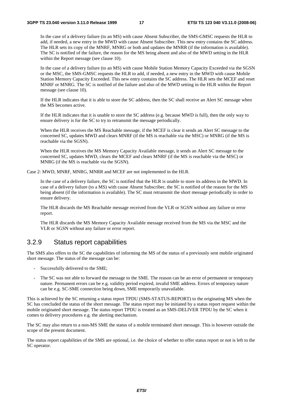In the case of a delivery failure (to an MS) with cause Absent Subscriber, the SMS-GMSC requests the HLR to add, if needed, a new entry in the MWD with cause Absent Subscriber. This new entry contains the SC address. The HLR sets its copy of the MNRF, MNRG or both and updates the MNRR (if the information is available). The SC is notified of the failure, the reason for the MS being absent and also of the MWD setting in the HLR within the Report message (see clause 10).

 In the case of a delivery failure (to an MS) with cause Mobile Station Memory Capacity Exceeded via the SGSN or the MSC, the SMS-GMSC requests the HLR to add, if needed, a new entry in the MWD with cause Mobile Station Memory Capacity Exceeded. This new entry contains the SC address. The HLR sets the MCEF and reset MNRF or MNRG. The SC is notified of the failure and also of the MWD setting in the HLR within the Report message (see clause 10).

 If the HLR indicates that it is able to store the SC address, then the SC shall receive an Alert SC message when the MS becomes active.

 If the HLR indicates that it is unable to store the SC address (e.g. because MWD is full), then the only way to ensure delivery is for the SC to try to retransmit the message periodically.

 When the HLR receives the MS Reachable message, if the MCEF is clear it sends an Alert SC message to the concerned SC, updates MWD and clears MNRF (if the MS is reachable via the MSC) or MNRG (if the MS is reachable via the SGSN).

 When the HLR receives the MS Memory Capacity Available message, it sends an Alert SC message to the concerned SC, updates MWD, clears the MCEF and clears MNRF (if the MS is reachable via the MSC) or MNRG (if the MS is reachable via the SGSN).

Case 2: MWD, MNRF, MNRG, MNRR and MCEF are not implemented in the HLR.

 In the case of a delivery failure, the SC is notified that the HLR is unable to store its address in the MWD. In case of a delivery failure (to a MS) with cause Absent Subscriber, the SC is notified of the reason for the MS being absent (if the information is available). The SC must retransmit the short message periodically in order to ensure delivery.

 The HLR discards the MS Reachable message received from the VLR or SGSN without any failure or error report.

 The HLR discards the MS Memory Capacity Available message received from the MS via the MSC and the VLR or SGSN without any failure or error report.

### 3.2.9 Status report capabilities

The SMS also offers to the SC the capabilities of informing the MS of the status of a previously sent mobile originated short message. The status of the message can be:

- Successfully delivered to the SME;
- The SC was not able to forward the message to the SME. The reason can be an error of permanent or temporary nature. Permanent errors can be e.g. validity period expired, invalid SME address. Errors of temporary nature can be e.g. SC-SME connection being down, SME temporarily unavailable.

This is achieved by the SC returning a status report TPDU (SMS-STATUS-REPORT) to the originating MS when the SC has concluded the status of the short message. The status report may be initiated by a status report request within the mobile originated short message. The status report TPDU is treated as an SMS-DELIVER TPDU by the SC when it comes to delivery procedures e.g. the alerting mechanism.

The SC may also return to a non-MS SME the status of a mobile terminated short message. This is however outside the scope of the present document.

The status report capabilities of the SMS are optional, i.e. the choice of whether to offer status report or not is left to the SC operator.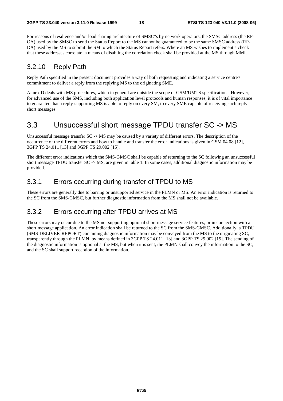For reasons of resilience and/or load sharing architecture of SMSC"s by network operators, the SMSC address (the RP-OA) used by the SMSC to send the Status Report to the MS cannot be guaranteed to be the same SMSC address (RP-DA) used by the MS to submit the SM to which the Status Report refers. Where an MS wishes to implement a check that these addresses correlate, a means of disabling the correlation check shall be provided at the MS through MMI.

### 3.2.10 Reply Path

Reply Path specified in the present document provides a way of both requesting and indicating a service centre's commitment to deliver a reply from the replying MS to the originating SME.

Annex D deals with MS procedures, which in general are outside the scope of GSM/UMTS specifications. However, for advanced use of the SMS, including both application level protocols and human responses, it is of vital importance to guarantee that a reply-supporting MS is able to reply on every SM, to every SME capable of receiving such reply short messages.

# 3.3 Unsuccessful short message TPDU transfer SC -> MS

Unsuccessful message transfer SC -> MS may be caused by a variety of different errors. The description of the occurrence of the different errors and how to handle and transfer the error indications is given in GSM 04.08 [12], 3GPP TS 24.011 [13] and 3GPP TS 29.002 [15].

The different error indications which the SMS-GMSC shall be capable of returning to the SC following an unsuccessful short message TPDU transfer SC -> MS, are given in table 1. In some cases, additional diagnostic information may be provided.

# 3.3.1 Errors occurring during transfer of TPDU to MS

These errors are generally due to barring or unsupported service in the PLMN or MS. An error indication is returned to the SC from the SMS-GMSC, but further diagnostic information from the MS shall not be available.

# 3.3.2 Errors occurring after TPDU arrives at MS

These errors may occur due to the MS not supporting optional short message service features, or in connection with a short message application. An error indication shall be returned to the SC from the SMS-GMSC. Additionally, a TPDU (SMS-DELIVER-REPORT) containing diagnostic information may be conveyed from the MS to the originating SC, transparently through the PLMN, by means defined in 3GPP TS 24.011 [13] and 3GPP TS 29.002 [15]. The sending of the diagnostic information is optional at the MS, but when it is sent, the PLMN shall convey the information to the SC, and the SC shall support reception of the information.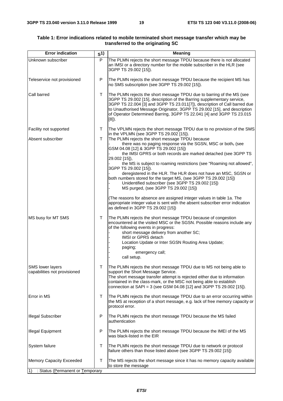| <b>Error indication</b>                                 | S <sup>1</sup> | Meaning                                                                                                                                                                                                                                                                                                                                                                                       |
|---------------------------------------------------------|----------------|-----------------------------------------------------------------------------------------------------------------------------------------------------------------------------------------------------------------------------------------------------------------------------------------------------------------------------------------------------------------------------------------------|
| Unknown subscriber                                      | P              | The PLMN rejects the short message TPDU because there is not allocated<br>an IMSI or a directory number for the mobile subscriber in the HLR (see<br>3GPP TS 29.002 [15]).                                                                                                                                                                                                                    |
| Teleservice not provisioned                             | P              | The PLMN rejects the short message TPDU because the recipient MS has<br>no SMS subscription (see 3GPP TS 29.002 [15]).                                                                                                                                                                                                                                                                        |
| Call barred                                             | $\mathsf T$    | The PLMN rejects the short message TPDU due to barring of the MS (see<br>3GPP TS 29.002 [15], description of the Barring supplementary service,<br>3GPP TS 22.004 [3] and 3GPP TS 23.011[7]), description of Call barred due<br>to Unauthorised Message Originator, 3GPP TS 29.002 [15], and description<br>of Operator Determined Barring, 3GPP TS 22.041 [4] and 3GPP TS 23.015<br>$[8]$ ). |
| Facility not supported                                  | T.             | The VPLMN rejects the short message TPDU due to no provision of the SMS<br>in the VPLMN (see 3GPP TS 29.002 [15]).                                                                                                                                                                                                                                                                            |
| Absent subscriber                                       | T              | The PLMN rejects the short message TPDU because<br>there was no paging response via the SGSN, MSC or both, (see<br>GSM 04.08 [12] & 3GPP TS 29.002 [15])<br>the IMSI GPRS or both records are marked detached (see 3GPP TS<br>29.002 [15]),<br>the MS is subject to roaming restrictions (see "Roaming not allowed",                                                                          |
|                                                         |                | 3GPP TS 29.002 [15]).<br>deregistered in the HLR. The HLR does not have an MSC, SGSN or<br>both numbers stored for the target MS, (see 3GPP TS 29.002 [15])<br>Unidentified subscriber (see 3GPP TS 29.002 [15])<br>MS purged, (see 3GPP TS 29.002 [15])                                                                                                                                      |
|                                                         |                | (The reasons for absence are assigned integer values in table 1a. The<br>appropriate integer value is sent with the absent subscriber error indication<br>as defined in 3GPP TS 29.002 [15])                                                                                                                                                                                                  |
| MS busy for MT SMS                                      | T              | The PLMN rejects the short message TPDU because of congestion<br>encountered at the visited MSC or the SGSN. Possible reasons include any<br>of the following events in progress:<br>short message delivery from another SC;<br>IMSI or GPRS detach<br>Location Update or Inter SGSN Routing Area Update;<br>paging;<br>emergency call;<br>call setup.                                        |
| <b>SMS lower layers</b><br>capabilities not provisioned | T              | The PLMN rejects the short message TPDU due to MS not being able to<br>support the Short Message Service.<br>The short message transfer attempt is rejected either due to information<br>contained in the class-mark, or the MSC not being able to establish<br>connection at SAPI = 3 (see GSM 04.08 [12] and 3GPP TS 29.002 [15]).                                                          |
| Error in MS                                             | Τ              | The PLMN rejects the short message TPDU due to an error occurring within<br>the MS at reception of a short message, e.g. lack of free memory capacity or<br>protocol error.                                                                                                                                                                                                                   |
| <b>Illegal Subscriber</b>                               | P              | The PLMN rejects the short message TPDU because the MS failed<br>authentication                                                                                                                                                                                                                                                                                                               |
| <b>Illegal Equipment</b>                                | P              | The PLMN rejects the short message TPDU because the IMEI of the MS<br>was black-listed in the EIR                                                                                                                                                                                                                                                                                             |
| System failure                                          | T              | The PLMN rejects the short message TPDU due to network or protocol<br>failure others than those listed above (see 3GPP TS 29.002 [15])                                                                                                                                                                                                                                                        |
| Memory Capacity Exceeded                                | т              | The MS rejects the short message since it has no memory capacity available<br>to store the message                                                                                                                                                                                                                                                                                            |
| : Status (Permanent or Temporary<br>1)                  |                |                                                                                                                                                                                                                                                                                                                                                                                               |

#### **Table 1: Error indications related to mobile terminated short message transfer which may be transferred to the originating SC**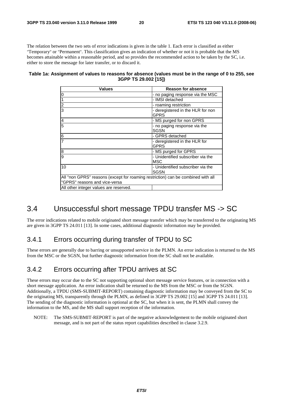The relation between the two sets of error indications is given in the table 1. Each error is classified as either "Temporary" or "Permanent". This classification gives an indication of whether or not it is probable that the MS becomes attainable within a reasonable period, and so provides the recommended action to be taken by the SC, i.e. either to store the message for later transfer, or to discard it.

#### **Table 1a: Assignment of values to reasons for absence (values must be in the range of 0 to 255, see 3GPP TS 29.002 [15])**

| <b>Values</b>                                                                                                      | <b>Reason for absence</b>                        |  |
|--------------------------------------------------------------------------------------------------------------------|--------------------------------------------------|--|
|                                                                                                                    | - no paging response via the MSC                 |  |
| $\frac{1}{2}$                                                                                                      | - IMSI detached                                  |  |
| $\frac{2}{3}$                                                                                                      | - roaming restriction                            |  |
|                                                                                                                    | - deregistered in the HLR for non<br>GPRS        |  |
| $\frac{4}{5}$                                                                                                      | - MS purged for non GPRS                         |  |
|                                                                                                                    | - no paging response via the<br>SGSN             |  |
| $rac{6}{7}$                                                                                                        | - GPRS detached                                  |  |
|                                                                                                                    | - deregistered in the HLR for<br>GPRS            |  |
| $\overline{8}$                                                                                                     | - MS purged for GPRS                             |  |
| g                                                                                                                  | - Unidentified subscriber via the<br><b>MSC</b>  |  |
| 10                                                                                                                 | - Unidentified subscriber via the<br><b>SGSN</b> |  |
| All "non GPRS" reasons (except for roaming restriction) can be combined with all<br>l"GPRS" reasons and vice-versa |                                                  |  |
| All other integer values are reserved.                                                                             |                                                  |  |

# 3.4 Unsuccessful short message TPDU transfer MS -> SC

The error indications related to mobile originated short message transfer which may be transferred to the originating MS are given in 3GPP TS 24.011 [13]. In some cases, additional diagnostic information may be provided.

### 3.4.1 Errors occurring during transfer of TPDU to SC

These errors are generally due to barring or unsupported service in the PLMN. An error indication is returned to the MS from the MSC or the SGSN, but further diagnostic information from the SC shall not be available.

### 3.4.2 Errors occurring after TPDU arrives at SC

These errors may occur due to the SC not supporting optional short message service features, or in connection with a short message application. An error indication shall be returned to the MS from the MSC or from the SGSN. Additionally, a TPDU (SMS-SUBMIT-REPORT) containing diagnostic information may be conveyed from the SC to the originating MS, transparently through the PLMN, as defined in 3GPP TS 29.002 [15] and 3GPP TS 24.011 [13]. The sending of the diagnostic information is optional at the SC, but when it is sent, the PLMN shall convey the information to the MS, and the MS shall support reception of the information.

NOTE: The SMS-SUBMIT-REPORT is part of the negative acknowledgement to the mobile originated short message, and is not part of the status report capabilities described in clause 3.2.9.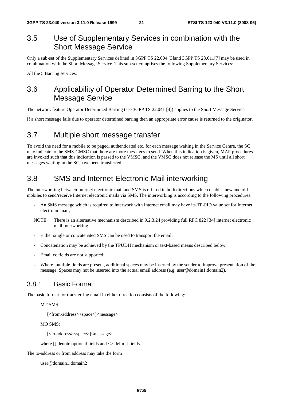# 3.5 Use of Supplementary Services in combination with the Short Message Service

Only a sub-set of the Supplementary Services defined in 3GPP TS 22.004 [3]and 3GPP TS 23.011[7] may be used in combination with the Short Message Service. This sub-set comprises the following Supplementary Services:

All the 5 Barring services.

# 3.6 Applicability of Operator Determined Barring to the Short Message Service

The network feature Operator Determined Barring (see 3GPP TS 22.041 [4]) applies to the Short Message Service.

If a short message fails due to operator determined barring then an appropriate error cause is returned to the originator.

# 3.7 Multiple short message transfer

To avoid the need for a mobile to be paged, authenticated etc. for each message waiting in the Service Centre, the SC may indicate to the SMS-GMSC that there are more messages to send. When this indication is given, MAP procedures are invoked such that this indication is passed to the VMSC, and the VMSC does not release the MS until all short messages waiting in the SC have been transferred.

# 3.8 SMS and Internet Electronic Mail interworking

The interworking between Internet electronic mail and SMS is offered in both directions which enables new and old mobiles to send/receive Internet electronic mails via SMS. The interworking is according to the following procedures:

- An SMS message which is required to interwork with Internet email may have its TP-PID value set for Internet electronic mail;
- NOTE: There is an alternative mechanism described in 9.2.3.24 providing full RFC 822 [34] internet electronic mail interworking.
- Either single or concatenated SMS can be used to transport the email;
- Concatenation may be achieved by the TPUDH mechanism or text-based means described below;
- Email cc fields are not supported;
- Where multiple fields are present, additional spaces may be inserted by the sender to improve presentation of the message. Spaces may not be inserted into the actual email address (e.g. user@domain1.domain2).

### 3.8.1 Basic Format

The basic format for transferring email in either direction consists of the following:

MT SMS:

[<from-address><space>]<message>

MO SMS:

[<to-address><space>]<message>

where  $\Box$  denote optional fields and  $\Diamond$  delimit fields.

The to-address or from address may take the form

user@domain1.domain2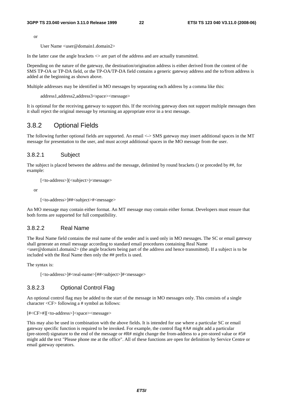or

User Name <user@domain1.domain2>

In the latter case the angle brackets  $\leq$  are part of the address and are actually transmitted.

Depending on the nature of the gateway, the destination/origination address is either derived from the content of the SMS TP-OA or TP-DA field, or the TP-OA/TP-DA field contains a generic gateway address and the to/from address is added at the beginning as shown above.

Multiple addresses may be identified in MO messages by separating each address by a comma like this:

address1,address2,address3<space><message>

It is optional for the receiving gateway to support this. If the receiving gateway does not support multiple messages then it shall reject the original message by returning an appropriate error in a text message.

### 3.8.2 Optional Fields

The following further optional fields are supported. An email <-> SMS gateway may insert additional spaces in the MT message for presentation to the user, and must accept additional spaces in the MO message from the user.

#### 3.8.2.1 Subject

The subject is placed between the address and the message, delimited by round brackets () or preceded by ##, for example:

[<to-address>](<subject>)<message>

or

```
[<to-address>]##<subject>#<message>
```
An MO message may contain either format. An MT message may contain either format. Developers must ensure that both forms are supported for full compatibility.

#### 3.8.2.2 Real Name

The Real Name field contains the real name of the sender and is used only in MO messages. The SC or email gateway shall generate an email message according to standard email procedures containing Real Name <user@domain1.domain2> (the angle brackets being part of the address and hence transmitted). If a subject is to be included with the Real Name then only the ## prefix is used.

The syntax is:

[<to-address>]#<real-name>[##<subject>]#<message>

#### 3.8.2.3 Optional Control Flag

An optional control flag may be added to the start of the message in MO messages only. This consists of a single character <CF> following a # symbol as follows:

#### [#<CF>#][<to-address>]<space><message>

This may also be used in combination with the above fields. It is intended for use where a particular SC or email gateway specific function is required to be invoked. For example, the control flag #A# might add a particular (pre-stored) signature to the end of the message or  $\#R\#$  might change the from-address to a pre-stored value or  $\#5\#$ might add the text "Please phone me at the office". All of these functions are open for definition by Service Centre or email gateway operators.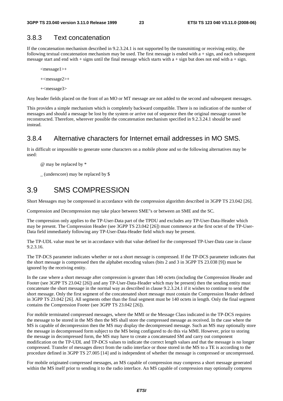### 3.8.3 Text concatenation

If the concatenation mechanism described in 9.2.3.24.1 is not supported by the transmitting or receiving entity, the following textual concatenation mechanism may be used. The first message is ended with a + sign, and each subsequent message start and end with + signs until the final message which starts with  $a + sign$  but does not end with  $a + sign$ .

```
<message1>+ 
+<message2>+ 
+<message3>
```
Any header fields placed on the front of an MO or MT message are not added to the second and subsequent messages.

This provides a simple mechanism which is completely backward compatible. There is no indication of the number of messages and should a message be lost by the system or arrive out of sequence then the original message cannot be reconstructed. Therefore, wherever possible the concatenation mechanism specified in 9.2.3.24.1 should be used instead.

### 3.8.4 Alternative characters for Internet email addresses in MO SMS.

It is difficult or impossible to generate some characters on a mobile phone and so the following alternatives may be used:

@ may be replaced by \*

 $_$  (underscore) may be replaced by \$

# 3.9 SMS COMPRESSION

Short Messages may be compressed in accordance with the compression algorithm described in 3GPP TS 23.042 [26].

Compression and Decompression may take place between SME"s or between an SME and the SC.

The compression only applies to the TP-User-Data part of the TPDU and excludes any TP-User-Data-Header which may be present. The Compression Header (see 3GPP TS 23.042 [26]) must commence at the first octet of the TP-User-Data field immediately following any TP-User-Data-Header field which may be present.

The TP-UDL value must be set in accordance with that value defined for the compressed TP-User-Data case in clause 9.2.3.16.

The TP-DCS parameter indicates whether or not a short message is compressed. If the TP-DCS parameter indicates that the short message is compressed then the alphabet encoding values (bits 2 and 3 in 3GPP TS 23.038 [9]) must be ignored by the receiving entity.

In the case where a short message after compression is greater than 140 octets (including the Compression Header and Footer (see 3GPP TS 23.042 [26]) and any TP-User-Data-Header which may be present) then the sending entity must concatenate the short message in the normal way as described in clause 9.2.3.24.1 if it wishes to continue to send the short message. Only the first segment of the concatenated short message must contain the Compression Header defined in 3GPP TS 23.042 [26]. All segments other than the final segment must be 140 octets in length. Only the final segment contains the Compression Footer (see 3GPP TS 23.042 [26]).

For mobile terminated compressed messages, where the MMI or the Message Class indicated in the TP-DCS requires the message to be stored in the MS then the MS shall store the compressed message as received. In the case where the MS is capable of decompression then the MS may display the decompressed message. Such an MS may optionally store the message in decompressed form subject to the MS being configured to do this via MMI. However, prior to storing the message in decompressed form, the MS may have to create a concatenated SM and carry out component modification on the TP-UDL and TP-DCS values to indicate the correct length values and that the message is no longer compressed. Transfer of messages direct from the radio interface or those stored in the MS to a TE is according to the procedure defined in 3GPP TS 27.005 [14] and is independent of whether the message is compressed or uncompressed.

For mobile originated compressed messages, an MS capable of compression may compress a short message generated within the MS itself prior to sending it to the radio interface. An MS capable of compression may optionally compress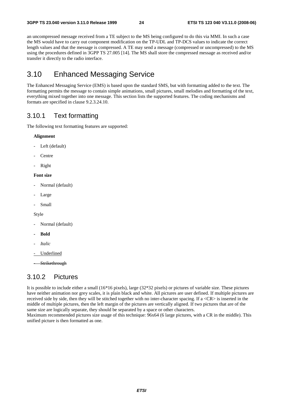an uncompressed message received from a TE subject to the MS being configured to do this via MMI. In such a case the MS would have to carry out component modification on the TP-UDL and TP-DCS values to indicate the correct length values and that the message is compressed. A TE may send a message (compressed or uncompressed) to the MS using the procedures defined in 3GPP TS 27.005 [14]. The MS shall store the compressed message as received and/or transfer it directly to the radio interface.

# 3.10 Enhanced Messaging Service

The Enhanced Messaging Service (EMS) is based upon the standard SMS, but with formatting added to the text. The formatting permits the message to contain simple animations, small pictures, small melodies and formatting of the text, everything mixed together into one message. This section lists the supported features. The coding mechanisms and formats are specified in clause 9.2.3.24.10.

### 3.10.1 Text formatting

The following text formatting features are supported:

#### **Alignment**

- Left (default)
- **Centre**
- Right

#### **Font size**

- Normal (default)
- Large
- Small

#### Style

- Normal (default)
- **Bold**
- *Italic*
- Underlined

**Strikethrough** 

### 3.10.2 Pictures

It is possible to include either a small (16\*16 pixels), large (32\*32 pixels) or pictures of variable size. These pictures have neither animation nor grey scales, it is plain black and white. All pictures are user defined. If multiple pictures are received side by side, then they will be stitched together with no inter-character spacing. If a <CR> is inserted in the middle of multiple pictures, then the left margin of the pictures are vertically aligned. If two pictures that are of the same size are logically separate, they should be separated by a space or other characters.

Maximum recommended pictures size usage of this technique: 96x64 (6 large pictures, with a CR in the middle). This unified picture is then formatted as one.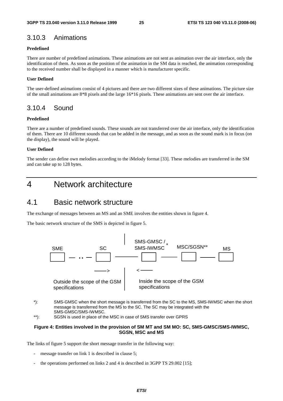### 3.10.3 Animations

#### **Predefined**

There are number of predefined animations. These animations are not sent as animation over the air interface, only the identification of them. As soon as the position of the animation in the SM data is reached, the animation corresponding to the received number shall be displayed in a manner which is manufacturer specific.

#### **User Defined**

The user-defined animations consist of 4 pictures and there are two different sizes of these animations. The picture size of the small animations are 8\*8 pixels and the large 16\*16 pixels. These animations are sent over the air interface.

### 3.10.4 Sound

#### **Predefined**

There are a number of predefined sounds. These sounds are not transferred over the air interface, only the identification of them. There are 10 different sounds that can be added in the message, and as soon as the sound mark is in focus (on the display), the sound will be played.

#### **User Defined**

The sender can define own melodies according to the iMelody format [33]. These melodies are transferred in the SM and can take up to 128 bytes.

# 4 Network architecture

# 4.1 Basic network structure

The exchange of messages between an MS and an SME involves the entities shown in figure 4.

The basic network structure of the SMS is depicted in figure 5.



- \*): SMS-GMSC when the short message is transferred from the SC to the MS, SMS-IWMSC when the short message is transferred from the MS to the SC. The SC may be integrated with the SMS-GMSC/SMS-IWMSC.
- \*\*): SGSN is used in place of the MSC in case of SMS transfer over GPRS

#### **Figure 4: Entities involved in the provision of SM MT and SM MO: SC, SMS-GMSC/SMS-IWMSC, SGSN, MSC and MS**

The links of figure 5 support the short message transfer in the following way:

- message transfer on link 1 is described in clause 5;
- the operations performed on links 2 and 4 is described in 3GPP TS 29.002 [15];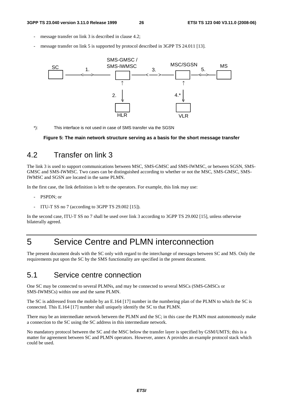- message transfer on link 3 is described in clause 4.2;
- message transfer on link 5 is supported by protocol described in 3GPP TS 24.011 [13].



\*): This interface is not used in case of SMS transfer via the SGSN

**Figure 5: The main network structure serving as a basis for the short message transfer** 

# 4.2 Transfer on link 3

The link 3 is used to support communications between MSC, SMS-GMSC and SMS-IWMSC, or between SGSN, SMS-GMSC and SMS-IWMSC. Two cases can be distinguished according to whether or not the MSC, SMS-GMSC, SMS-IWMSC and SGSN are located in the same PLMN.

In the first case, the link definition is left to the operators. For example, this link may use:

- PSPDN: or
- ITU-T SS no 7 (according to 3GPP TS 29.002 [15]).

In the second case, ITU-T SS no 7 shall be used over link 3 according to 3GPP TS 29.002 [15], unless otherwise bilaterally agreed.

# 5 Service Centre and PLMN interconnection

The present document deals with the SC only with regard to the interchange of messages between SC and MS. Only the requirements put upon the SC by the SMS functionality are specified in the present document.

# 5.1 Service centre connection

One SC may be connected to several PLMNs, and may be connected to several MSCs (SMS-GMSCs or SMS-IWMSCs) within one and the same PLMN.

The SC is addressed from the mobile by an E.164 [17] number in the numbering plan of the PLMN to which the SC is connected. This E.164 [17] number shall uniquely identify the SC to that PLMN.

There may be an intermediate network between the PLMN and the SC; in this case the PLMN must autonomously make a connection to the SC using the SC address in this intermediate network.

No mandatory protocol between the SC and the MSC below the transfer layer is specified by GSM/UMTS; this is a matter for agreement between SC and PLMN operators. However, annex A provides an example protocol stack which could be used.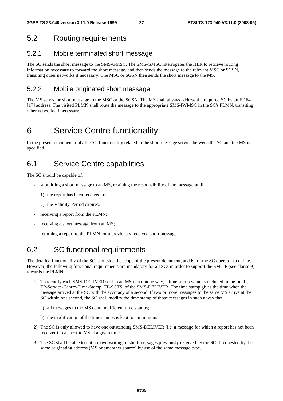# 5.2 Routing requirements

### 5.2.1 Mobile terminated short message

The SC sends the short message to the SMS-GMSC. The SMS-GMSC interrogates the HLR to retrieve routing information necessary to forward the short message, and then sends the message to the relevant MSC or SGSN, transiting other networks if necessary. The MSC or SGSN then sends the short message to the MS.

### 5.2.2 Mobile originated short message

The MS sends the short message to the MSC or the SGSN. The MS shall always address the required SC by an E.164 [17] address. The visited PLMN shall route the message to the appropriate SMS-IWMSC in the SC's PLMN, transiting other networks if necessary.

# 6 Service Centre functionality

In the present document, only the SC functionality related to the short message service between the SC and the MS is specified.

# 6.1 Service Centre capabilities

The SC should be capable of:

- submitting a short message to an MS, retaining the responsibility of the message until
	- 1) the report has been received; or
	- 2) the Validity-Period expires.
- receiving a report from the PLMN;
- receiving a short message from an MS;
- returning a report to the PLMN for a previously received short message.

# 6.2 SC functional requirements

The detailed functionality of the SC is outside the scope of the present document, and is for the SC operator to define. However, the following functional requirements are mandatory for all SCs in order to support the SM-TP (see clause 9) towards the PLMN:

- 1) To identify each SMS-DELIVER sent to an MS in a unique way, a time stamp value is included in the field TP-Service-Centre-Time-Stamp, TP-SCTS, of the SMS-DELIVER. The time stamp gives the time when the message arrived at the SC with the accuracy of a second. If two or more messages to the same MS arrive at the SC within one second, the SC shall modify the time stamp of those messages in such a way that:
	- a) all messages to the MS contain different time stamps;
	- b) the modification of the time stamps is kept to a minimum.
- 2) The SC is only allowed to have one outstanding SMS-DELIVER (i.e. a message for which a report has not been received) to a specific MS at a given time.
- 3) The SC shall be able to initiate overwriting of short messages previously received by the SC if requested by the same originating address (MS or any other source) by use of the same message type.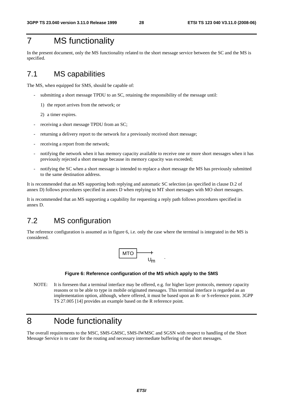# 7 MS functionality

In the present document, only the MS functionality related to the short message service between the SC and the MS is specified.

# 7.1 MS capabilities

The MS, when equipped for SMS, should be capable of:

- submitting a short message TPDU to an SC, retaining the responsibility of the message until:
	- 1) the report arrives from the network; or
	- 2) a timer expires.
- receiving a short message TPDU from an SC;
- returning a delivery report to the network for a previously received short message;
- receiving a report from the network:
- notifying the network when it has memory capacity available to receive one or more short messages when it has previously rejected a short message because its memory capacity was exceeded;
- notifying the SC when a short message is intended to replace a short message the MS has previously submitted to the same destination address.

It is recommended that an MS supporting both replying and automatic SC selection (as specified in clause D.2 of annex D) follows procedures specified in annex D when replying to MT short messages with MO short messages.

It is recommended that an MS supporting a capability for requesting a reply path follows procedures specified in annex D.

# 7.2 MS configuration

The reference configuration is assumed as in figure 6, i.e. only the case where the terminal is integrated in the MS is considered.



#### **Figure 6: Reference configuration of the MS which apply to the SMS**

NOTE: It is foreseen that a terminal interface may be offered, e.g. for higher layer protocols, memory capacity reasons or to be able to type in mobile originated messages. This terminal interface is regarded as an implementation option, although, where offered, it must be based upon an R- or S-reference point. 3GPP TS 27.005 [14] provides an example based on the R reference point.

# 8 Node functionality

The overall requirements to the MSC, SMS-GMSC, SMS-IWMSC and SGSN with respect to handling of the Short Message Service is to cater for the routing and necessary intermediate buffering of the short messages.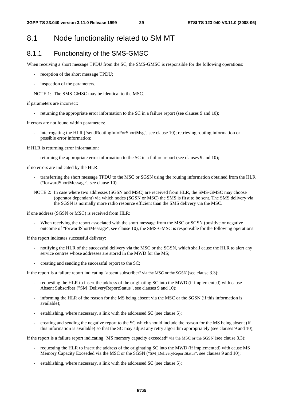# 8.1 Node functionality related to SM MT

### 8.1.1 Functionality of the SMS-GMSC

When receiving a short message TPDU from the SC, the SMS-GMSC is responsible for the following operations:

- reception of the short message TPDU;
- inspection of the parameters.

NOTE 1: The SMS-GMSC may be identical to the MSC.

if parameters are incorrect:

- returning the appropriate error information to the SC in a failure report (see clauses 9 and 10);

if errors are not found within parameters:

interrogating the HLR ("sendRoutingInfoForShortMsg", see clause 10); retrieving routing information or possible error information;

if HLR is returning error information:

- returning the appropriate error information to the SC in a failure report (see clauses 9 and 10);

if no errors are indicated by the HLR:

- transferring the short message TPDU to the MSC or SGSN using the routing information obtained from the HLR ("forwardShortMessage", see clause 10).
- NOTE 2: In case where two addresses (SGSN and MSC) are received from HLR, the SMS-GMSC may choose (operator dependant) via which nodes (SGSN or MSC) the SMS is first to be sent. The SMS delivery via the SGSN is normally more radio resource efficient than the SMS delivery via the MSC.

if one address (SGSN or MSC) is received from HLR:

When receiving the report associated with the short message from the MSC or SGSN (positive or negative outcome of "forwardShortMessage", see clause 10), the SMS-GMSC is responsible for the following operations:

if the report indicates successful delivery:

- notifying the HLR of the successful delivery via the MSC or the SGSN, which shall cause the HLR to alert any service centres whose addresses are stored in the MWD for the MS;
- creating and sending the successful report to the SC;

if the report is a failure report indicating "absent subscriber" via the MSC or the SGSN (see clause 3.3):

- requesting the HLR to insert the address of the originating SC into the MWD (if implemented) with cause Absent Subscriber ("SM\_DeliveryReportStatus", see clauses 9 and 10);
- informing the HLR of the reason for the MS being absent via the MSC or the SGSN (if this information is available);
- establishing, where necessary, a link with the addressed SC (see clause 5);
- creating and sending the negative report to the SC which should include the reason for the MS being absent (if this information is available) so that the SC may adjust any retry algorithm appropriately (see clauses 9 and 10);

if the report is a failure report indicating "MS memory capacity exceeded" via the MSC or the SGSN (see clause 3.3):

- requesting the HLR to insert the address of the originating SC into the MWD (if implemented) with cause MS Memory Capacity Exceeded via the MSC or the SGSN ("SM\_DeliveryReportStatus", see clauses 9 and 10);
- establishing, where necessary, a link with the addressed SC (see clause 5);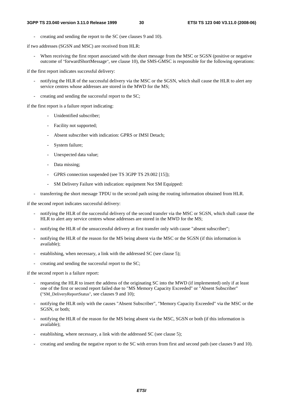- creating and sending the report to the SC (see clauses 9 and 10).

if two addresses (SGSN and MSC) are received from HLR:

When receiving the first report associated with the short message from the MSC or SGSN (positive or negative outcome of "forwardShortMessage", see clause 10), the SMS-GMSC is responsible for the following operations:

if the first report indicates successful delivery:

- notifying the HLR of the successful delivery via the MSC or the SGSN, which shall cause the HLR to alert any service centres whose addresses are stored in the MWD for the MS;
- creating and sending the successful report to the SC;

if the first report is a failure report indicating:

- Unidentified subscriber;
- Facility not supported;
- Absent subscriber with indication: GPRS or IMSI Detach;
- System failure;
- Unexpected data value;
- Data missing;
- GPRS connection suspended (see TS 3GPP TS 29.002 [15]);
- SM Delivery Failure with indication: equipment Not SM Equipped:
- transferring the short message TPDU to the second path using the routing information obtained from HLR.

if the second report indicates successful delivery:

- notifying the HLR of the successful delivery of the second transfer via the MSC or SGSN, which shall cause the HLR to alert any service centres whose addresses are stored in the MWD for the MS;
- notifying the HLR of the unsuccessful delivery at first transfer only with cause "absent subscriber";
- notifying the HLR of the reason for the MS being absent via the MSC or the SGSN (if this information is available);
- establishing, when necessary, a link with the addressed SC (see clause 5);
- creating and sending the successful report to the SC;

if the second report is a failure report:

- requesting the HLR to insert the address of the originating SC into the MWD (if implemented) only if at least one of the first or second report failed due to "MS Memory Capacity Exceeded" or "Absent Subscriber" ("SM\_DeliveryReportStatus", see clauses 9 and 10);
- notifying the HLR only with the causes "Absent Subscriber", "Memory Capacity Exceeded" via the MSC or the SGSN, or both;
- notifying the HLR of the reason for the MS being absent via the MSC, SGSN or both (if this information is available);
- establishing, where necessary, a link with the addressed SC (see clause 5);
- creating and sending the negative report to the SC with errors from first and second path (see clauses 9 and 10).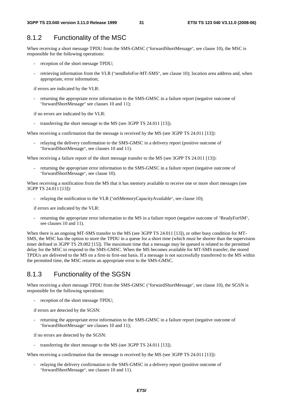## 8.1.2 Functionality of the MSC

When receiving a short message TPDU from the SMS-GMSC ("forwardShortMessage", see clause 10), the MSC is responsible for the following operations:

- reception of the short message TPDU;
- retrieving information from the VLR ("sendInfoFor-MT-SMS", see clause 10); location area address and, when appropriate, error information;

if errors are indicated by the VLR:

returning the appropriate error information to the SMS-GMSC in a failure report (negative outcome of "forwardShortMessage" see clauses 10 and 11);

if no errors are indicated by the VLR:

- transferring the short message to the MS (see 3GPP TS 24.011 [13]).

When receiving a confirmation that the message is received by the MS (see 3GPP TS 24.011 [13]):

- relaying the delivery confirmation to the SMS-GMSC in a delivery report (positive outcome of "forwardShortMessage", see clauses 10 and 11).

When receiving a failure report of the short message transfer to the MS (see 3GPP TS 24.011 [13]):

returning the appropriate error information to the SMS-GMSC in a failure report (negative outcome of "forwardShortMessage", see clause 10).

When receiving a notification from the MS that it has memory available to receive one or more short messages (see 3GPP TS 24.011 [13]):

- relaying the notification to the VLR ("mSMemoryCapacityAvailable", see clause 10);

if errors are indicated by the VLR:

returning the appropriate error information to the MS in a failure report (negative outcome of "ReadyForSM", see clauses 10 and 11).

When there is an ongoing MT-SMS transfer to the MS (see 3GPP TS 24.011 [13]), or other busy condition for MT-SMS, the MSC has the option to store the TPDU in a queue for a short time (which must be shorter than the supervision timer defined in 3GPP TS 29.002 [15]). The maximum time that a message may be queued is related to the permitted delay for the MSC to respond to the SMS-GMSC. When the MS becomes available for MT-SMS transfer, the stored TPDUs are delivered to the MS on a first-in first-out basis. If a message is not successfully transferred to the MS within the permitted time, the MSC returns an appropriate error to the SMS-GMSC.

### 8.1.3 Functionality of the SGSN

When receiving a short message TPDU from the SMS-GMSC ("forwardShortMessage", see clause 10), the SGSN is responsible for the following operations:

- reception of the short message TPDU;

if errors are detected by the SGSN:

returning the appropriate error information to the SMS-GMSC in a failure report (negative outcome of "forwardShortMessage" see clauses 10 and 11);

if no errors are detected by the SGSN:

transferring the short message to the MS (see 3GPP TS 24.011 [13]).

When receiving a confirmation that the message is received by the MS (see 3GPP TS 24.011 [13]):

relaying the delivery confirmation to the SMS-GMSC in a delivery report (positive outcome of "forwardShortMessage", see clauses 10 and 11).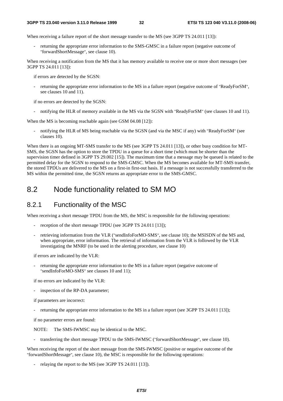When receiving a failure report of the short message transfer to the MS (see 3GPP TS 24.011 [13]):

returning the appropriate error information to the SMS-GMSC in a failure report (negative outcome of "forwardShortMessage", see clause 10).

When receiving a notification from the MS that it has memory available to receive one or more short messages (see 3GPP TS 24.011 [13]):

if errors are detected by the SGSN:

returning the appropriate error information to the MS in a failure report (negative outcome of "ReadyForSM", see clauses 10 and 11).

if no errors are detected by the SGSN:

notifying the HLR of memory available in the MS via the SGSN with "ReadyForSM" (see clauses 10 and 11).

When the MS is becoming reachable again (see GSM 04.08 [12]):

notifying the HLR of MS being reachable via the SGSN (and via the MSC if any) with "ReadyForSM" (see clauses 10).

When there is an ongoing MT-SMS transfer to the MS (see 3GPP TS 24.011 [13]), or other busy condition for MT-SMS, the SGSN has the option to store the TPDU in a queue for a short time (which must be shorter than the supervision timer defined in 3GPP TS 29.002 [15]). The maximum time that a message may be queued is related to the permitted delay for the SGSN to respond to the SMS-GMSC. When the MS becomes available for MT-SMS transfer, the stored TPDUs are delivered to the MS on a first-in first-out basis. If a message is not successfully transferred to the MS within the permitted time, the SGSN returns an appropriate error to the SMS-GMSC.

### 8.2 Node functionality related to SM MO

### 8.2.1 Functionality of the MSC

When receiving a short message TPDU from the MS, the MSC is responsible for the following operations:

- reception of the short message TPDU (see 3GPP TS 24.011 [13]);
- retrieving information from the VLR ("sendInfoForMO-SMS", see clause 10); the MSISDN of the MS and, when appropriate, error information. The retrieval of information from the VLR is followed by the VLR investigating the MNRF (to be used in the alerting procedure, see clause 10)

if errors are indicated by the VLR:

returning the appropriate error information to the MS in a failure report (negative outcome of "sendInfoForMO-SMS" see clauses 10 and 11);

if no errors are indicated by the VLR:

inspection of the RP-DA parameter;

if parameters are incorrect:

returning the appropriate error information to the MS in a failure report (see 3GPP TS 24.011 [13]);

if no parameter errors are found:

NOTE: The SMS-IWMSC may be identical to the MSC.

transferring the short message TPDU to the SMS-IWMSC ("forwardShortMessage", see clause 10).

When receiving the report of the short message from the SMS-IWMSC (positive or negative outcome of the "forwardShortMessage", see clause 10), the MSC is responsible for the following operations:

relaying the report to the MS (see 3GPP TS 24.011 [13]).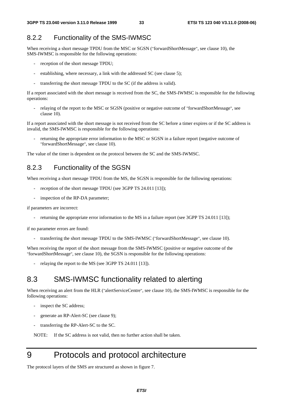### 8.2.2 Functionality of the SMS-IWMSC

When receiving a short message TPDU from the MSC or SGSN ("forwardShortMessage", see clause 10), the SMS-IWMSC is responsible for the following operations:

- reception of the short message TPDU;
- establishing, where necessary, a link with the addressed SC (see clause 5);
- transferring the short message TPDU to the SC (if the address is valid).

If a report associated with the short message is received from the SC, the SMS-IWMSC is responsible for the following operations:

- relaying of the report to the MSC or SGSN (positive or negative outcome of "forwardShortMessage", see clause 10).

If a report associated with the short message is not received from the SC before a timer expires or if the SC address is invalid, the SMS-IWMSC is responsible for the following operations:

returning the appropriate error information to the MSC or SGSN in a failure report (negative outcome of "forwardShortMessage", see clause 10).

The value of the timer is dependent on the protocol between the SC and the SMS-IWMSC.

### 8.2.3 Functionality of the SGSN

When receiving a short message TPDU from the MS, the SGSN is responsible for the following operations:

- reception of the short message TPDU (see 3GPP TS 24.011 [13]);
- inspection of the RP-DA parameter;

if parameters are incorrect:

returning the appropriate error information to the MS in a failure report (see 3GPP TS 24.011 [13]);

if no parameter errors are found:

transferring the short message TPDU to the SMS-IWMSC ("forwardShortMessage", see clause 10).

When receiving the report of the short message from the SMS-IWMSC (positive or negative outcome of the "forwardShortMessage", see clause 10), the SGSN is responsible for the following operations:

relaying the report to the MS (see 3GPP TS 24.011 [13]).

# 8.3 SMS-IWMSC functionality related to alerting

When receiving an alert from the HLR ("alertServiceCentre", see clause 10), the SMS-IWMSC is responsible for the following operations:

- inspect the SC address;
- generate an RP-Alert-SC (see clause 9);
- transferring the RP-Alert-SC to the SC.

NOTE: If the SC address is not valid, then no further action shall be taken.

# 9 Protocols and protocol architecture

The protocol layers of the SMS are structured as shown in figure 7.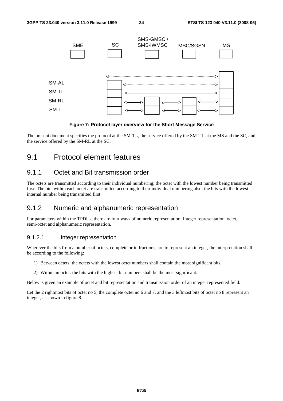

#### **Figure 7: Protocol layer overview for the Short Message Service**

The present document specifies the protocol at the SM-TL, the service offered by the SM-TL at the MS and the SC, and the service offered by the SM-RL at the SC.

# 9.1 Protocol element features

### 9.1.1 Octet and Bit transmission order

The octets are transmitted according to their individual numbering; the octet with the lowest number being transmitted first. The bits within each octet are transmitted according to their individual numbering also; the bits with the lowest internal number being transmitted first.

### 9.1.2 Numeric and alphanumeric representation

For parameters within the TPDUs, there are four ways of numeric representation: Integer representation, octet, semi-octet and alphanumeric representation.

#### 9.1.2.1 Integer representation

Wherever the bits from a number of octets, complete or in fractions, are to represent an integer, the interpretation shall be according to the following:

- 1) Between octets: the octets with the lowest octet numbers shall contain the most significant bits.
- 2) Within an octet: the bits with the highest bit numbers shall be the most significant.

Below is given an example of octet and bit representation and transmission order of an integer represented field.

Let the 2 rightmost bits of octet no 5, the complete octet no 6 and 7, and the 3 leftmost bits of octet no 8 represent an integer, as shown in figure 8.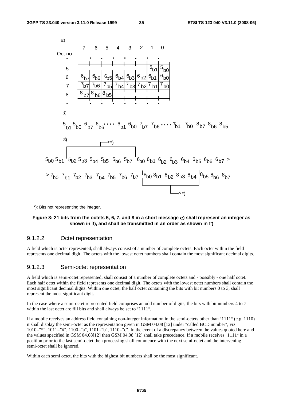

\*): Bits not representing the integer.

#### **Figure 8: 21 bits from the octets 5, 6, 7, and 8 in a short message** α**) shall represent an integer as shown in** β**), and shall be transmitted in an order as shown in** Γ**)**

#### 9.1.2.2 Octet representation

A field which is octet represented, shall always consist of a number of complete octets. Each octet within the field represents one decimal digit. The octets with the lowest octet numbers shall contain the most significant decimal digits.

#### 9.1.2.3 Semi-octet representation

A field which is semi-octet represented, shall consist of a number of complete octets and - possibly - one half octet. Each half octet within the field represents one decimal digit. The octets with the lowest octet numbers shall contain the most significant decimal digits. Within one octet, the half octet containing the bits with bit numbers 0 to 3, shall represent the most significant digit.

In the case where a semi-octet represented field comprises an odd number of digits, the bits with bit numbers 4 to 7 within the last octet are fill bits and shall always be set to "1111".

If a mobile receives an address field containing non-integer information in the semi-octets other than "1111" (e.g. 1110) it shall display the semi-octet as the representation given in GSM 04.08 [12] under "called BCD number", viz 1010="\*", 1011="#", 1100="a", 1101="b", 1110="c". In the event of a discrepancy between the values quoted here and the values specified in GSM 04.08[12] then GSM 04.08 [12] shall take precedence. If a mobile receives "1111" in a position prior to the last semi-octet then processing shall commence with the next semi-octet and the intervening semi-octet shall be ignored.

Within each semi octet, the bits with the highest bit numbers shall be the most significant.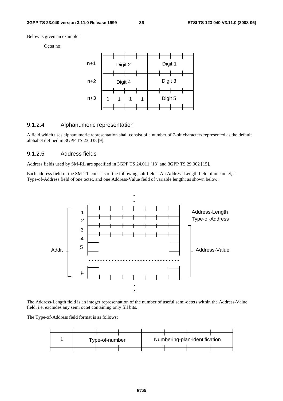Below is given an example:

Octet no:



#### 9.1.2.4 Alphanumeric representation

A field which uses alphanumeric representation shall consist of a number of 7-bit characters represented as the default alphabet defined in 3GPP TS 23.038 [9].

## 9.1.2.5 Address fields

Address fields used by SM-RL are specified in 3GPP TS 24.011 [13] and 3GPP TS 29.002 [15].

Each address field of the SM-TL consists of the following sub-fields: An Address-Length field of one octet, a Type-of-Address field of one octet, and one Address-Value field of variable length; as shown below:



The Address-Length field is an integer representation of the number of useful semi-octets within the Address-Value field, i.e. excludes any semi octet containing only fill bits.

The Type-of-Address field format is as follows:

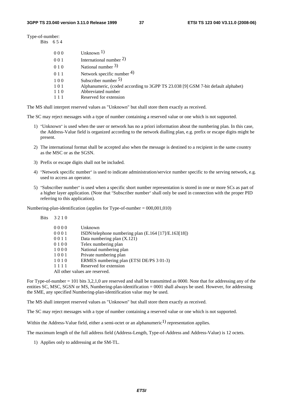Type-of-number: Bits 6 5 4

| 000   | Unknown $1$ )                                                                    |
|-------|----------------------------------------------------------------------------------|
| 001   | International number $2$ )                                                       |
| 010   | National number $3$ )                                                            |
| 0 1 1 | Network specific number $4$ )                                                    |
| 100   | Subscriber number $5$ )                                                          |
| 101   | Alphanumeric, (coded according to 3GPP TS 23.038 [9] GSM 7-bit default alphabet) |
| 110   | Abbreviated number                                                               |
| 111   | Reserved for extension                                                           |
|       |                                                                                  |

The MS shall interpret reserved values as "Unknown" but shall store them exactly as received.

The SC may reject messages with a type of number containing a reserved value or one which is not supported.

- 1) "Unknown" is used when the user or network has no a priori information about the numbering plan. In this case, the Address-Value field is organized according to the network dialling plan, e.g. prefix or escape digits might be present.
- 2) The international format shall be accepted also when the message is destined to a recipient in the same country as the MSC or as the SGSN.
- 3) Prefix or escape digits shall not be included.
- 4) "Network specific number" is used to indicate administration/service number specific to the serving network, e.g. used to access an operator.
- 5) "Subscriber number" is used when a specific short number representation is stored in one or more SCs as part of a higher layer application. (Note that "Subscriber number" shall only be used in connection with the proper PID referring to this application).

Numbering-plan-identification (applies for Type-of-number = 000,001,010)

| <b>Bits</b> | 3210 |                                                      |
|-------------|------|------------------------------------------------------|
|             | 0000 | Unknown                                              |
|             | 0001 | ISDN/telephone numbering plan (E.164 [17]/E.163[18]) |
|             | 0011 | Data numbering plan (X.121)                          |
|             | 0100 | Telex numbering plan                                 |
|             | 1000 | National numbering plan                              |
|             | 1001 | Private numbering plan                               |
|             | 1010 | ERMES numbering plan (ETSI DE/PS 3 01-3)             |
|             | 1111 | Reserved for extension                               |
|             |      | All other values are reserved.                       |

For Type-of-number = 101 bits 3,2,1,0 are reserved and shall be transmitted as 0000. Note that for addressing any of the entities SC, MSC, SGSN or MS, Numbering-plan-identification = 0001 shall always be used. However, for addressing the SME, any specified Numbering-plan-identification value may be used.

The MS shall interpret reserved values as "Unknown" but shall store them exactly as received.

The SC may reject messages with a type of number containing a reserved value or one which is not supported.

Within the Address-Value field, either a semi-octet or an alphanumeric<sup>1)</sup> representation applies.

The maximum length of the full address field (Address-Length, Type-of-Address and Address-Value) is 12 octets.

1) Applies only to addressing at the SM-TL.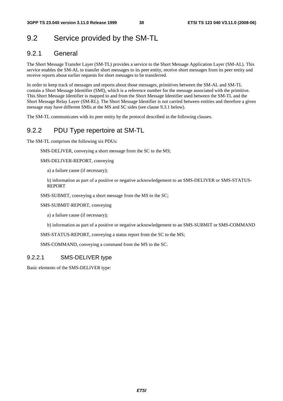# 9.2 Service provided by the SM-TL

# 9.2.1 General

The Short Message Transfer Layer (SM-TL) provides a service to the Short Message Application Layer (SM-AL). This service enables the SM-AL to transfer short messages to its peer entity, receive short messages from its peer entity and receive reports about earlier requests for short messages to be transferred.

In order to keep track of messages and reports about those messages, primitives between the SM-AL and SM-TL contain a Short Message Identifier (SMI), which is a reference number for the message associated with the primitive. This Short Message Identifier is mapped to and from the Short Message Identifier used between the SM-TL and the Short Message Relay Layer (SM-RL). The Short Message Identifier is not carried between entities and therefore a given message may have different SMIs at the MS and SC sides (see clause 9.3.1 below).

The SM-TL communicates with its peer entity by the protocol described in the following clauses.

# 9.2.2 PDU Type repertoire at SM-TL

The SM-TL comprises the following six PDUs:

SMS-DELIVER, conveying a short message from the SC to the MS;

SMS-DELIVER-REPORT, conveying

a) a failure cause (if necessary);

 b) information as part of a positive or negative acknowledgement to an SMS-DELIVER or SMS-STATUS-REPORT

SMS-SUBMIT, conveying a short message from the MS to the SC;

SMS-SUBMIT-REPORT, conveying

a) a failure cause (if necessary);

b) information as part of a positive or negative acknowledgement to an SMS-SUBMIT or SMS-COMMAND

SMS-STATUS-REPORT, conveying a status report from the SC to the MS;

SMS-COMMAND, conveying a command from the MS to the SC.

## 9.2.2.1 SMS-DELIVER type

Basic elements of the SMS-DELIVER type: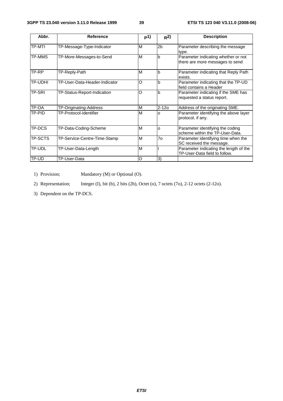| Abbr.         | <b>Reference</b>              | p(1) | R <sup>2</sup> | <b>Description</b>                                                      |
|---------------|-------------------------------|------|----------------|-------------------------------------------------------------------------|
| <b>TP-MTI</b> | TP-Message-Type-Indicator     | M    | 2 <sub>b</sub> | Parameter describing the message<br>type.                               |
| TP-MMS        | TP-More-Messages-to-Send      | M    | b              | Parameter indicating whether or not<br>there are more messages to send  |
| TP-RP         | TP-Reply-Path                 | M    | b              | Parameter indicating that Reply Path<br>exists.                         |
| TP-UDHI       | TP-User-Data-Header-Indicator | O    | b              | Parameter indicating that the TP-UD<br>field contains a Header          |
| <b>TP-SRI</b> | TP-Status-Report-Indication   | O    | b              | Parameter indicating if the SME has<br>requested a status report.       |
| TP-OA         | TP-Originating-Address        | M    | $2 - 120$      | Address of the originating SME.                                         |
| TP-PID        | TP-Protocol-Identifier        | M    | O              | Parameter identifying the above layer<br>protocol, if any.              |
| TP-DCS        | TP-Data-Coding-Scheme         | M    | O              | Parameter identifying the coding<br>scheme within the TP-User-Data.     |
| TP-SCTS       | TP-Service-Centre-Time-Stamp  | M    | 70             | Parameter identifying time when the<br>SC received the message.         |
| TP-UDL        | TP-User-Data-Length           | M    |                | Parameter indicating the length of the<br>TP-User-Data field to follow. |
| TP-UD         | TP-User-Data                  | O    | 3)             |                                                                         |

1) Provision; Mandatory (M) or Optional (O).

2) Representation; Integer (I), bit (b), 2 bits (2b), Octet (o), 7 octets (7o), 2-12 octets (2-12o).

3) Dependent on the TP-DCS.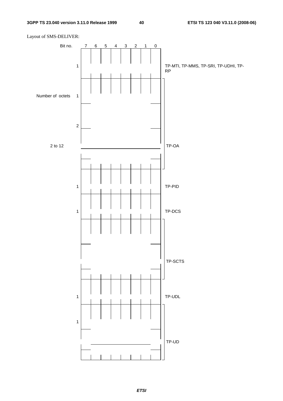Layout of SMS-DELIVER:

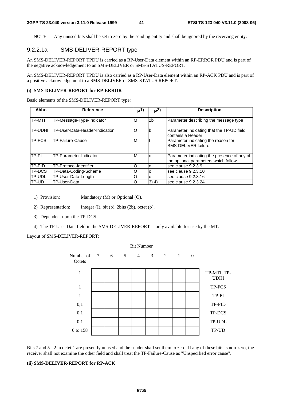NOTE: Any unused bits shall be set to zero by the sending entity and shall be ignored by the receiving entity.

# 9.2.2.1a SMS-DELIVER-REPORT type

An SMS-DELIVER-REPORT TPDU is carried as a RP-User-Data element within an RP-ERROR PDU and is part of the negative acknowledgement to an SMS-DELIVER or SMS-STATUS-REPORT.

An SMS-DELIVER-REPORT TPDU is also carried as a RP-User-Data element within an RP-ACK PDU and is part of a positive acknowledgement to a SMS-DELIVER or SMS-STATUS REPORT.

#### **(i) SMS-DELIVER-REPORT for RP-ERROR**

Basic elements of the SMS-DELIVER-REPORT type:

| Abbr.          | <b>Reference</b>               | p1) | <sub>p</sub> 2) | <b>Description</b>                                                                  |
|----------------|--------------------------------|-----|-----------------|-------------------------------------------------------------------------------------|
| <b>TP-MTI</b>  | TP-Message-Type-Indicator      | M   | 2 <sub>b</sub>  | Parameter describing the message type                                               |
| <b>TP-UDHI</b> | TP-User-Data-Header-Indication | O   | b               | Parameter indicating that the TP-UD field<br>Icontains a Header                     |
| <b>TP-FCS</b>  | TP-Failure-Cause               | M   |                 | Parameter indicating the reason for<br><b>SMS-DELIVER failure</b>                   |
| TP-PI          | TP-Parameter-Indicator         | M   | $\Omega$        | Parameter indicating the presence of any of<br>the optional parameters which follow |
| TP-PID         | TP-Protocol-Identifier         | റ   | O               | see clause 9.2.3.9                                                                  |
| <b>ITP-DCS</b> | TP-Data-Coding-Scheme          | O   | O               | lsee clause 9.2.3.10                                                                |
| <b>TP-UDL</b>  | TP-User-Data-Length            |     | $\Omega$        | lsee clause 9.2.3.16                                                                |
| ITP-UD         | TP-User-Data                   | O   | $(3)$ 4)        | lsee clause 9.2.3.24                                                                |

- 1) Provision: Mandatory (M) or Optional (O).
- 2) Representation: Integer (I), bit (b), 2bits (2b), octet (o).
- 3) Dependent upon the TP-DCS.
- 4) The TP-User-Data field in the SMS-DELIVER-REPORT is only available for use by the MT.

Bit Number

#### Layout of SMS-DELIVER-REPORT:

| <b>Bit Number</b>         |  |  |  |                 |  |                    |  |                            |
|---------------------------|--|--|--|-----------------|--|--------------------|--|----------------------------|
| Number of 7 6 5<br>Octets |  |  |  | $4\overline{ }$ |  | $3 \t 2 \t 1 \t 0$ |  |                            |
| $\mathbf{1}$              |  |  |  |                 |  |                    |  | TP-MTI, TP-<br><b>UDHI</b> |
| $\mathbf{1}$              |  |  |  |                 |  |                    |  | TP-FCS                     |
| $\mathbf{1}$              |  |  |  |                 |  |                    |  | TP-PI                      |
| 0,1                       |  |  |  |                 |  |                    |  | TP-PID                     |
| 0,1                       |  |  |  |                 |  |                    |  | TP-DCS                     |
| 0,1                       |  |  |  |                 |  |                    |  | TP-UDL                     |
| 0 to 158                  |  |  |  |                 |  |                    |  | TP-UD                      |

Bits 7 and 5 - 2 in octet 1 are presently unused and the sender shall set them to zero. If any of these bits is non-zero, the receiver shall not examine the other field and shall treat the TP-Failure-Cause as "Unspecified error cause".

## **(ii) SMS-DELIVER-REPORT for RP-ACK**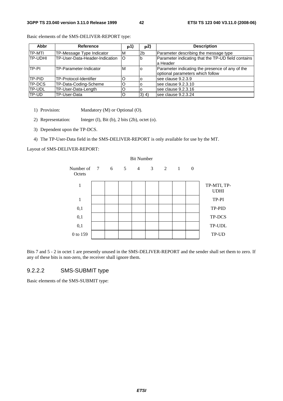| Abbr          | <b>Reference</b>               | <b>p1)</b> | p <sup>2</sup> | <b>Description</b>                                 |
|---------------|--------------------------------|------------|----------------|----------------------------------------------------|
| ITP-MTI       | TP-Message Type Indicator      | ΙM         | 2b             | Parameter describing the message type              |
| ITP-UDHI      | TP-User-Data-Header-Indication | lO         |                | Parameter indicating that the TP-UD field contains |
|               |                                |            |                | la Header                                          |
| TP-PI         | TP-Parameter-Indicator         | M          |                | Parameter indicating the presence of any of the    |
|               |                                |            |                | optional parameters which follow                   |
| ITP-PID       | TP-Protocol-Identifier         |            |                | see clause 9.2.3.9                                 |
| <b>TP-DCS</b> | TP-Data-Coding-Scheme          |            |                | see clause 9.2.3.10                                |
| <b>TP-UDL</b> | TP-User-Data-Length            |            |                | see clause 9.2.3.16                                |
| TP-UD         | TP-User-Data                   | O          | $(3)$ 4)       | see clause 9.2.3.24                                |

Basic elements of the SMS-DELIVER-REPORT type:

- 1) Provision: Mandatory (M) or Optional (O).
- 2) Representation: Integer (I), Bit (b), 2 bits (2b), octet (o).
- 3) Dependent upon the TP-DCS.
- 4) The TP-User-Data field in the SMS-DELIVER-REPORT is only available for use by the MT.

Layout of SMS-DELIVER-REPORT:

|                                                                                                    | <b>Bit Number</b> |  |  |  |  |                                |  |                            |
|----------------------------------------------------------------------------------------------------|-------------------|--|--|--|--|--------------------------------|--|----------------------------|
| Number of $7\phantom{.0}\phantom{.0}\phantom{.0}6\phantom{.0}\phantom{.0}5\phantom{.0}4$<br>Octets |                   |  |  |  |  | $3 \qquad 2 \qquad 1 \qquad 0$ |  |                            |
| $\mathbf{1}$                                                                                       |                   |  |  |  |  |                                |  | TP-MTI, TP-<br><b>UDHI</b> |
| $\mathbf{1}$                                                                                       |                   |  |  |  |  |                                |  | TP-PI                      |
| 0,1                                                                                                |                   |  |  |  |  |                                |  | TP-PID                     |
| 0,1                                                                                                |                   |  |  |  |  |                                |  | TP-DCS                     |
| 0,1                                                                                                |                   |  |  |  |  |                                |  | TP-UDL                     |
| 0 to 159                                                                                           |                   |  |  |  |  |                                |  | TP-UD                      |

Bits 7 and 5 - 2 in octet 1 are presently unused in the SMS-DELIVER-REPORT and the sender shall set them to zero. If any of these bits is non-zero, the receiver shall ignore them.

## 9.2.2.2 SMS-SUBMIT type

Basic elements of the SMS-SUBMIT type: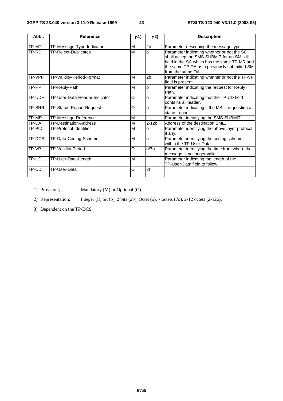| Abbr.   | <b>Reference</b>              | p(1)    | p2)            | <b>Description</b>                                                                                                                                                                                         |
|---------|-------------------------------|---------|----------------|------------------------------------------------------------------------------------------------------------------------------------------------------------------------------------------------------------|
| TP-MTI  | TP-Message-Type-Indicator     | M       | 2 <sub>b</sub> | Parameter describing the message type.                                                                                                                                                                     |
| TP-RD   | TP-Reject-Duplicates          | M       | h              | Parameter indicating whether or not the SC<br>shall accept an SMS-SUBMIT for an SM still<br>held in the SC which has the same TP-MR and<br>the same TP-DA as a previously submitted SM<br>from the same OA |
| TP-VPF  | TP-Validity-Period-Format     | M       | 2 <sub>b</sub> | Parameter indicating whether or not the TP-VP<br>field is present.                                                                                                                                         |
| TP-RP   | TP-Reply-Path                 | M       | $\mathbf b$    | Parameter indicating the request for Reply<br>Path.                                                                                                                                                        |
| TP-UDHI | TP-User-Data-Header-Indicator | O       | b              | Parameter indicating that the TP-UD field<br>contains a Header.                                                                                                                                            |
| TP-SRR  | TP-Status-Report-Request      | O       | b              | Parameter indicating if the MS is requesting a<br>status report.                                                                                                                                           |
| TP-MR   | TP-Message-Reference          | M       |                | Parameter identifying the SMS-SUBMIT.                                                                                                                                                                      |
| TP-DA   | <b>TP-Destination-Address</b> | M       | $2 - 120$      | Address of the destination SME.                                                                                                                                                                            |
| TP-PID  | TP-Protocol-Identifier        | M       | <sup>o</sup>   | Parameter identifying the above layer protocol,<br>if any.                                                                                                                                                 |
| TP-DCS  | TP-Data-Coding-Scheme         | M       | $\circ$        | Parameter identifying the coding scheme<br>within the TP-User-Data.                                                                                                                                        |
| TP-VP   | TP-Validity-Period            | $\circ$ | O/7O           | Parameter identifying the time from where the<br>message is no longer valid.                                                                                                                               |
| TP-UDL  | TP-User-Data-Length           | M       |                | Parameter indicating the length of the<br>TP-User-Data field to follow.                                                                                                                                    |
| TP-UD   | TP-User-Data                  | O       | 3)             |                                                                                                                                                                                                            |

1) Provision; Mandatory (M) or Optional (O).

2) Representation; Integer (I), bit (b), 2 bits (2b), Octet (o), 7 octets (7o), 2-12 octets (2-12o).

3) Dependent on the TP-DCS.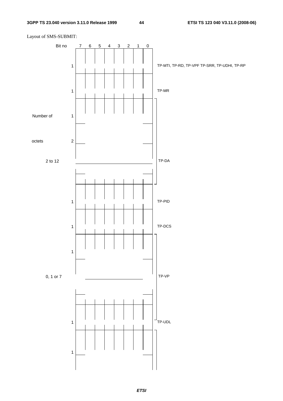

## Layout of SMS-SUBMIT: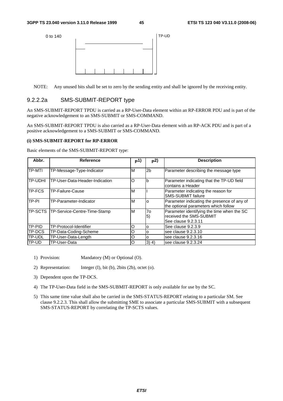

NOTE: Any unused bits shall be set to zero by the sending entity and shall be ignored by the receiving entity.

## 9.2.2.2a SMS-SUBMIT-REPORT type

An SMS-SUBMIT-REPORT TPDU is carried as a RP-User-Data element within an RP-ERROR PDU and is part of the negative acknowledgement to an SMS-SUBMIT or SMS-COMMAND.

An SMS-SUBMIT-REPORT TPDU is also carried as a RP-User-Data element with an RP-ACK PDU and is part of a positive acknowledgement to a SMS-SUBMIT or SMS-COMMAND.

#### **(i) SMS-SUBMIT-REPORT for RP-ERROR**

Basic elements of the SMS-SUBMIT-REPORT type:

| Abbr.         | Reference                      | P <sup>1</sup> | p <sup>2</sup>   | <b>Description</b>                                                                           |
|---------------|--------------------------------|----------------|------------------|----------------------------------------------------------------------------------------------|
| <b>TP-MTI</b> | TP-Message-Type-Indicator      | M              | 2 <sub>b</sub>   | Parameter describing the message type                                                        |
| TP-UDHI       | TP-User-Data-Header-Indication | O              | b                | Parameter indicating that the TP-UD field<br>contains a Header                               |
| TP-FCS        | <b>TP-Failure-Cause</b>        | M              |                  | Parameter indicating the reason for<br><b>SMS-SUBMIT failure</b>                             |
| TP-PI         | TP-Parameter-Indicator         | M              | O                | Parameter indicating the presence of any of<br>the optional parameters which follow          |
| TP-SCTS       | TP-Service-Centre-Time-Stamp   | М              | 7o<br>$\vert 5)$ | Parameter identifying the time when the SC<br>received the SMS-SUBMIT<br>See clause 9.2.3.11 |
| <b>TP-PID</b> | TP-Protocol-Identifier         | O              | O                | See clause 9.2.3.9                                                                           |
| TP-DCS        | TP-Data-Coding-Scheme          | Ο              | O                | see clause 9.2.3.10                                                                          |
| TP-UDL        | TP-User-Data-Length            | O              | O                | see clause 9.2.3.16                                                                          |
| TP-UD         | TP-User-Data                   | O              | $3)$ 4)          | see clause 9.2.3.24                                                                          |

- 1) Provision: Mandatory (M) or Optional (O).
- 2) Representation: Integer (I), bit (b), 2bits (2b), octet (o).
- 3) Dependent upon the TP-DCS.
- 4) The TP-User-Data field in the SMS-SUBMIT-REPORT is only available for use by the SC.
- 5) This same time value shall also be carried in the SMS-STATUS-REPORT relating to a particular SM. See clause 9.2.2.3. This shall allow the submitting SME to associate a particular SMS-SUBMIT with a subsequent SMS-STATUS-REPORT by correlating the TP-SCTS values.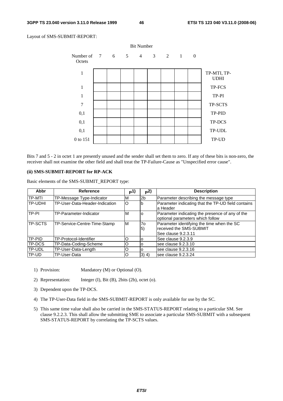Layout of SMS-SUBMIT-REPORT:



Bits 7 and 5 - 2 in octet 1 are presently unused and the sender shall set them to zero. If any of these bits is non-zero, the receiver shall not examine the other field and shall treat the TP-Failure-Cause as "Unspecified error cause".

#### **(ii) SMS-SUBMIT-REPORT for RP-ACK**

Basic elements of the SMS-SUBMIT\_REPORT type:

| <b>Abbr</b>    | <b>Reference</b>               | p <sub>1</sub> | p <sup>2</sup>          | <b>Description</b>                                                                           |
|----------------|--------------------------------|----------------|-------------------------|----------------------------------------------------------------------------------------------|
| ITP-MTI        | TP-Message Type-Indicator      | ΙM             | 2 <sub>b</sub>          | Parameter describing the message type                                                        |
| TP-UDHI        | TP-User-Data-Header-Indication | $\circ$        | lb                      | Parameter indicating that the TP-UD field contains<br>la Header                              |
| TP-PI          | TP-Parameter-Indicator         | M              |                         | Parameter indicating the presence of any of the<br>optional parameters which follow          |
| <b>TP-SCTS</b> | TP-Service-Centre-Time-Stamp   | ΙM             | <b>70</b><br>$\vert 5)$ | Parameter identifying the time when the SC<br>received the SMS-SUBMIT<br>See clause 9.2.3.11 |
| TP-PID         | TP-Protocol-Identifier         | O              | O                       | See clause 9.2.3.9                                                                           |
| <b>ITP-DCS</b> | TP-Data-Coding-Scheme          | O              | O                       | see clause 9.2.3.10                                                                          |
| TP-UDL         | TP-User-Data-Length            | O              | ١o                      | see clause 9.2.3.16                                                                          |
| TP-UD          | TP-User-Data                   | O              | $3)$ 4)                 | see clause 9.2.3.24                                                                          |

- 1) Provision: Mandatory (M) or Optional (O).
- 2) Representation: Integer (I), Bit (B), 2bits (2b), octet (o).
- 3) Dependent upon the TP-DCS.
- 4) The TP-User-Data field in the SMS-SUBMIT-REPORT is only available for use by the SC.
- 5) This same time value shall also be carried in the SMS-STATUS-REPORT relating to a particular SM. See clause 9.2.2.3. This shall allow the submitting SME to associate a particular SMS-SUBMIT with a subsequent SMS-STATUS-REPORT by correlating the TP-SCTS values.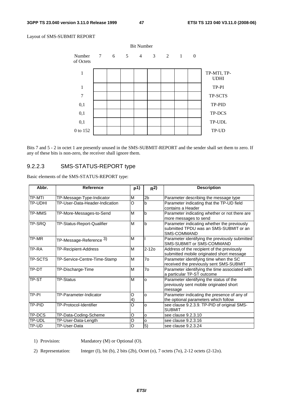#### Layout of SMS-SUBMIT REPORT



Bits 7 and 5 - 2 in octet 1 are presently unused in the SMS-SUBMIT-REPORT and the sender shall set them to zero. If any of these bits is non-zero, the receiver shall ignore them.

# 9.2.2.3 SMS-STATUS-REPORT type

Basic elements of the SMS-STATUS-REPORT type:

| Abbr.          | <b>Reference</b>               | p(1)                   | R <sup>2</sup>  | <b>Description</b>                                                                                   |
|----------------|--------------------------------|------------------------|-----------------|------------------------------------------------------------------------------------------------------|
| <b>TP-MTI</b>  | TP-Message-Type-Indicator      | M                      | 2 <sub>b</sub>  | Parameter describing the message type                                                                |
| TP-UDHI        | TP-User-Data-Header-Indication | O                      | b               | Parameter indicating that the TP-UD field<br>contains a Header                                       |
| <b>TP-MMS</b>  | TP-More-Messages-to-Send       | M                      | b               | Parameter indicating whether or not there are<br>more messages to send                               |
| <b>TP-SRO</b>  | TP-Status-Report-Qualifier     | M                      | b               | Parameter indicating whether the previously<br>submitted TPDU was an SMS-SUBMIT or an<br>SMS-COMMAND |
| TP-MR          | TP-Message-Reference 3)        | M                      |                 | Parameter identifying the previously submitted<br>SMS-SUBMIT or SMS-COMMAND                          |
| TP-RA          | TP-Recipient-Address           | M                      | $2 - 120$       | Address of the recipient of the previously<br>submitted mobile originated short message              |
| <b>TP-SCTS</b> | TP-Service-Centre-Time-Stamp   | M                      | $\overline{70}$ | Parameter identifying time when the SC<br>received the previously sent SMS-SUBMIT                    |
| TP-DT          | TP-Discharge-Time              | M                      | 7o              | Parameter identifying the time associated with<br>a particular TP-ST outcome                         |
| TP-ST          | <b>TP-Status</b>               | M                      | O               | Parameter identifying the status of the<br>previously sent mobile originated short<br>message        |
| TP-PI          | TP-Parameter-Indicator         | O<br>$\left( 4\right)$ | o               | Parameter indicating the presence of any of<br>the optional parameters which follow                  |
| <b>TP-PID</b>  | TP-Protocol-Identifier         | O                      | o               | see clause 9.2.3.9. TP-PID of original SMS-<br><b>SUBMIT</b>                                         |
| <b>TP-DCS</b>  | TP-Data-Coding-Scheme          | O                      | o               | see clause 9.2.3.10                                                                                  |
| <b>TP-UDL</b>  | TP-User-Data-Length            | O                      | o               | see clause 9.2.3.16                                                                                  |
| <b>TP-UD</b>   | TP-User-Data                   | $\overline{\circ}$     | $\overline{5}$  | see clause 9.2.3.24                                                                                  |

1) Provision: Mandatory (M) or Optional (O).

2) Representation: Integer (I), bit (b), 2 bits (2b), Octet (o), 7 octets (7o), 2-12 octets (2-12o).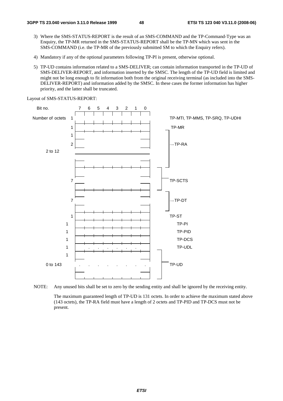- 3) Where the SMS-STATUS-REPORT is the result of an SMS-COMMAND and the TP-Command-Type was an Enquiry, the TP-MR returned in the SMS-STATUS-REPORT shall be the TP-MN which was sent in the SMS-COMMAND (i.e. the TP-MR of the previously submitted SM to which the Enquiry refers).
- 4) Mandatory if any of the optional parameters following TP-PI is present, otherwise optional.
- 5) TP-UD contains information related to a SMS-DELIVER; can contain information transported in the TP-UD of SMS-DELIVER-REPORT, and information inserted by the SMSC. The length of the TP-UD field is limited and might not be long enough to fit information both from the original receiving terminal (as included into the SMS-DELIVER-REPORT) and information added by the SMSC. In these cases the former information has higher priority, and the latter shall be truncated.

Bit no. 7 6 5 4 3 2 1 0 Number of octets 1 TP-MTI, TP-MMS, TP-SRQ, TP-UDHI 1 TP-MR 1 **2** —TP-RA 2 to 12 7 TP-SCTS 7 —TP-DT<br>TP-ST 1 TP-ST 1 TP-PI 1 TP-PID 1 TP-DCS 1 . . . . . . TP-UDL 1 0 to 143 . . . . . . . . . . . . . . TP-UD

Layout of SMS-STATUS-REPORT:



 The maximum guaranteed length of TP-UD is 131 octets. In order to achieve the maximum stated above (143 octets), the TP-RA field must have a length of 2 octets and TP-PID and TP-DCS must not be present.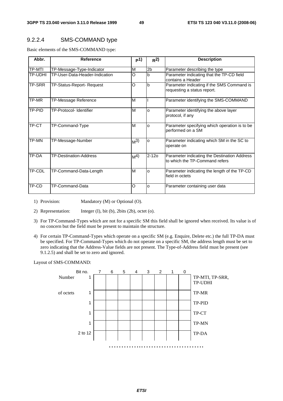# 9.2.2.4 SMS-COMMAND type

Basic elements of the SMS-COMMAND type:

| Abbr.   | <b>Reference</b>               | p1)            | R <sup>2</sup> | <b>Description</b>                                                             |
|---------|--------------------------------|----------------|----------------|--------------------------------------------------------------------------------|
| TP-MTI  | TP-Message-Type-Indicator      | M              | 2b             | Parameter describing the type                                                  |
| TP-UDHI | TP-User-Data-Header-Indication | Ω              | b              | Parameter indicating that the TP-CD field<br>contains a Header                 |
| TP-SRR  | TP-Status-Report- Request      | $\Omega$       | b              | Parameter indicating if the SMS Command is<br>requesting a status report.      |
| TP-MR   | TP-Message Reference           | M              |                | Parameter identifying the SMS-COMMAND                                          |
| TP-PID  | <b>TP-Protocol- Identifier</b> | M              | $\Omega$       | Parameter identifying the above layer<br>protocol, if any                      |
| TP-CT   | TP-Command-Type                | M              | $\Omega$       | Parameter specifying which operation is to be<br>performed on a SM             |
| TP-MN   | TP-Message-Number              | M <sup>3</sup> | o              | Parameter indicating which SM in the SC to<br>operate on                       |
| TP-DA   | <b>TP-Destination-Address</b>  | M <sup>4</sup> | $2 - 120$      | Parameter indicating the Destination Address<br>to which the TP-Command refers |
| TP-CDL  | TP-Command-Data-Length         | M              | O              | Parameter indicating the length of the TP-CD<br>field in octets                |
| TP-CD   | TP-Command-Data                | O              | o              | Parameter containing user data                                                 |

- 1) Provision: Mandatory (M) or Optional (O).
- 2) Representation: Integer (I), bit (b), 2bits (2b), octet (o).
- 3) For TP-Command-Types which are not for a specific SM this field shall be ignored when received. Its value is of no concern but the field must be present to maintain the structure.
- 4) For certain TP-Command-Types which operate on a specific SM (e.g. Enquire, Delete etc.) the full TP-DA must be specified. For TP-Command-Types which do not operate on a specific SM, the address length must be set to zero indicating that the Address-Value fields are not present. The Type-of-Address field must be present (see 9.1.2.5) and shall be set to zero and ignored.

Layout of SMS-COMMAND:

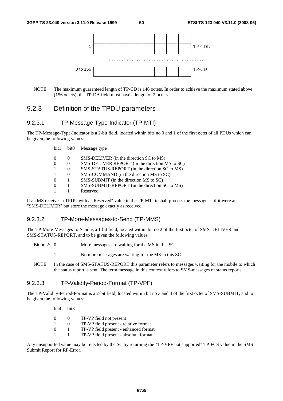

NOTE: The maximum guaranteed length of TP-CD is 146 octets. In order to achieve the maximum stated above (156 octets), the TP-DA field must have a length of 2 octets.

# 9.2.3 Definition of the TPDU parameters

## 9.2.3.1 TP-Message-Type-Indicator (TP-MTI)

The TP-Message-Type-Indicator is a 2-bit field, located within bits no 0 and 1 of the first octet of all PDUs which can be given the following values:

| bit1     | bit <sub>0</sub> | Message type                                   |
|----------|------------------|------------------------------------------------|
| $\theta$ | $\theta$         | SMS-DELIVER (in the direction SC to MS)        |
| $\Omega$ | $\Omega$         | SMS-DELIVER REPORT (in the direction MS to SC) |
|          | $\theta$         | SMS-STATUS-REPORT (in the direction SC to MS)  |
|          | $\Omega$         | SMS-COMMAND (in the direction MS to SC)        |
| 0        |                  | SMS-SUBMIT (in the direction MS to SC)         |
| $\theta$ |                  | SMS-SUBMIT-REPORT (in the direction SC to MS)  |
|          |                  | Reserved                                       |

If an MS receives a TPDU with a "Reserved" value in the TP-MTI it shall process the message as if it were an "SMS-DELIVER" but store the message exactly as received.

#### 9.2.3.2 TP-More-Messages-to-Send (TP-MMS)

The TP-More-Messages-to-Send is a 1-bit field, located within bit no 2 of the first octet of SMS-DELIVER and SMS-STATUS-REPORT, and to be given the following values:

- Bit no 2: 0 More messages are waiting for the MS in this SC
	- 1 No more messages are waiting for the MS in this SC
- NOTE: In the case of SMS-STATUS-REPORT this parameter refers to messages waiting for the mobile to which the status report is sent. The term message in this context refers to SMS-messages or status reports.

# 9.2.3.3 TP-Validity-Period-Format (TP-VPF)

The TP-Validity-Period-Format is a 2-bit field, located within bit no 3 and 4 of the first octet of SMS-SUBMIT, and to be given the following values:

bit4 bit3

- 0 0 TP-VP field not present
- 1 0 TP-VP field present relative format
- 0 1 TP-VP field present enhanced format
- 1 1 TP-VP field present absolute format

Any unsupported value may be rejected by the SC by returning the "TP-VPF not supported" TP-FCS value in the SMS Submit Report for RP-Error.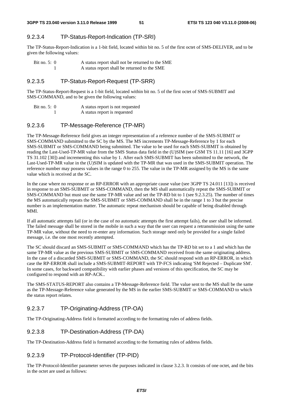## 9.2.3.4 TP-Status-Report-Indication (TP-SRI)

The TP-Status-Report-Indication is a 1-bit field, located within bit no. 5 of the first octet of SMS-DELIVER, and to be given the following values:

| Bit no. $5:0$ | A status report shall not be returned to the SME |  |  |
|---------------|--------------------------------------------------|--|--|
|               | A status report shall be returned to the SME     |  |  |

## 9.2.3.5 TP-Status-Report-Request (TP-SRR)

The TP-Status-Report-Request is a 1-bit field, located within bit no. 5 of the first octet of SMS-SUBMIT and SMS-COMMAND, and to be given the following values:

| Bit no. $5:0$ | A status report is not requested |
|---------------|----------------------------------|
|               | A status report is requested     |

### 9.2.3.6 TP-Message-Reference (TP-MR)

The TP-Message-Reference field gives an integer representation of a reference number of the SMS-SUBMIT or SMS-COMMAND submitted to the SC by the MS. The MS increments TP-Message-Reference by 1 for each SMS-SUBMIT or SMS-COMMAND being submitted. The value to be used for each SMS-SUBMIT is obtained by reading the Last-Used-TP-MR value from the SMS Status data field in the (U)SIM (see GSM TS 11.11 [16] and 3GPP TS 31.102 [30]) and incrementing this value by 1. After each SMS-SUBMIT has been submitted to the network, the Last-Used-TP-MR value in the (U)SIM is updated with the TP-MR that was used in the SMS-SUBMIT operation. The reference number may possess values in the range 0 to 255. The value in the TP-MR assigned by the MS is the same value which is received at the SC.

In the case where no response or an RP-ERROR with an appropriate cause value (see 3GPP TS 24.011 [13]) is received in response to an SMS-SUBMIT or SMS-COMMAND, then the MS shall automatically repeat the SMS-SUBMIT or SMS-COMMAND but must use the same TP-MR value and set the TP-RD bit to 1 (see 9.2.3.25). The number of times the MS automatically repeats the SMS-SUBMIT or SMS-COMMAND shall be in the range 1 to 3 but the precise number is an implementation matter. The automatic repeat mechanism should be capable of being disabled through MMI.

If all automatic attempts fail (or in the case of no automatic attempts the first attempt fails), the user shall be informed. The failed message shall be stored in the mobile in such a way that the user can request a retransmission using the same TP-MR value, without the need to re-enter any information. Such storage need only be provided for a single failed message, i.e. the one most recently attempted.

The SC should discard an SMS-SUBMIT or SMS-COMMAND which has the TP-RD bit set to a 1 and which has the same TP-MR value as the previous SMS-SUBMIT or SMS-COMMAND received from the same originating address. In the case of a discarded SMS-SUBMIT or SMS-COMMAND, the SC should respond with an RP-ERROR, in which case the RP-ERROR shall include a SMS-SUBMIT-REPORT with TP-FCS indicating 'SM Rejected – Duplicate SM'. In some cases, for backward compatibility with earlier phases and versions of this specification, the SC may be configured to respond with an RP-ACK..

The SMS-STATUS-REPORT also contains a TP-Message-Reference field. The value sent to the MS shall be the same as the TP-Message-Reference value generated by the MS in the earlier SMS-SUBMIT or SMS-COMMAND to which the status report relates.

## 9.2.3.7 TP-Originating-Address (TP-OA)

The TP-Originating-Address field is formatted according to the formatting rules of address fields.

#### 9.2.3.8 TP-Destination-Address (TP-DA)

The TP-Destination-Address field is formatted according to the formatting rules of address fields.

## 9.2.3.9 TP-Protocol-Identifier (TP-PID)

The TP-Protocol-Identifier parameter serves the purposes indicated in clause 3.2.3. It consists of one octet, and the bits in the octet are used as follows: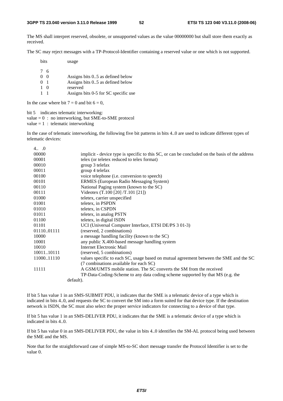The MS shall interpret reserved, obsolete, or unsupported values as the value 00000000 but shall store them exactly as received.

The SC may reject messages with a TP-Protocol-Identifier containing a reserved value or one which is not supported.

bits usage

 $\begin{array}{cc} 7 & 6 \\ 0 & 0 \end{array}$ Assigns bits  $0.5$  as defined below 0 1 Assigns bits 0..5 as defined below

- 
- 1 0 reserved<br>1 1 Assigns b
- Assigns bits 0-5 for SC specific use

In the case where bit  $7 = 0$  and bit  $6 = 0$ ,

bit 5 indicates telematic interworking:

value  $= 0$ : no interworking, but SME-to-SME protocol

value =  $1$  : telematic interworking

 $\alpha$ 

In the case of telematic interworking, the following five bit patterns in bits 4..0 are used to indicate different types of telematic devices:

| 4 v        |                                                                                                |
|------------|------------------------------------------------------------------------------------------------|
| 00000      | implicit - device type is specific to this SC, or can be concluded on the basis of the address |
| 00001      | telex (or teletex reduced to telex format)                                                     |
| 00010      | group 3 telefax                                                                                |
| 00011      | group 4 telefax                                                                                |
| 00100      | voice telephone (i.e. conversion to speech)                                                    |
| 00101      | ERMES (European Radio Messaging System)                                                        |
| 00110      | National Paging system (known to the SC)                                                       |
| 00111      | Videotex (T.100 [20] /T.101 [21])                                                              |
| 01000      | teletex, carrier unspecified                                                                   |
| 01001      | teletex, in PSPDN                                                                              |
| 01010      | teletex, in CSPDN                                                                              |
| 01011      | teletex, in analog PSTN                                                                        |
| 01100      | teletex, in digital ISDN                                                                       |
| 01101      | UCI (Universal Computer Interface, ETSI DE/PS 3 01-3)                                          |
| 0111001111 | (reserved, 2 combinations)                                                                     |
| 10000      | a message handling facility (known to the SC)                                                  |
| 10001      | any public X.400-based message handling system                                                 |
| 10010      | Internet Electronic Mail                                                                       |
| 1001110111 | (reserved, 5 combinations)                                                                     |
| 1100011110 | values specific to each SC, usage based on mutual agreement between the SME and the SC         |
|            | (7 combinations available for each SC)                                                         |
| 11111      | A GSM/UMTS mobile station. The SC converts the SM from the received                            |
|            | TP-Data-Coding-Scheme to any data coding scheme supported by that MS (e.g. the                 |
|            | default).                                                                                      |

If bit 5 has value 1 in an SMS-SUBMIT PDU, it indicates that the SME is a telematic device of a type which is indicated in bits 4..0, and requests the SC to convert the SM into a form suited for that device type. If the destination network is ISDN, the SC must also select the proper service indicators for connecting to a device of that type.

If bit 5 has value 1 in an SMS-DELIVER PDU, it indicates that the SME is a telematic device of a type which is indicated in bits  $4.0$ .

If bit 5 has value 0 in an SMS-DELIVER PDU, the value in bits 4..0 identifies the SM-AL protocol being used between the SME and the MS.

Note that for the straightforward case of simple MS-to-SC short message transfer the Protocol Identifier is set to the value 0.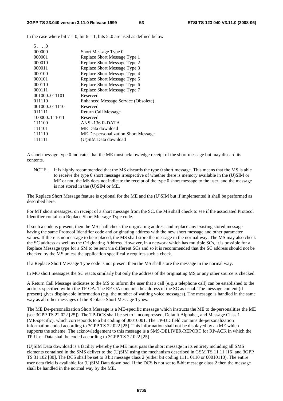In the case where bit  $7 = 0$ , bit  $6 = 1$ , bits 5..0 are used as defined below

| $5 \ldots 0$ |                                            |
|--------------|--------------------------------------------|
| 000000       | Short Message Type 0                       |
| 000001       | Replace Short Message Type 1               |
| 000010       | Replace Short Message Type 2               |
| 000011       | Replace Short Message Type 3               |
| 000100       | Replace Short Message Type 4               |
| 000101       | Replace Short Message Type 5               |
| 000110       | Replace Short Message Type 6               |
| 000111       | Replace Short Message Type 7               |
| 001000011101 | Reserved                                   |
| 011110       | <b>Enhanced Message Service (Obsolete)</b> |
| 001000011110 | Reserved                                   |
| 011111       | Return Call Message                        |
| 100000111011 | Reserved                                   |
| 111100       | ANSI-136 R-DATA                            |
| 111101       | ME Data download                           |
| 111110       | ME De-personalization Short Message        |
| 111111       | (U)SIM Data download                       |
|              |                                            |

A short message type 0 indicates that the ME must acknowledge receipt of the short message but may discard its contents.

NOTE: It is highly recommended that the MS discards the type 0 short message. This means that the MS is able to receive the type 0 short message irrespective of whether there is memory available in the (U)SIM or ME or not, the MS does not indicate the receipt of the type 0 short message to the user, and the message is not stored in the (U)SIM or ME.

The Replace Short Message feature is optional for the ME and the (U)SIM but if implemented it shall be performed as described here.

For MT short messages, on receipt of a short message from the SC, the MS shall check to see if the associated Protocol Identifier contains a Replace Short Message Type code.

If such a code is present, then the MS shall check the originating address and replace any existing stored message having the same Protocol Identifier code and originating address with the new short message and other parameter values. If there is no message to be replaced, the MS shall store the message in the normal way. The MS may also check the SC address as well as the Originating Address. However, in a network which has multiple SCs, it is possible for a Replace Message type for a SM to be sent via different SCs and so it is recommended that the SC address should not be checked by the MS unless the application specifically requires such a check.

If a Replace Short Message Type code is not present then the MS shall store the message in the normal way.

In MO short messages the SC reacts similarly but only the address of the originating MS or any other source is checked.

A Return Call Message indicates to the MS to inform the user that a call (e.g. a telephone call) can be established to the address specified within the TP-OA. The RP-OA contains the address of the SC as usual. The message content (if present) gives displayable information (e.g. the number of waiting voice messages). The message is handled in the same way as all other messages of the Replace Short Message Types.

The ME De-personalization Short Message is a ME-specific message which instructs the ME to de-personalities the ME (see 3GPP TS 22.022 [25]). The TP-DCS shall be set to Uncompressed, Default Alphabet, and Message Class 1 (ME-specific), which corresponds to a bit coding of 00010001. The TP-UD field contains de-personalization information coded according to 3GPP TS 22.022 [25]. This information shall not be displayed by an ME which supports the scheme. The acknowledgement to this message is a SMS-DELIVER-REPORT for RP-ACK in which the TP-User-Data shall be coded according to 3GPP TS 22.022 [25].

(U)SIM Data download is a facility whereby the ME must pass the short message in its entirety including all SMS elements contained in the SMS deliver to the (U)SIM using the mechanism described in GSM TS 11.11 [16] and 3GPP TS 31.102 [30]. The DCS shall be set to 8 bit message class 2 (either bit coding 1111 0110 or 00010110). The entire user data field is available for (U)SIM Data download. If the DCS is not set to 8-bit message class 2 then the message shall be handled in the normal way by the ME.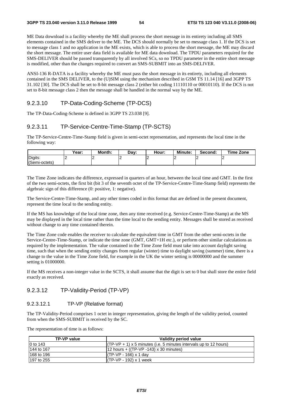ME Data download is a facility whereby the ME shall process the short message in its entirety including all SMS elements contained in the SMS deliver to the ME. The DCS should normally be set to message class 1. If the DCS is set to message class 1 and no application in the ME exists, which is able to process the short message, the ME may discard the short message. The entire user data field is available for ME data download. The TPDU parameters required for the SMS-DELIVER should be passed transparently by all involved SCs, so no TPDU parameter in the entire short message is modified, other than the changes required to convert an SMS-SUBMIT into an SMS-DELIVER.

ANSI-136 R-DATA is a facility whereby the ME must pass the short message in its entirety, including all elements contained in the SMS DELIVER, to the (U)SIM using the mechanism described in GSM TS 11.14 [16] and 3GPP TS 31.102 [30]. The DCS shall be set to 8-bit message class 2 (either bit coding 11110110 or 00010110). If the DCS is not set to 8-bit message class 2 then the message shall be handled in the normal way by the ME.

# 9.2.3.10 TP-Data-Coding-Scheme (TP-DCS)

The TP-Data-Coding-Scheme is defined in 3GPP TS 23.038 [9].

## 9.2.3.11 TP-Service-Centre-Time-Stamp (TP-SCTS)

The TP-Service-Centre-Time-Stamp field is given in semi-octet representation, and represents the local time in the following way:

|               | Vear: | Month: | Dav: | Hour: | <b>Minute:</b> | Second: | <b>Time Zone</b> |
|---------------|-------|--------|------|-------|----------------|---------|------------------|
| Digits:       |       | -      | -    |       |                |         | ı                |
| (Semi-octets) |       |        |      |       |                |         |                  |

The Time Zone indicates the difference, expressed in quarters of an hour, between the local time and GMT. In the first of the two semi-octets, the first bit (bit 3 of the seventh octet of the TP-Service-Centre-Time-Stamp field) represents the algebraic sign of this difference (0: positive, 1: negative).

The Service-Centre-Time-Stamp, and any other times coded in this format that are defined in the present document, represent the time local to the sending entity.

If the MS has knowledge of the local time zone, then any time received (e.g. Service-Centre-Time-Stamp) at the MS may be displayed in the local time rather than the time local to the sending entity. Messages shall be stored as received without change to any time contained therein.

The Time Zone code enables the receiver to calculate the equivalent time in GMT from the other semi-octets in the Service-Centre-Time-Stamp, or indicate the time zone (GMT, GMT+1H etc.), or perform other similar calculations as required by the implementation. The value contained in the Time Zone field must take into account daylight saving time, such that when the sending entity changes from regular (winter) time to daylight saving (summer) time, there is a change to the value in the Time Zone field, for example in the UK the winter setting is 00000000 and the summer setting is 01000000.

If the MS receives a non-integer value in the SCTS, it shall assume that the digit is set to 0 but shall store the entire field exactly as received.

## 9.2.3.12 TP-Validity-Period (TP-VP)

#### 9.2.3.12.1 TP-VP (Relative format)

The TP-Validity-Period comprises 1 octet in integer representation, giving the length of the validity period, counted from when the SMS-SUBMIT is received by the SC.

The representation of time is as follows:

| TP-VP value | Validity period value                                               |
|-------------|---------------------------------------------------------------------|
| 10 to 143   | $(TP-VP + 1)$ x 5 minutes (i.e. 5 minutes intervals up to 12 hours) |
| 144 to 167  | $ 12 \text{ hours} + ((TP-VP - 143) \times 30 \text{ minutes})$     |
| 168 to 196  | $I(TP-VP - 166) \times 1$ day                                       |
| 197 to 255  | $I(TP-VP - 192) \times 1$ week                                      |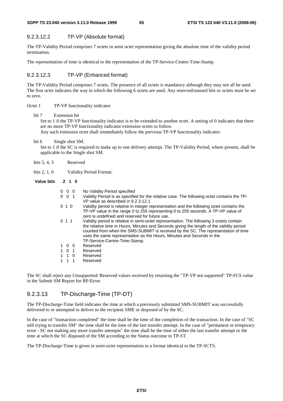#### 9.2.3.12.2 TP-VP (Absolute format)

The TP-Validity Period comprises 7 octets in semi octet representation giving the absolute time of the validity period termination.

The representation of time is identical to the representation of the TP-Service-Centre-Time-Stamp.

#### 9.2.3.12.3 TP-VP (Enhanced format)

The TP-Validity Period comprises 7 octets. The presence of all octets is mandatory although they may not all be used. The first octet indicates the way in which the following 6 octets are used. Any reserved/unused bits or octets must be set to zero.

#### Octet 1 TP-VP functionality indicator

bit 7 Extension bit

Set to 1 if the TP-VP functionality indicator is to be extended to another octet. A setting of 0 indicates that there are no more TP-VP functionality indicator extension octets to follow.

Any such extension octet shall immediately follow the previous TP-VP functionality indicator.

bit 6 Single shot SM.

Set to 1 if the SC is required to make up to one delivery attempt. The TP-Validity Period, where present, shall be applicable to the Single shot SM.

bits 5, 4, 3 Reserved

bits 2, 1, 0 Validity Period Format.

**Value bits 2 1 0** 

| $0\quad 0\quad 0$ | No Validity Period specified                                                                                                                                                                                                                                                                                                                                                         |
|-------------------|--------------------------------------------------------------------------------------------------------------------------------------------------------------------------------------------------------------------------------------------------------------------------------------------------------------------------------------------------------------------------------------|
| $0 \t 0 \t 1$     | Validity Period is as specified for the relative case. The following octet contains the TP-<br>VP value as described in 9.2.3.12.1                                                                                                                                                                                                                                                   |
| 010               | Validity period is relative in integer representation and the following octet contains the<br>TP-VP value in the range 0 to 255 representing 0 to 255 seconds. A TP-VP value of<br>zero is undefined and reserved for future use.                                                                                                                                                    |
| 0 1 1             | Validity period is relative in semi-octet representation. The following 3 octets contain<br>the relative time in Hours, Minutes and Seconds giving the length of the validity period<br>counted from when the SMS-SUBMIT is received by the SC. The representation of time<br>uses the same representation as the Hours, Minutes and Seconds in the<br>TP-Service-Centre-Time-Stamp. |
| 1 0 0             | Reserved                                                                                                                                                                                                                                                                                                                                                                             |
| $1 \t0 \t1$       | Reserved                                                                                                                                                                                                                                                                                                                                                                             |
| 1 1 0             | Reserved                                                                                                                                                                                                                                                                                                                                                                             |
| 1 1 1             | Reserved                                                                                                                                                                                                                                                                                                                                                                             |

The SC shall reject any Unsupported/ Reserved values received by returning the "TP-VP not supported" TP-FCS value in the Submit SM Report for RP-Error.

## 9.2.3.13 TP-Discharge-Time (TP-DT)

The TP-Discharge-Time field indicates the time at which a previously submitted SMS-SUBMIT was successfully delivered to or attempted to deliver to the recipient SME or disposed of by the SC.

In the case of "transaction completed" the time shall be the time of the completion of the transaction. In the case of "SC still trying to transfer SM" the time shall be the time of the last transfer attempt. In the case of "permanent or temporary error - SC not making any more transfer attempts" the time shall be the time of either the last transfer attempt or the time at which the SC disposed of the SM according to the Status outcome in TP-ST.

The TP-Discharge-Time is given in semi-octet representation in a format identical to the TP-SCTS.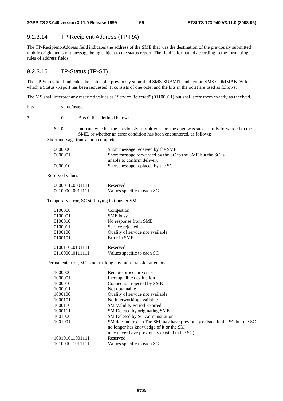## 9.2.3.14 TP-Recipient-Address (TP-RA)

The TP-Recipient-Address field indicates the address of the SME that was the destination of the previously submitted mobile originated short message being subject to the status report. The field is formatted according to the formatting rules of address fields.

## 9.2.3.15 TP-Status (TP-ST)

The TP-Status field indicates the status of a previously submitted SMS-SUBMIT and certain SMS COMMANDS for which a Status -Report has been requested. It consists of one octet and the bits in the octet are used as follows:

The MS shall interpret any reserved values as "Service Rejected" (01100011) but shall store them exactly as received.

bits value/usage

7 0 Bits 0..6 as defined below:

6....0 Indicate whether the previously submitted short message was successfully forwarded to the SME, or whether an error condition has been encountered, as follows:

Short message transaction completed

| 0000000 | Short message received by the SME                          |
|---------|------------------------------------------------------------|
| 0000001 | Short message forwarded by the SC to the SME but the SC is |
|         | unable to confirm delivery                                 |
| 0000010 | Short message replaced by the SC                           |

Reserved values

| 00000110001111 | Reserved                   |
|----------------|----------------------------|
| 00100000011111 | Values specific to each SC |

Temporary error, SC still trying to transfer SM

| 0100000        | Congestion                       |
|----------------|----------------------------------|
| 0100001        | SME busy                         |
| 0100010        | No response from SME             |
| 0100011        | Service rejected                 |
| 0100100        | Quality of service not available |
| 0100101        | Error in SME                     |
| 01001100101111 | Reserved                         |
| 01100000111111 | Values specific to each SC       |

Permanent error, SC is not making any more transfer attempts

| 1000000        | Remote procedure error                                                                                                |
|----------------|-----------------------------------------------------------------------------------------------------------------------|
| 1000001        | Incompatible destination                                                                                              |
| 1000010        | Connection rejected by SME                                                                                            |
| 1000011        | Not obtainable                                                                                                        |
| 1000100        | Quality of service not available                                                                                      |
| 1000101        | No interworking available                                                                                             |
| 1000110        | SM Validity Period Expired                                                                                            |
| 1000111        | SM Deleted by originating SME                                                                                         |
| 1001000        | SM Deleted by SC Administration                                                                                       |
| 1001001        | SM does not exist (The SM may have previously existed in the SC but the SC<br>no longer has knowledge of it or the SM |
|                | may never have previously existed in the SC)                                                                          |
| 10010101001111 | Reserved                                                                                                              |
| 10100001011111 | Values specific to each SC                                                                                            |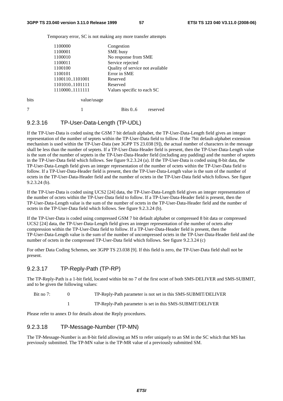Temporary error, SC is not making any more transfer attempts

|      | 1100000        | Congestion                       |
|------|----------------|----------------------------------|
|      | 1100001        | SME busy                         |
|      | 1100010        | No response from SME             |
|      | 1100011        | Service rejected                 |
|      | 1100100        | Quality of service not available |
|      | 1100101        | Error in SME                     |
|      | 11001101101001 | Reserved                         |
|      | 11010101101111 | Reserved                         |
|      | 11100001111111 | Values specific to each SC       |
| bits | value/usage    |                                  |

# 7 1 Bits 0..6 reserved

## 9.2.3.16 TP-User-Data-Length (TP-UDL)

If the TP-User-Data is coded using the GSM 7 bit default alphabet, the TP-User-Data-Length field gives an integer representation of the number of septets within the TP-User-Data field to follow. If the 7bit default-alphabet extension mechanism is used within the TP-User-Data (see 3GPP TS 23.038 [9]), the actual number of characters in the message shall be less than the number of septets. If a TP-User-Data-Header field is present, then the TP-User-Data-Length value is the sum of the number of septets in the TP-User-Data-Header field (including any padding) and the number of septets in the TP-User-Data field which follows. See figure 9.2.3.24 (a). If the TP-User-Data is coded using 8-bit data, the TP-User-Data-Length field gives an integer representation of the number of octets within the TP-User-Data field to follow. If a TP-User-Data-Header field is present, then the TP-User-Data-Length value is the sum of the number of octets in the TP-User-Data-Header field and the number of octets in the TP-User-Data field which follows. See figure 9.2.3.24 (b).

If the TP-User-Data is coded using UCS2 [24] data, the TP-User-Data-Length field gives an integer representation of the number of octets within the TP-User-Data field to follow. If a TP-User-Data-Header field is present, then the TP-User-Data-Length value is the sum of the number of octets in the TP-User-Data-Header field and the number of octets in the TP-User-Data field which follows. See figure 9.2.3.24 (b).

If the TP-User-Data is coded using compressed GSM 7 bit default alphabet or compressed 8 bit data or compressed UCS2 [24] data, the TP-User-Data-Length field gives an integer representation of the number of octets after compression within the TP-User-Data field to follow. If a TP-User-Data-Header field is present, then the TP-User-Data-Length value is the sum of the number of uncompressed octets in the TP-User-Data-Header field and the number of octets in the compressed TP-User-Data field which follows. See figure 9.2.3.24 (c)

For other Data Coding Schemes, see 3GPP TS 23.038 [9]. If this field is zero, the TP-User-Data field shall not be present.

## 9.2.3.17 TP-Reply-Path (TP-RP)

The TP-Reply-Path is a 1-bit field, located within bit no 7 of the first octet of both SMS-DELIVER and SMS-SUBMIT, and to be given the following values:

Bit no 7: 0 TP-Reply-Path parameter is not set in this SMS-SUBMIT/DELIVER

1 TP-Reply-Path parameter is set in this SMS-SUBMIT/DELIVER

Please refer to annex D for details about the Reply procedures.

## 9.2.3.18 TP-Message-Number (TP-MN)

The TP-Message-Number is an 8-bit field allowing an MS to refer uniquely to an SM in the SC which that MS has previously submitted. The TP-MN value is the TP-MR value of a previously submitted SM.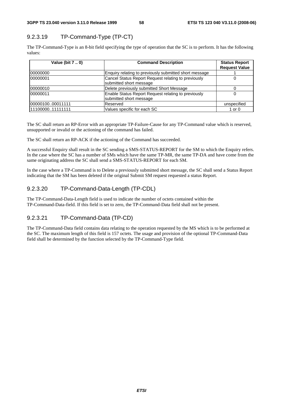# 9.2.3.19 TP-Command-Type (TP-CT)

The TP-Command-Type is an 8-bit field specifying the type of operation that the SC is to perform. It has the following values:

| Value (bit 7  0)  | <b>Command Description</b>                                                     | <b>Status Report</b><br><b>Request Value</b> |
|-------------------|--------------------------------------------------------------------------------|----------------------------------------------|
| 00000000          | Enquiry relating to previously submitted short message                         |                                              |
| 00000001          | Cancel Status Report Request relating to previously<br>submitted short message |                                              |
| 00000010          | Delete previously submitted Short Message                                      |                                              |
| 00000011          | Enable Status Report Request relating to previously<br>submitted short message |                                              |
| 0000010000011111  | Reserved                                                                       | unspecified                                  |
| 11110000011111111 | Values specific for each SC                                                    | 1 or 0                                       |

The SC shall return an RP-Error with an appropriate TP-Failure-Cause for any TP-Command value which is reserved, unsupported or invalid or the actioning of the command has failed.

The SC shall return an RP-ACK if the actioning of the Command has succeeded.

A successful Enquiry shall result in the SC sending a SMS-STATUS-REPORT for the SM to which the Enquiry refers. In the case where the SC has a number of SMs which have the same TP-MR, the same TP-DA and have come from the same originating address the SC shall send a SMS-STATUS-REPORT for each SM.

In the case where a TP-Command is to Delete a previously submitted short message, the SC shall send a Status Report indicating that the SM has been deleted if the original Submit SM request requested a status Report.

## 9.2.3.20 TP-Command-Data-Length (TP-CDL)

The TP-Command-Data-Length field is used to indicate the number of octets contained within the TP-Command-Data-field. If this field is set to zero, the TP-Command-Data field shall not be present.

#### 9.2.3.21 TP-Command-Data (TP-CD)

The TP-Command-Data field contains data relating to the operation requested by the MS which is to be performed at the SC. The maximum length of this field is 157 octets. The usage and provision of the optional TP-Command-Data field shall be determined by the function selected by the TP-Command-Type field.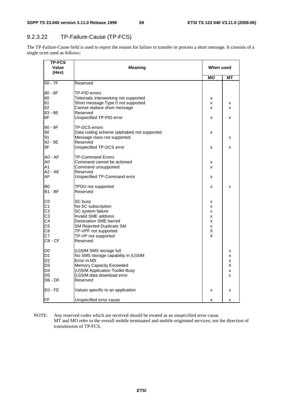# 9.2.3.22 TP-Failure-Cause (TP-FCS)

The TP-Failure-Cause field is used to report the reason for failure to transfer or process a short message. It consists of a single octet used as follows:

| <b>TP-FCS</b><br>Value<br>(Hex)  | <b>Meaning</b>                                   | When used |    |
|----------------------------------|--------------------------------------------------|-----------|----|
|                                  |                                                  | MО        | МT |
| $00 - 7F$                        | Reserved                                         |           |    |
| 80 - 8F                          | TP-PID errors                                    |           |    |
| 80                               | Telematic interworking not supported             | х         |    |
| 81                               | Short message Type 0 not supported               | x         | x  |
| 82<br>83 - 8E                    | Cannot replace short message<br>Reserved         | x         | x  |
| 8F                               | Unspecified TP-PID error                         | x         | x  |
| 90 - 9F                          | TP-DCS errors                                    |           |    |
| 90                               | Data coding scheme (alphabet) not supported      | x         |    |
| 91                               | Message class not supported                      |           | x  |
| 92 - 9E                          | Reserved                                         |           |    |
| 9F                               | Unspecified TP-DCS error                         | x         | x  |
| <b>A0 - AF</b>                   | TP-Command Errors                                |           |    |
| A0                               | Command cannot be actioned                       | x         |    |
| A1                               | Command unsupported                              | x         |    |
| A2 - AE                          | Reserved                                         |           |    |
| AF                               | Unspecified TP-Command error                     | x         |    |
| IB0                              | TPDU not supported                               | x         | x  |
| B <sub>1</sub> - BF              | Reserved                                         |           |    |
| C <sub>0</sub>                   | SC busy                                          | х         |    |
| C <sub>1</sub>                   | No SC subscription                               | x         |    |
| C <sub>2</sub>                   | SC system failure                                | х         |    |
| C <sub>3</sub>                   | Invalid SME address                              | x         |    |
| C <sub>4</sub>                   | Destination SME barred                           | х         |    |
| C <sub>5</sub><br>C <sub>6</sub> | SM Rejected-Duplicate SM<br>TP-VPF not supported | x<br>х    |    |
| C7                               | TP-VP not supported                              | X         |    |
| $C8 - CF$                        | Reserved                                         |           |    |
| ID0                              | (U)SIM SMS storage full                          |           | x  |
| D <sub>1</sub>                   | No SMS storage capability in (U)SIM              |           | x  |
| D <sub>2</sub>                   | Error in MS                                      |           | x  |
| ID3                              | Memory Capacity Exceeded                         |           | X  |
| D4                               | (U)SIM Application Toolkit Busy                  |           | x  |
| D <sub>5</sub>                   | (U)SIM data download error                       |           | x  |
| D6 - DF                          | Reserved                                         |           |    |
| IE0 - FE                         | Values specific to an application                | x         | x  |
| FF                               | Unspecified error cause                          | x         | x  |

NOTE: Any reserved codes which are received should be treated as an unspecified error cause. MT and MO refer to the overall mobile terminated and mobile originated services; not the direction of transmission of TP-FCS.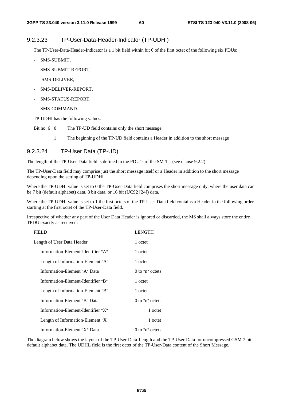## 9.2.3.23 TP-User-Data-Header-Indicator (TP-UDHI)

The TP-User-Data-Header-Indicator is a 1 bit field within bit 6 of the first octet of the following six PDUs:

- SMS-SUBMIT,
- SMS-SUBMIT-REPORT,
- SMS-DELIVER,
- SMS-DELIVER-REPORT,
- SMS-STATUS-REPORT,
- SMS-COMMAND.

TP-UDHI has the following values.

- Bit no. 6 0 The TP-UD field contains only the short message
	- 1 The beginning of the TP-UD field contains a Header in addition to the short message

# 9.2.3.24 TP-User Data (TP-UD)

The length of the TP-User-Data field is defined in the PDU"s of the SM-TL (see clause 9.2.2).

The TP-User-Data field may comprise just the short message itself or a Header in addition to the short message depending upon the setting of TP-UDHI.

Where the TP-UDHI value is set to 0 the TP-User-Data field comprises the short message only, where the user data can be 7 bit (default alphabet) data, 8 bit data, or 16 bit (UCS2 [24]) data.

Where the TP-UDHI value is set to 1 the first octets of the TP-User-Data field contains a Header in the following order starting at the first octet of the TP-User-Data field.

Irrespective of whether any part of the User Data Header is ignored or discarded, the MS shall always store the entire TPDU exactly as received.

| FIELD                              | <b>LENGTH</b>     |
|------------------------------------|-------------------|
| Length of User Data Header         | 1 octet           |
| Information-Element-Identifier "A" | 1 octet           |
| Length of Information-Element "A"  | 1 octet           |
| Information-Element "A" Data       | $0$ to "n" octets |
| Information-Element-Identifier "B" | 1 octet           |
| Length of Information-Element "B"  | 1 octet           |
| Information-Element "B" Data       | $0$ to "n" octets |
| Information-Element-Identifier "X" | 1 octet           |
| Length of Information-Element "X"  | 1 octet           |
| Information-Element "X" Data       | $0$ to "n" octets |

The diagram below shows the layout of the TP-User-Data-Length and the TP-User-Data for uncompressed GSM 7 bit default alphabet data. The UDHL field is the first octet of the TP-User-Data content of the Short Message.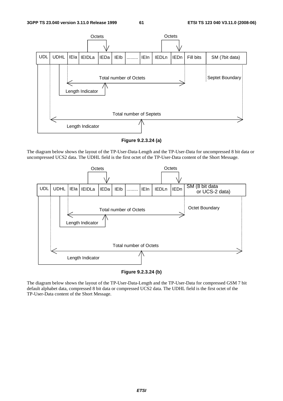

**Figure 9.2.3.24 (a)** 

The diagram below shows the layout of the TP-User-Data-Length and the TP-User-Data for uncompressed 8 bit data or uncompressed UCS2 data. The UDHL field is the first octet of the TP-User-Data content of the Short Message.



#### **Figure 9.2.3.24 (b)**

The diagram below shows the layout of the TP-User-Data-Length and the TP-User-Data for compressed GSM 7 bit default alphabet data, compressed 8 bit data or compressed UCS2 data. The UDHL field is the first octet of the TP-User-Data content of the Short Message.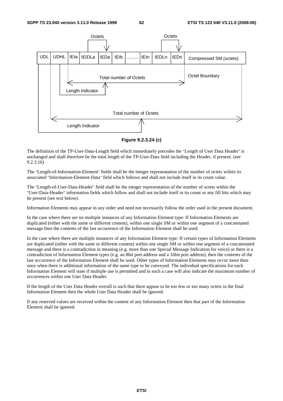

**Figure 9.2.3.24 (c)** 

The definition of the TP-User-Data-Length field which immediately precedes the "Length of User Data Header" is unchanged and shall therefore be the total length of the TP-User-Data field including the Header, if present. (see 9.2.3.16)

The "Length-of-Information-Element" fields shall be the integer representation of the number of octets within its associated "Information-Element-Data" field which follows and shall not include itself in its count value.

The "Length-of-User-Data-Header" field shall be the integer representation of the number of octets within the "User-Data-Header" information fields which follow and shall not include itself in its count or any fill bits which may be present (see text below).

Information Elements may appear in any order and need not necessarily follow the order used in the present document.

In the case where there are no multiple instances of any Information Element type: If Information Elements are duplicated (either with the same or different content), within one single SM or within one segment of a concatenated message then the contents of the last occurrence of the Information Element shall be used.

In the case where there are multiple instances of any Information Element type: If certain types of Information Elements are duplicated (either with the same or different content) within one single SM or within one segment of a concatenated message and there is a contradiction in meaning (e.g. more than one Special Message Indication for voice) or there is a contradiction of Information Element types (e.g. an 8bit port address and a 16bit port address), then the contents of the last occurrence of the Information Element shall be used. Other types of Information Elements may occur more than once when there is additional information of the same type to be conveyed. The individual specifications for each Information Element will state if multiple use is permitted and in such a case will also indicate the maximum number of occurrences within one User Data Header.

If the length of the User Data Header overall is such that there appear to be too few or too many octets in the final Information Element then the whole User Data Header shall be ignored.

If any reserved values are received within the content of any Information Element then that part of the Information Element shall be ignored.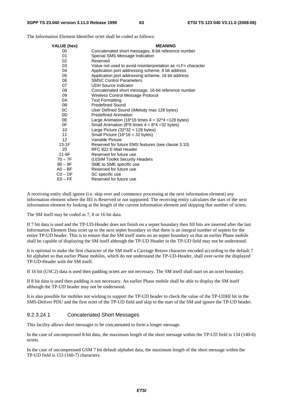VALUE (hex) **MEANING** 00 Concatenated short messages, 8-bit reference number 01 Special SMS Message Indication 02 Reserved<br>03 Value not Value not used to avoid misinterpretation as <LF> character 04 Application port addressing scheme, 8 bit address<br>05 Application port addressing scheme, 16 bit address 05 Application port addressing scheme, 16 bit address<br>06 SMSC Control Parameters 06 SMSC Control Parameters<br>07 UDH Source Indicator 07 UDH Source Indicator<br>08 Concatenated short m Concatenated short message, 16-bit reference number 09 Wireless Control Message Protocol 0A Text Formatting 0B Predefined Sound<br>0C User Defined Sour 0C User Defined Sound (iMelody max 128 bytes)<br>0D Predefined Animation 0D Predefined Animation<br>0E Large Animation (16\*1 Large Animation (16\*16 times  $4 = 32*4 = 128$  bytes) 0F Small Animation  $(8*8 \times 4 = 8*4 = 32 \text{ bytes})$ 10 Large Picture (32\*32 = 128 bytes) 11 Small Picture (16\*16 = 32 bytes) 12 Variable Picture<br>13-1F Reserved for fut Reserved for future EMS features (see clause 3.10) 20 RFC 822 E-Mail Header 21-6F Reserved for future use<br>
70 – 7F (U)SIM Toolkit Security 70 – 7F (U)SIM Toolkit Security Headers<br>80 – 9F SME to SME specific use 80 – 9F SME to SME specific use<br>A0 – BF Reserved for future use A0 – BF Reserved for future use<br>C0 – DF SC specific use C0 – DF SC specific use<br>E0 – FF Reserved for fut Reserved for future use

The Information Element Identifier octet shall be coded as follows:

A receiving entity shall ignore (i.e. skip over and commence processing at the next information element) any information element where the IEI is Reserved or not supported. The receiving entity calculates the start of the next information element by looking at the length of the current information element and skipping that number of octets.

The SM itself may be coded as 7, 8 or 16 bit data.

If 7 bit data is used and the TP-UD-Header does not finish on a septet boundary then fill bits are inserted after the last Information Element Data octet up to the next septet boundary so that there is an integral number of septets for the entire TP-UD header. This is to ensure that the SM itself starts on an septet boundary so that an earlier Phase mobile shall be capable of displaying the SM itself although the TP-UD Header in the TP-UD field may not be understood.

It is optional to make the first character of the SM itself a Carriage Return character encoded according to the default 7 bit alphabet so that earlier Phase mobiles, which do not understand the TP-UD-Header, shall over-write the displayed TP-UD-Header with the SM itself.

If 16 bit (USC2) data is used then padding octets are not necessary. The SM itself shall start on an octet boundary.

If 8 bit data is used then padding is not necessary. An earlier Phase mobile shall be able to display the SM itself although the TP-UD header may not be understood.

It is also possible for mobiles not wishing to support the TP-UD header to check the value of the TP-UDHI bit in the SMS-Deliver PDU and the first octet of the TP-UD field and skip to the start of the SM and ignore the TP-UD header.

#### 9.2.3.24.1 Concatenated Short Messages

This facility allows short messages to be concatenated to form a longer message.

In the case of uncompressed 8-bit data, the maximum length of the short message within the TP-UD field is 134 (140-6) octets.

In the case of uncompressed GSM 7 bit default alphabet data, the maximum length of the short message within the TP-UD field is 153 (160-7) characters.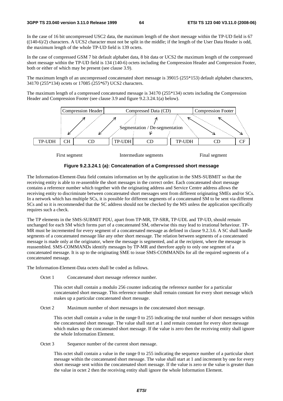In the case of 16 bit uncompressed USC2 data, the maximum length of the short message within the TP-UD field is 67 ((140-6)/2) characters. A UCS2 character must not be split in the middle; if the length of the User Data Header is odd, the maximum length of the whole TP-UD field is 139 octets.

In the case of compressed GSM 7 bit default alphabet data, 8 bit data or UCS2 the maximum length of the compressed short message within the TP-UD field is 134 (140-6) octets including the Compression Header and Compression Footer, both or either of which may be present (see clause 3.9).

The maximum length of an uncompressed concatenated short message is 39015 (255\*153) default alphabet characters, 34170 (255\*134) octets or 17085 (255\*67) UCS2 characters.

The maximum length of a compressed concatenated message is 34170 (255\*134) octets including the Compression Header and Compression Footer (see clause 3.9 and figure 9.2.3.24.1(a) below).





First segment Intermediate segments Final segment

#### **Figure 9.2.3.24.1 (a): Concatenation of a Compressed short message**

The Information-Element-Data field contains information set by the application in the SMS-SUBMIT so that the receiving entity is able to re-assemble the short messages in the correct order. Each concatenated short message contains a reference number which together with the originating address and Service Centre address allows the receiving entity to discriminate between concatenated short messages sent from different originating SMEs and/or SCs. In a network which has multiple SCs, it is possible for different segments of a concatenated SM to be sent via different SCs and so it is recommended that the SC address should not be checked by the MS unless the application specifically requires such a check.

The TP elements in the SMS-SUBMIT PDU, apart from TP-MR, TP-SRR, TP-UDL and TP-UD, should remain unchanged for each SM which forms part of a concatenated SM, otherwise this may lead to irrational behaviour. TP-MR must be incremented for every segment of a concatenated message as defined in clause 9.2.3.6. A SC shall handle segments of a concatenated message like any other short message. The relation between segments of a concatenated message is made only at the originator, where the message is segmented, and at the recipient, where the message is reassembled. SMS-COMMANDs identify messages by TP-MR and therefore apply to only one segment of a concatenated message. It is up to the originating SME to issue SMS-COMMANDs for all the required segments of a concatenated message.

The Information-Element-Data octets shall be coded as follows.

Octet 1 Concatenated short message reference number.

 This octet shall contain a modulo 256 counter indicating the reference number for a particular concatenated short message. This reference number shall remain constant for every short message which makes up a particular concatenated short message.

Octet 2 Maximum number of short messages in the concatenated short message.

 This octet shall contain a value in the range 0 to 255 indicating the total number of short messages within the concatenated short message. The value shall start at 1 and remain constant for every short message which makes up the concatenated short message. If the value is zero then the receiving entity shall ignore the whole Information Element.

Octet 3 Sequence number of the current short message.

 This octet shall contain a value in the range 0 to 255 indicating the sequence number of a particular short message within the concatenated short message. The value shall start at 1 and increment by one for every short message sent within the concatenated short message. If the value is zero or the value is greater than the value in octet 2 then the receiving entity shall ignore the whole Information Element.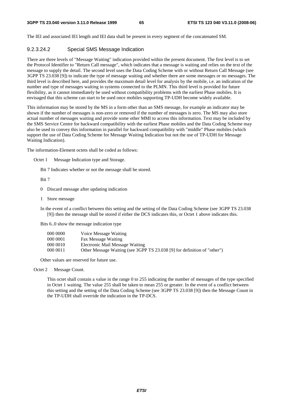The IEI and associated IEI length and IEI data shall be present in every segment of the concatenated SM.

#### 9.2.3.24.2 Special SMS Message Indication

There are three levels of "Message Waiting" indication provided within the present document. The first level is to set the Protocol Identifier to "Return Call message", which indicates that a message is waiting and relies on the text of the message to supply the detail. The second level uses the Data Coding Scheme with or without Return Call Message (see 3GPP TS 23.038 [9]) to indicate the type of message waiting and whether there are some messages or no messages. The third level is described here, and provides the maximum detail level for analysis by the mobile, i.e. an indication of the number and type of messages waiting in systems connected to the PLMN. This third level is provided for future flexibility, as it cannot immediately be used without compatibility problems with the earliest Phase mobiles. It is envisaged that this scheme can start to be used once mobiles supporting TP-UDH become widely available.

This information may be stored by the MS in a form other than an SMS message, for example an indicator may be shown if the number of messages is non-zero or removed if the number of messages is zero. The MS may also store actual number of messages waiting and provide some other MMI to access this information. Text may be included by the SMS Service Centre for backward compatibility with the earliest Phase mobiles and the Data Coding Scheme may also be used to convey this information in parallel for backward compatibility with "middle" Phase mobiles (which support the use of Data Coding Scheme for Message Waiting Indication but not the use of TP-UDH for Message Waiting Indication).

The information-Element octets shall be coded as follows:

Octet 1 Message Indication type and Storage.

Bit 7 Indicates whether or not the message shall be stored.

Bit 7

- 0 Discard message after updating indication
- 1 Store message

In the event of a conflict between this setting and the setting of the Data Coding Scheme (see 3GPP TS 23.038 [9]) then the message shall be stored if either the DCS indicates this, or Octet 1 above indicates this.

Bits 6..0 show the message indication type

| 000 0000 | Voice Message Waiting                                                    |
|----------|--------------------------------------------------------------------------|
| 000 0001 | Fax Message Waiting                                                      |
| 000 0010 | Electronic Mail Message Waiting                                          |
| 000 0011 | Other Message Waiting (see 3GPP TS 23.038 [9] for definition of "other") |

Other values are reserved for future use.

Octet 2 Message Count.

 This octet shall contain a value in the range 0 to 255 indicating the number of messages of the type specified in Octet 1 waiting. The value 255 shall be taken to mean 255 or greater. In the event of a conflict between this setting and the setting of the Data Coding Scheme (see 3GPP TS 23.038 [9]) then the Message Count in the TP-UDH shall override the indication in the TP-DCS.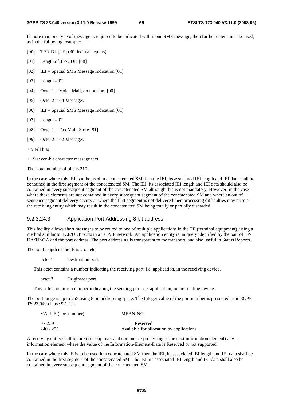If more than one type of message is required to be indicated within one SMS message, then further octets must be used, as in the following example:

- [00] TP-UDL [1E] (30 decimal septets)
- [01] Length of TP-UDH [08]
- [02] IEI = Special SMS Message Indication [01]
- $[03]$  Length = 02
- [04] Octet  $1 = \text{Voice Mail}$ , do not store [00]
- [05] Octet  $2 = 04$  Messages
- [06] IEI = Special SMS Message Indication [01]
- $[07]$  Length = 02
- [08] Octet  $1 = \text{Fax Mail}$ , Store [81]
- [09] Octet  $2 = 02$  Messages
- $+ 5$  Fill bits
- + 19 seven-bit character message text

The Total number of bits is 210.

In the case where this IEI is to be used in a concatenated SM then the IEI, its associated IEI length and IEI data shall be contained in the first segment of the concatenated SM. The IEI, its associated IEI length and IEI data should also be contained in every subsequent segment of the concatenated SM although this is not mandatory. However, in the case where these elements are not contained in every subsequent segment of the concatenated SM and where an out of sequence segment delivery occurs or where the first segment is not delivered then processing difficulties may arise at the receiving entity which may result in the concatenated SM being totally or partially discarded.

#### 9.2.3.24.3 Application Port Addressing 8 bit address

This facility allows short messages to be routed to one of multiple applications in the TE (terminal equipment), using a method similar to TCP/UDP ports in a TCP/IP network. An application entity is uniquely identified by the pair of TP-DA/TP-OA and the port address. The port addressing is transparent to the transport, and also useful in Status Reports.

The total length of the IE is 2 octets

octet 1 Destination port.

This octet contains a number indicating the receiving port, i.e. application, in the receiving device.

octet 2 Originator port.

This octet contains a number indicating the sending port, i.e. application, in the sending device.

The port range is up to 255 using 8 bit addressing space. The Integer value of the port number is presented as in 3GPP TS 23.040 clause 9.1.2.1.

| VALUE (port number) | <b>MEANING</b>                           |
|---------------------|------------------------------------------|
| $0 - 239$           | Reserved                                 |
| $240 - 255$         | Available for allocation by applications |

A receiving entity shall ignore (i.e. skip over and commence processing at the next information element) any information element where the value of the Information-Element-Data is Reserved or not supported.

In the case where this IE is to be used in a concatenated SM then the IEI, its associated IEI length and IEI data shall be contained in the first segment of the concatenated SM. The IEI, its associated IEI length and IEI data shall also be contained in every subsequent segment of the concatenated SM.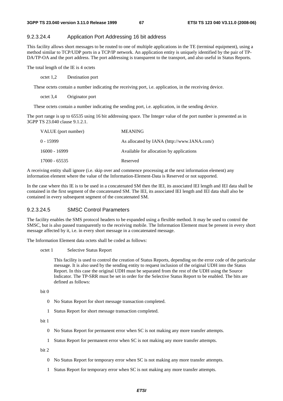#### 9.2.3.24.4 Application Port Addressing 16 bit address

This facility allows short messages to be routed to one of multiple applications in the TE (terminal equipment), using a method similar to TCP/UDP ports in a TCP/IP network. An application entity is uniquely identified by the pair of TP-DA/TP-OA and the port address. The port addressing is transparent to the transport, and also useful in Status Reports.

The total length of the IE is 4 octets

octet 1,2 Destination port

These octets contain a number indicating the receiving port, i.e. application, in the receiving device.

octet 3,4 Originator port

These octets contain a number indicating the sending port, i.e. application, in the sending device.

The port range is up to 65535 using 16 bit addressing space. The Integer value of the port number is presented as in 3GPP TS 23.040 clause 9.1.2.1.

| VALUE (port number) | <b>MEANING</b>                              |
|---------------------|---------------------------------------------|
| $0 - 15999$         | As allocated by IANA (http://www.IANA.com/) |
| 16000 - 16999       | Available for allocation by applications    |
| 17000 - 65535       | Reserved                                    |

A receiving entity shall ignore (i.e. skip over and commence processing at the next information element) any information element where the value of the Information-Element-Data is Reserved or not supported.

In the case where this IE is to be used in a concatenated SM then the IEI, its associated IEI length and IEI data shall be contained in the first segment of the concatenated SM. The IEI, its associated IEI length and IEI data shall also be contained in every subsequent segment of the concatenated SM.

#### 9.2.3.24.5 SMSC Control Parameters

The facility enables the SMS protocol headers to be expanded using a flexible method. It may be used to control the SMSC, but is also passed transparently to the receiving mobile. The Information Element must be present in every short message affected by it, i.e. in every short message in a concatenated message.

The Information Element data octets shall be coded as follows:

#### octet 1 Selective Status Report

 This facility is used to control the creation of Status Reports, depending on the error code of the particular message. It is also used by the sending entity to request inclusion of the original UDH into the Status Report. In this case the original UDH must be separated from the rest of the UDH using the Source Indicator. The TP-SRR must be set in order for the Selective Status Report to be enabled. The bits are defined as follows:

bit 0

- 0 No Status Report for short message transaction completed.
- 1 Status Report for short message transaction completed.

bit 1

- 0 No Status Report for permanent error when SC is not making any more transfer attempts.
- 1 Status Report for permanent error when SC is not making any more transfer attempts.

bit 2

- 0 No Status Report for temporary error when SC is not making any more transfer attempts.
- 1 Status Report for temporary error when SC is not making any more transfer attempts.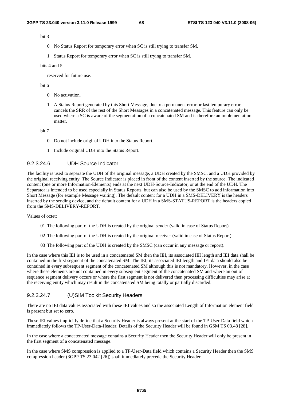bit 3

- 0 No Status Report for temporary error when SC is still trying to transfer SM.
- 1 Status Report for temporary error when SC is still trying to transfer SM.

bits 4 and 5

reserved for future use.

bit 6

- 0 No activation.
- 1 A Status Report generated by this Short Message, due to a permanent error or last temporary error, cancels the SRR of the rest of the Short Messages in a concatenated message. This feature can only be used where a SC is aware of the segmentation of a concatenated SM and is therefore an implementation matter.

bit 7

- 0 Do not include original UDH into the Status Report.
- 1 Include original UDH into the Status Report.

#### 9.2.3.24.6 UDH Source Indicator

The facility is used to separate the UDH of the original message, a UDH created by the SMSC, and a UDH provided by the original receiving entity. The Source Indicator is placed in front of the content inserted by the source. The indicated content (one or more Information-Elements) ends at the next UDH-Source-Indicator, or at the end of the UDH. The Separator is intended to be used especially in Status Reports, but can also be used by the SMSC to add information into Short Message (for example Message waiting). The default content for a UDH in a SMS-DELIVERY is the headers inserted by the sending device, and the default content for a UDH in a SMS-STATUS-REPORT is the headers copied from the SMS-DELIVERY-REPORT.

Values of octet:

- 01 The following part of the UDH is created by the original sender (valid in case of Status Report).
- 02 The following part of the UDH is created by the original receiver (valid in case of Status Report).
- 03 The following part of the UDH is created by the SMSC (can occur in any message or report).

In the case where this IEI is to be used in a concatenated SM then the IEI, its associated IEI length and IEI data shall be contained in the first segment of the concatenated SM. The IEI, its associated IEI length and IEI data should also be contained in every subsequent segment of the concatenated SM although this is not mandatory. However, in the case where these elements are not contained in every subsequent segment of the concatenated SM and where an out of sequence segment delivery occurs or where the first segment is not delivered then processing difficulties may arise at the receiving entity which may result in the concatenated SM being totally or partially discarded.

#### 9.2.3.24.7 (U)SIM Toolkit Security Headers

There are no IEI data values associated with these IEI values and so the associated Length of Information element field is present but set to zero.

These IEI values implicitly define that a Security Header is always present at the start of the TP-User-Data field which immediately follows the TP-User-Data-Header. Details of the Security Header will be found in GSM TS 03.48 [28].

In the case where a concatenated message contains a Security Header then the Security Header will only be present in the first segment of a concatenated message.

In the case where SMS compression is applied to a TP-User-Data field which contains a Security Header then the SMS compression header (3GPP TS 23.042 [26]) shall immediately precede the Security Header.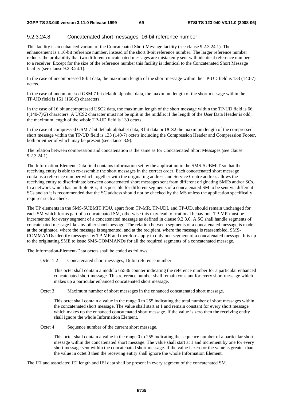#### 9.2.3.24.8 Concatenated short messages, 16-bit reference number

This facility is an enhanced variant of the Concatenated Short Message facility (see clause 9.2.3.24.1). The enhancement is a 16-bit reference number, instead of the short 8-bit reference number. The larger reference number reduces the probability that two different concatenated messages are mistakenly sent with identical reference numbers to a receiver. Except for the size of the reference number this facility is identical to the Concatenated Short Message facility (see clause 9.2.3.24.1).

In the case of uncompressed 8-bit data, the maximum length of the short message within the TP-UD field is 133 (140-7) octets.

In the case of uncompressed GSM 7 bit default alphabet data, the maximum length of the short message within the TP-UD field is 151 (160-9) characters.

In the case of 16 bit uncompressed USC2 data, the maximum length of the short message within the TP-UD field is 66  $((140-7)/2)$  characters. A UCS2 character must not be split in the middle; if the length of the User Data Header is odd, the maximum length of the whole TP-UD field is 139 octets.

In the case of compressed GSM 7 bit default alphabet data, 8 bit data or UCS2 the maximum length of the compressed short message within the TP-UD field is 133 (140-7) octets including the Compression Header and Compression Footer, both or either of which may be present (see clause 3.9).

The relation between compression and concatenation is the same as for Concatenated Short Messages (see clause 9.2.3.24.1).

The Information-Element-Data field contains information set by the application in the SMS-SUBMIT so that the receiving entity is able to re-assemble the short messages in the correct order. Each concatenated short message contains a reference number which together with the originating address and Service Centre address allows the receiving entity to discriminate between concatenated short messages sent from different originating SMEs and/or SCs. In a network which has multiple SCs, it is possible for different segments of a concatenated SM to be sent via different SCs and so it is recommended that the SC address should not be checked by the MS unless the application specifically requires such a check.

The TP elements in the SMS-SUBMIT PDU, apart from TP-MR, TP-UDL and TP-UD, should remain unchanged for each SM which forms part of a concatenated SM, otherwise this may lead to irrational behaviour. TP-MR must be incremented for every segment of a concatenated message as defined in clause 9.2.3.6. A SC shall handle segments of concatenated message like any other short message. The relation between segments of a concatenated message is made at the originator, where the message is segmented, and at the recipient, where the message is reassembled. SMS-COMMANDs identify messages by TP-MR and therefore apply to only one segment of a concatenated message. It is up to the originating SME to issue SMS-COMMANDs for all the required segments of a concatenated message.

The Information-Element-Data octets shall be coded as follows.

Octet 1-2 Concatenated short messages, 16-bit reference number.

 This octet shall contain a modulo 65536 counter indicating the reference number for a particular enhanced concatenated short message. This reference number shall remain constant for every short message which makes up a particular enhanced concatenated short message.

Octet 3 Maximum number of short messages in the enhanced concatenated short message.

 This octet shall contain a value in the range 0 to 255 indicating the total number of short messages within the concatenated short message. The value shall start at 1 and remain constant for every short message which makes up the enhanced concatenated short message. If the value is zero then the receiving entity shall ignore the whole Information Element.

Octet 4 Sequence number of the current short message.

 This octet shall contain a value in the range 0 to 255 indicating the sequence number of a particular short message within the concatenated short message. The value shall start at 1 and increment by one for every short message sent within the concatenated short message. If the value is zero or the value is greater than the value in octet 3 then the receiving entity shall ignore the whole Information Element.

The IEI and associated IEI length and IEI data shall be present in every segment of the concatenated SM.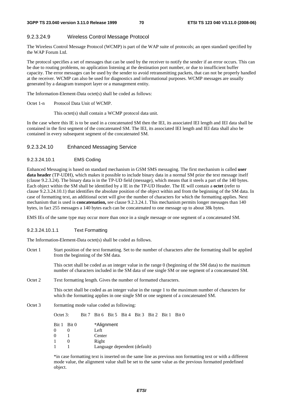#### 9.2.3.24.9 Wireless Control Message Protocol

The Wireless Control Message Protocol (WCMP) is part of the WAP suite of protocols; an open standard specified by the WAP Forum Ltd.

The protocol specifies a set of messages that can be used by the receiver to notify the sender if an error occurs. This can be due to routing problems, no application listening at the destination port number, or due to insufficient buffer capacity. The error messages can be used by the sender to avoid retransmitting packets, that can not be properly handled at the receiver. WCMP can also be used for diagnostics and informational purposes. WCMP messages are usually generated by a datagram transport layer or a management entity.

The Information-Element-Data octet(s) shall be coded as follows:

Octet 1-n Protocol Data Unit of WCMP.

This octet(s) shall contain a WCMP protocol data unit.

In the case where this IE is to be used in a concatenated SM then the IEI, its associated IEI length and IEI data shall be contained in the first segment of the concatenated SM. The IEI, its associated IEI length and IEI data shall also be contained in every subsequent segment of the concatenated SM.

#### 9.2.3.24.10 Enhanced Messaging Service

9.2.3.24.10.1 EMS Coding

Enhanced Messaging is based on standard mechanism in GSM SMS messaging. The first mechanism is called **user data header** (TP-UDH), which makes it possible to include binary data in a normal SM prior the text message itself (clause 9.2.3.24). The binary data is in the TP-UD field (message), which means that it steels a part of the 140 bytes. Each object within the SM shall be identified by a IE in the TP-UD Header. The IE will contain a **octet** (refer to clause 9.2.3.24.10.1) that identifies the absolute position of the object within and from the beginning of the SM data. In case of formatting text, an additional octet will give the number of characters for which the formatting applies. Next mechanism that is used is **concatenation,** see clause 9.2.3.24.1. This mechanism permits longer messages than 140 bytes, in fact 255 messages a 140 bytes each can be concatenated to one message up to about 38k bytes.

EMS IEs of the same type may occur more than once in a single message or one segment of a concatenated SM.

#### 9.2.3.24.10.1.1 Text Formatting

The Information-Element-Data octet(s) shall be coded as follows.

Octet 1 Start position of the text formatting. Set to the number of characters after the formatting shall be applied from the beginning of the SM data.

This octet shall be coded as an integer value in the range 0 (beginning of the SM data) to the maximum number of characters included in the SM data of one single SM or one segment of a concatenated SM.

Octet 2 Text formatting length. Gives the number of formatted characters.

This octet shall be coded as an integer value in the range 1 to the maximum number of characters for which the formatting applies in one single SM or one segment of a concatenated SM.

Octet 3 formatting mode value coded as following:

Octet 3: Bit 7 Bit 6 Bit 5 Bit 4 Bit 3 Bit 2 Bit 1 Bit 0 Bit 1 Bit 0 \*Alignment  $0 \t 0$  Left<br> $0 \t 1$  Cent Center 1 0 Right 1 1 Language dependent (default)

\*in case formatting text is inserted on the same line as previous non formatting text or with a different mode value, the alignment value shall be set to the same value as the previous formatted predefined object.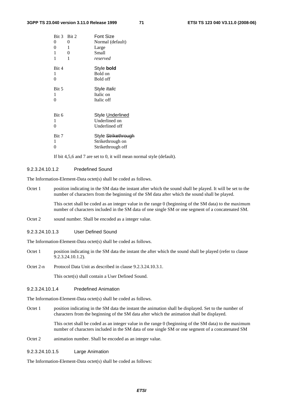| Bit 3 Bit 2<br>0<br>0<br>1   | 0<br>-1<br>$\overline{0}$ | Font Size<br>Normal (default)<br>Large<br>Small              |
|------------------------------|---------------------------|--------------------------------------------------------------|
| 1                            | 1                         | reserved                                                     |
| Bit 4<br>1<br>$\theta$       |                           | Style <b>bold</b><br>Bold on<br>Bold off                     |
| Bit 5<br>1<br>$\overline{0}$ |                           | Style Italic<br>Italic on<br>Italic off                      |
| Bit 6<br>1<br>$\overline{0}$ |                           | Style Underlined<br>Underlined on<br>Underlined off          |
| Bit 7<br>1<br>0              |                           | Style Strikethrough<br>Strikethrough on<br>Strikethrough off |

If bit 4,5,6 and 7 are set to 0, it will mean normal style (default).

#### 9.2.3.24.10.1.2 Predefined Sound

The Information-Element-Data octet(s) shall be coded as follows.

Octet 1 position indicating in the SM data the instant after which the sound shall be played. It will be set to the number of characters from the beginning of the SM data after which the sound shall be played.

> This octet shall be coded as an integer value in the range 0 (beginning of the SM data) to the maximum number of characters included in the SM data of one single SM or one segment of a concatenated SM.

- Octet 2 sound number. Shall be encoded as a integer value.
- 9.2.3.24.10.1.3 User Defined Sound

The Information-Element-Data octet(s) shall be coded as follows.

- Octet 1 position indicating in the SM data the instant the after which the sound shall be played (refer to clause 9.2.3.24.10.1.2).
- Octet 2-n Protocol Data Unit as described in clause 9.2.3.24.10.3.1.

This octet(s) shall contain a User Defined Sound.

#### 9.2.3.24.10.1.4 Predefined Animation

The Information-Element-Data octet(s) shall be coded as follows.

Octet 1 position indicating in the SM data the instant the animation shall be displayed. Set to the number of characters from the beginning of the SM data after which the animation shall be displayed.

> This octet shall be coded as an integer value in the range 0 (beginning of the SM data) to the maximum number of characters included in the SM data of one single SM or one segment of a concatenated SM

Octet 2 animation number. Shall be encoded as an integer value.

9.2.3.24.10.1.5 Large Animation

The Information-Element-Data octet(s) shall be coded as follows: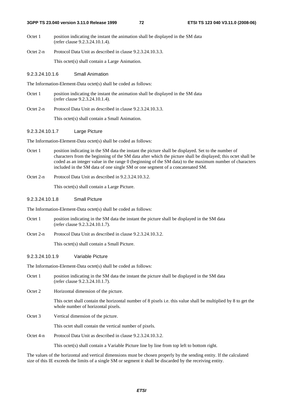- Octet 1 position indicating the instant the animation shall be displayed in the SM data (refer clause 9.2.3.24.10.1.4).
- Octet 2-n Protocol Data Unit as described in clause 9.2.3.24.10.3.3.

This octet(s) shall contain a Large Animation.

#### 9.2.3.24.10.1.6 Small Animation

The Information-Element-Data octet(s) shall be coded as follows:

- Octet 1 position indicating the instant the animation shall be displayed in the SM data (refer clause 9.2.3.24.10.1.4).
- Octet 2-n Protocol Data Unit as described in clause 9.2.3.24.10.3.3.

This octet(s) shall contain a Small Animation.

#### 9.2.3.24.10.1.7 Large Picture

The Information-Element-Data octet(s) shall be coded as follows:

- Octet 1 position indicating in the SM data the instant the picture shall be displayed. Set to the number of characters from the beginning of the SM data after which the picture shall be displayed; this octet shall be coded as an integer value in the range 0 (beginning of the SM data) to the maximum number of characters included in the SM data of one single SM or one segment of a concatenated SM.
- Octet 2-n Protocol Data Unit as described in 9.2.3.24.10.3.2.

This octet(s) shall contain a Large Picture.

#### 9.2.3.24.10.1.8 Small Picture

The Information-Element-Data octet(s) shall be coded as follows:

- Octet 1 position indicating in the SM data the instant the picture shall be displayed in the SM data (refer clause 9.2.3.24.10.1.7).
- Octet 2-n Protocol Data Unit as described in clause 9.2.3.24.10.3.2.

This octet(s) shall contain a Small Picture.

#### 9.2.3.24.10.1.9 Variable Picture

The Information-Element-Data octet(s) shall be coded as follows:

- Octet 1 position indicating in the SM data the instant the picture shall be displayed in the SM data (refer clause 9.2.3.24.10.1.7).
- Octet 2 Horizontal dimension of the picture.

 This octet shall contain the horizontal number of 8 pixels i.e. this value shall be multiplied by 8 to get the whole number of horizontal pixels.

Octet 3 Vertical dimension of the picture.

This octet shall contain the vertical number of pixels.

Octet 4-n Protocol Data Unit as described in clause 9.2.3.24.10.3.2.

This octet(s) shall contain a Variable Picture line by line from top left to bottom right.

The values of the horizontal and vertical dimensions must be chosen properly by the sending entity. If the calculated size of this IE exceeds the limits of a single SM or segment it shall be discarded by the receiving entity.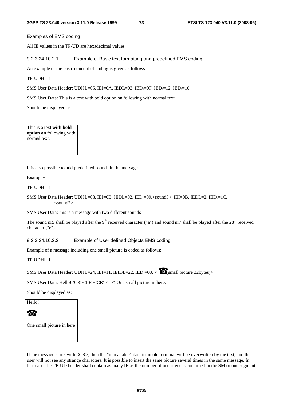Examples of EMS coding

All IE values in the TP-UD are hexadecimal values.

9.2.3.24.10.2.1 Example of Basic text formatting and predefined EMS coding

An example of the basic concept of coding is given as follows:

TP-UDHI=1

SMS User Data Header: UDHL=05, IEI=0A, IEDL=03, IED<sub>1</sub>=0F, IED<sub>2</sub>=12, IED<sub>3</sub>=10

SMS User Data: This is a text with bold option on following with normal text.

Should be displayed as:

This is a text **with bold option on** following with normal text.

It is also possible to add predefined sounds in the message.

Example:

 $TP-UDHI=1$ 

```
SMS User Data Header: UDHL=08, IEI=0B, IEDL=02, IED<sub>1</sub>=09,<sound5>, IEI=0B, IEDL=2, IED<sub>1</sub>=1C,
   <sound7>
```
SMS User Data: this is a message with two different sounds

The sound nr5 shall be played after the  $9<sup>th</sup>$  received character ("a") and sound nr7 shall be played after the  $28<sup>th</sup>$  received character ("e").

9.2.3.24.10.2.2 Example of User defined Objects EMS coding

Example of a message including one small picture is coded as follows:

TP UDHI=1

```
SMS User Data Header: UDHL=24, IEI=11, IEIDL=22, IED<sub>i</sub>=08, < \quad \otimes (small picture 32bytes)>
```
SMS User Data: Hello!<CR><LF><CR><LF>One small picture in here.

Should be displayed as:

Hello!

☎

One small picture in here

If the message starts with <CR>, then the "unreadable" data in an old terminal will be overwritten by the text, and the user will not see any strange characters. It is possible to insert the same picture several times in the same message. In that case, the TP-UD header shall contain as many IE as the number of occurrences contained in the SM or one segment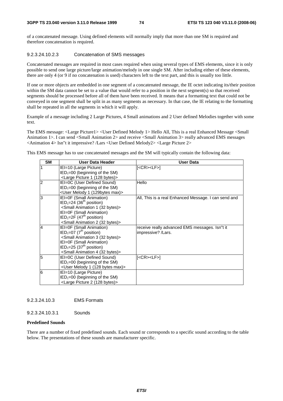of a concatenated message. Using defined elements will normally imply that more than one SM is required and therefore concatenation is required.

## 9.2.3.24.10.2.3 Concatenation of SMS messages

Concatenated messages are required in most cases required when using several types of EMS elements, since it is only possible to send one large picture/large animation/melody in one single SM. After including either of these elements, there are only 4 (or 9 if no concatenation is used) characters left to the text part, and this is usually too little.

If one or more objects are embedded in one segment of a concatenated message, the IE octet indicating its/their position within the SM data cannot be set to a value that would refer to a position in the next segment(s) so that received segments should be processed before all of them have been received. It means that a formatting text that could not be conveyed in one segment shall be split in as many segments as necessary. In that case, the IE relating to the formatting shall be repeated in all the segments in which it will apply.

Example of a message including 2 Large Pictures, 4 Small animations and 2 User defined Melodies together with some text.

The EMS message: <Large Picture1> <User Defined Melody 1> Hello All, This is a real Enhanced Message <Small Animation 1>. I can send <Small Animation 2> and receive <Small Animation 3> really advanced EMS messages <Animation 4> Isn"t it impressive? /Lars <User Defined Melody2> <Large Picture 2>

This EMS message has to use concatenated messages and the SM will typically contain the following data:

| <b>SM</b>      | User Data Header                                      | <b>User Data</b>                                     |
|----------------|-------------------------------------------------------|------------------------------------------------------|
| 1              | IEI=10 (Large Picture)                                | [ <cr><lf>]</lf></cr>                                |
|                | $IED1=00$ (beginning of the SM)                       |                                                      |
|                | <large (128="" 1="" bytes)="" picture=""></large>     |                                                      |
| $\overline{2}$ | IEI=0C (User Defined Sound)                           | Hello                                                |
|                | $IED1=00$ (beginning of the SM)                       |                                                      |
|                | <user (129bytes="" 1="" max)="" melody=""></user>     |                                                      |
| l3             | IEI=0F (Small Animation)                              | All, This is a real Enhanced Message. I can send and |
|                | $IED1=24$ (36 <sup>th</sup> position)                 |                                                      |
|                | <small (32="" 1="" animation="" bytes)=""></small>    |                                                      |
|                | IEI=0F (Small Animation)                              |                                                      |
|                | $IED1=2F (47th position)$                             |                                                      |
|                | <small (32="" 2="" animation="" bytes)=""></small>    |                                                      |
| $\overline{4}$ | IEI=0F (Small Animation)                              | receive really advanced EMS messages. Isn"t it       |
|                | $\text{IED}_1 = 07$ (7 <sup>th</sup> position)        | impressive? /Lars.                                   |
|                | <small (32="" 3="" animation="" bytes)=""></small>    |                                                      |
|                | IEI=0F (Small Animation)                              |                                                      |
|                | $IED1=25 (37th position)$                             |                                                      |
|                | <small (32="" 4="" animation="" bytes)=""></small>    |                                                      |
| 5              | IEI=0C (User Defined Sound)                           | $[<$ CR> <lf><math>]</math></lf>                     |
|                | $IED1=00$ (beginning of the SM)                       |                                                      |
|                | <user (128="" 1="" bytes="" max)="" melody=""></user> |                                                      |
| l6             | IEI=10 (Large Picture)                                |                                                      |
|                | $IED1=00$ (beginning of the SM)                       |                                                      |
|                | <large (128="" 2="" bytes)="" picture=""></large>     |                                                      |

## 9.2.3.24.10.3 EMS Formats

9.2.3.24.10.3.1 Sounds

### **Predefined Sounds**

There are a number of fixed predefined sounds. Each sound nr corresponds to a specific sound according to the table below. The presentations of these sounds are manufacturer specific.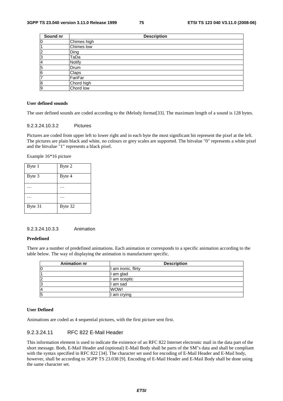| Sound nr       | <b>Description</b> |
|----------------|--------------------|
| 0              | Chimes high        |
|                | Chimes low         |
| $\overline{c}$ | Ding               |
| 3              | TaDa               |
| 4              | <b>Notify</b>      |
| 5              | Drum               |
| 6              | Claps              |
| 7              | FanFar             |
| 8              | Chord high         |
| 9              | Chord low          |

#### **User defined sounds**

The user defined sounds are coded according to the iMelody format[33]. The maximum length of a sound is 128 bytes.

#### 9.2.3.24.10.3.2 Pictures

Pictures are coded from upper left to lower right and in each byte the most significant bit represent the pixel at the left. The pictures are plain black and white, no colours or grey scales are supported. The bitvalue "0" represents a white pixel and the bitvalue "1" represents a black pixel.

Example 16\*16 picture

| Byte 1  | Byte 2  |
|---------|---------|
| Byte 3  | Byte 4  |
|         |         |
|         |         |
| Byte 31 | Byte 32 |

#### 9.2.3.24.10.3.3 Animation

#### **Predefined**

There are a number of predefined animations. Each animation nr corresponds to a specific animation according to the table below. The way of displaying the animation is manufacturer specific.

| <b>Animation nr</b> | <b>Description</b>  |  |
|---------------------|---------------------|--|
| 10                  | I am ironic, flirty |  |
|                     | I am glad           |  |
| $\overline{2}$      | I am sceptic        |  |
| 13                  | l am sad            |  |
| 14                  | WOW!                |  |
| 5                   | am crying           |  |

#### **User Defined**

Animations are coded as 4 sequential pictures, with the first picture sent first.

#### 9.2.3.24.11 RFC 822 E-Mail Header

This information element is used to indicate the existence of an RFC 822 Internet electronic mail in the data part of the short message. Both, E-Mail Header and (optional) E-Mail Body shall be parts of the SM"s data and shall be compliant with the syntax specified in RFC 822 [34]. The character set used for encoding of E-Mail Header and E-Mail body, however, shall be according to 3GPP TS 23.038 [9]. Encoding of E-Mail Header and E-Mail Body shall be done using the same character set.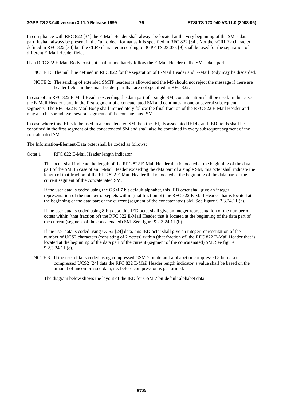In compliance with RFC 822 [34] the E-Mail Header shall always be located at the very beginning of the SM"s data part. It shall always be present in the "unfolded" format as it is specified in RFC 822 [34]. Not the <CRLF> character defined in RFC 822 [34] but the <LF> character according to 3GPP TS 23.038 [9] shall be used for the separation of different E-Mail Header fields.

If an RFC 822 E-Mail Body exists, it shall immediately follow the E-Mail Header in the SM"s data part.

- NOTE 1: The null line defined in RFC 822 for the separation of E-Mail Header and E-Mail Body may be discarded.
- NOTE 2: The sending of extended SMTP headers is allowed and the MS should not reject the message if there are header fields in the email header part that are not specified in RFC 822.

In case of an RFC 822 E-Mail Header exceeding the data part of a single SM, concatenation shall be used. In this case the E-Mail Header starts in the first segment of a concatenated SM and continues in one or several subsequent segments. The RFC 822 E-Mail Body shall immediately follow the final fraction of the RFC 822 E-Mail Header and may also be spread over several segments of the concatenated SM.

In case where this IEI is to be used in a concatenated SM then the IEI, its associated IEDL, and IED fields shall be contained in the first segment of the concatenated SM and shall also be contained in every subsequent segment of the concatenated SM.

The Information-Element-Data octet shall be coded as follows:

Octet 1 RFC 822 E-Mail Header length indicator

This octet shall indicate the length of the RFC 822 E-Mail Header that is located at the beginning of the data part of the SM. In case of an E-Mail Header exceeding the data part of a single SM, this octet shall indicate the length of that fraction of the RFC 822 E-Mail Header that is located at the beginning of the data part of the current segment of the concatenated SM.

If the user data is coded using the GSM 7 bit default alphabet, this IED octet shall give an integer representation of the number of septets within (that fraction of) the RFC 822 E-Mail Header that is located at the beginning of the data part of the current (segment of the concatenated) SM. See figure 9.2.3.24.11 (a).

If the user data is coded using 8-bit data, this IED octet shall give an integer representation of the number of octets within (that fraction of) the RFC 822 E-Mail Header that is located at the beginning of the data part of the current (segment of the concatenated) SM. See figure 9.2.3.24.11 (b).

If the user data is coded using UCS2 [24] data, this IED octet shall give an integer representation of the number of UCS2 characters (consisting of 2 octets) within (that fraction of) the RFC 822 E-Mail Header that is located at the beginning of the data part of the current (segment of the concatenated) SM. See figure 9.2.3.24.11 (c).

NOTE 3: If the user data is coded using compressed GSM 7 bit default alphabet or compressed 8 bit data or compressed UCS2 [24] data the RFC 822 E-Mail Header length indicator"s value shall be based on the amount of uncompressed data, i.e. before compression is performed.

The diagram below shows the layout of the IED for GSM 7 bit default alphabet data.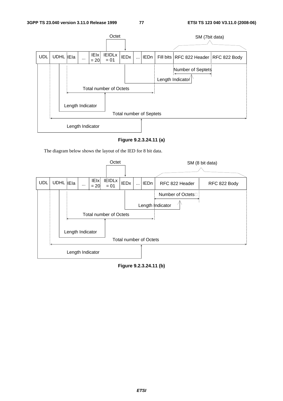

**Figure 9.2.3.24.11 (a)** 

The diagram below shows the layout of the IED for 8 bit data.



**Figure 9.2.3.24.11 (b)**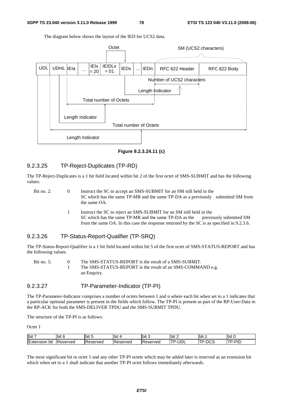The diagram below shows the layout of the IED for UCS2 data.



**Figure 9.2.3.24.11 (c)** 

## 9.2.3.25 TP-Reject-Duplicates (TP-RD)

The TP-Reject-Duplicates is a 1 bit field located within bit 2 of the first octet of SMS-SUBMIT and has the following values.

Bit no. 2: 0 Instruct the SC to accept an SMS-SUBMIT for an SM still held in the SC which has the same TP-MR and the same TP-DA as a previously submitted SM from the same OA.

> 1 Instruct the SC to reject an SMS-SUBMIT for an SM still held in the SC which has the same TP-MR and the same TP-DA as the previously submitted SM from the same OA. In this case the response returned by the SC is as specified in 9.2.3.6.

### 9.2.3.26 TP-Status-Report-Qualifier (TP-SRQ)

The TP-Status-Report-Qualifier is a 1 bit field located within bit 5 of the first octet of SMS-STATUS-REPORT and has the following values.

| Bit no. 5: | The SMS-STATUS-REPORT is the result of a SMS-SUBMIT.       |
|------------|------------------------------------------------------------|
|            | The SMS-STATUS-REPORT is the result of an SMS-COMMAND e.g. |
|            | an Enquiry.                                                |

### 9.2.3.27 TP-Parameter-Indicator (TP-PI)

The TP-Parameter-Indicator comprises a number of octets between 1 and n where each bit when set to a 1 indicates that a particular optional parameter is present in the fields which follow. The TP-PI is present as part of the RP-User-Data in the RP-ACK for both the SMS-DELIVER TPDU and the SMS-SUBMIT TPDU.

The structure of the TP-PI is as follows:

Octet 1

| bit 7                   | bit<br>. . | Ibit 5   | 'bit      | lbit 3   | .<br>lbit 2                         | <b>bit</b> | IЫ<br>. . |
|-------------------------|------------|----------|-----------|----------|-------------------------------------|------------|-----------|
| . .<br>bit<br>≞xtensior | Reserved   | Reserved | IReserved | Reserved | $\overline{\phantom{a}}$<br>тn<br>◡ | v          | חומ<br>   |

The most significant bit in octet 1 and any other TP-PI octets which may be added later is reserved as an extension bit which when set to a 1 shall indicate that another TP-PI octet follows immediately afterwards.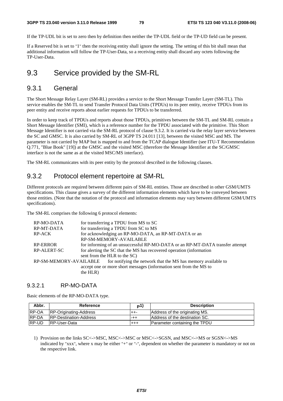If the TP-UDL bit is set to zero then by definition then neither the TP-UDL field or the TP-UD field can be present.

If a Reserved bit is set to "1" then the receiving entity shall ignore the setting. The setting of this bit shall mean that additional information will follow the TP-User-Data, so a receiving entity shall discard any octets following the TP-User-Data.

## 9.3 Service provided by the SM-RL

## 9.3.1 General

The Short Message Relay Layer (SM-RL) provides a service to the Short Message Transfer Layer (SM-TL). This service enables the SM-TL to send Transfer Protocol Data Units (TPDUs) to its peer entity, receive TPDUs from its peer entity and receive reports about earlier requests for TPDUs to be transferred.

In order to keep track of TPDUs and reports about those TPDUs, primitives between the SM-TL and SM-RL contain a Short Message Identifier (SMI), which is a reference number for the TPDU associated with the primitive. This Short Message Identifier is not carried via the SM-RL protocol of clause 9.3.2. It is carried via the relay layer service between the SC and GMSC. It is also carried by SM-RL of 3GPP TS 24.011 [13], between the visited MSC and MS. The parameter is not carried by MAP but is mapped to and from the TCAP dialogue Identifier (see ITU-T Recommendation Q.771, "Blue Book" [19]) at the GMSC and the visited MSC (therefore the Message Identifier at the SC/GMSC interface is not the same as at the visited MSC/MS interface).

The SM-RL communicates with its peer entity by the protocol described in the following clauses.

## 9.3.2 Protocol element repertoire at SM-RL

Different protocols are required between different pairs of SM-RL entities. Those are described in other GSM/UMTS specifications. This clause gives a survey of the different information elements which have to be conveyed between those entities. (Note that the notation of the protocol and information elements may vary between different GSM/UMTS specifications).

The SM-RL comprises the following 6 protocol elements:

|                              | for transferring a TPDU from MS to SC                                                |
|------------------------------|--------------------------------------------------------------------------------------|
|                              | for transferring a TPDU from SC to MS                                                |
|                              | for acknowledging an RP-MO-DATA, an RP-MT-DATA or an                                 |
|                              | RP-SM-MEMORY-AVAILABLE                                                               |
|                              | for informing of an unsuccessful RP-MO-DATA or an RP-MT-DATA transfer attempt        |
|                              | for alerting the SC that the MS has recovered operation (information                 |
| sent from the HLR to the SC) |                                                                                      |
|                              | RP-SM-MEMORY-AVAILABLE for notifying the network that the MS has memory available to |
|                              | accept one or more short messages (information sent from the MS to                   |
|                              |                                                                                      |
|                              | the HLR)                                                                             |

### 9.3.2.1 RP-MO-DATA

Basic elements of the RP-MO-DATA type.

| Abbr.        | Reference                     | <b>р1</b> | <b>Description</b>             |
|--------------|-------------------------------|-----------|--------------------------------|
| <b>RP-OA</b> | <b>RP-Originating-Address</b> | ++-       | Address of the originating MS. |
| <b>RP-DA</b> | IRP-Destination-Address       | -++       | Address of the destination SC. |
| RP-UD        | IRP-User-Data                 | $^{++}$   | Parameter containing the TPDU  |

1) Provision on the links SC<->MSC, MSC<->MSC or MSC<->SGSN, and MSC<->MS or SGSN<->MS indicated by "xxx", where x may be either "+" or "-", dependent on whether the parameter is mandatory or not on the respective link.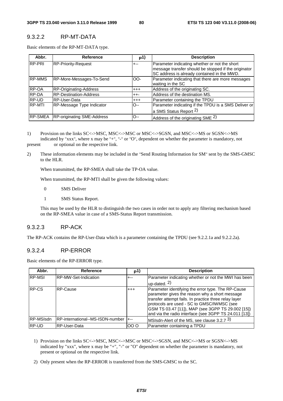### 9.3.2.2 RP-MT-DATA

Basic elements of the RP-MT-DATA type.

| Abbr.          | Reference                         | p1)      | <b>Description</b>                                                                                                                                   |
|----------------|-----------------------------------|----------|------------------------------------------------------------------------------------------------------------------------------------------------------|
| RP-PRI         | RP-Priority-Request               | $+ - -$  | Parameter indicating whether or not the short<br>message transfer should be stopped if the originator<br>SC address is already contained in the MWD. |
| <b>RP-MMS</b>  | RP-More-Messages-To-Send          | OO-      | Parameter indicating that there are more messages<br>waiting in the SC                                                                               |
| <b>RP-OA</b>   | RP-Originating-Address            | $^{+++}$ | Address of the originating SC.                                                                                                                       |
| <b>RP-DA</b>   | <b>RP-Destination-Address</b>     | $++-$    | Address of the destination MS.                                                                                                                       |
| RP-UD          | RP-User-Data                      | $+ + +$  | Parameter containing the TPDU                                                                                                                        |
| <b>RP-MTI</b>  | RP-Message Type Indicator         | O--      | Parameter indicating if the TPDU is a SMS Deliver or<br>a SMS Status Report 2)                                                                       |
| <b>RP-SMEA</b> | <b>RP-originating SME-Address</b> | $O-$     | Address of the originating SME 2)                                                                                                                    |

1) Provision on the links SC<->MSC, MSC<->MSC or MSC<->SGSN, and MSC<->MS or SGSN<->MS indicated by "xxx", where x may be "+", "-" or "O", dependent on whether the parameter is mandatory, not

present or optional on the respective link.

2) These information elements may be included in the "Send Routing Information for SM" sent by the SMS-GMSC to the HLR.

When transmitted, the RP-SMEA shall take the TP-OA value.

When transmitted, the RP-MTI shall be given the following values:

- 0 SMS Deliver
- 1 SMS Status Report.

 This may be used by the HLR to distinguish the two cases in order not to apply any filtering mechanism based on the RP-SMEA value in case of a SMS-Status Report transmission.

## 9.3.2.3 RP-ACK

The RP-ACK contains the RP-User-Data which is a parameter containing the TPDU (see 9.2.2.1a and 9.2.2.2a).

### 9.3.2.4 RP-ERROR

Basic elements of the RP-ERROR type.

| Abbr.         | <b>Reference</b>                 | p1)     | <b>Description</b>                                                                                                                                                                                                                                                                                                        |
|---------------|----------------------------------|---------|---------------------------------------------------------------------------------------------------------------------------------------------------------------------------------------------------------------------------------------------------------------------------------------------------------------------------|
| <b>RP-MSI</b> | RP-MW-Set-Indication             | +--     | Parameter indicating whether or not the MWI has been                                                                                                                                                                                                                                                                      |
|               |                                  |         | $up$ -dated. $2)$                                                                                                                                                                                                                                                                                                         |
| <b>RP-CS</b>  | RP-Cause                         | $+ + +$ | Parameter identifying the error type. The RP-Cause<br>parameter gives the reason why a short message<br>transfer attempt fails. In practice three relay layer<br>protocols are used - SC to GMSC/IWMSC (see<br>GSM TS 03.47 [11]), MAP (see 3GPP TS 29.002 [15])<br>and via the radio interface (see 3GPP TS 24.011 [13]) |
| RP-MSIsdn     | RP-international--MS-ISDN-number | $+--$   | MSIsdn-Alert of the MS, see clause $3.2.73$ )                                                                                                                                                                                                                                                                             |
| RP-UD         | <b>RP-User-Data</b>              | 000     | Parameter containing a TPDU                                                                                                                                                                                                                                                                                               |

- 1) Provision on the links SC<->MSC, MSC<->MSC or MSC<->SGSN, and MSC<->MS or SGSN<->MS indicated by "xxx", where x may be "+", "-" or "O" dependent on whether the parameter is mandatory, not present or optional on the respective link.
- 2) Only present when the RP-ERROR is transferred from the SMS-GMSC to the SC.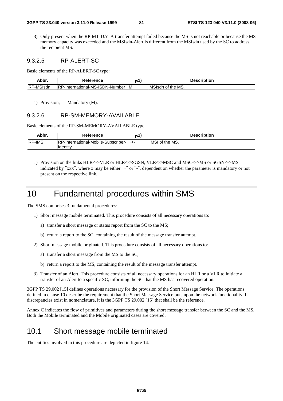3) Only present when the RP-MT-DATA transfer attempt failed because the MS is not reachable or because the MS memory capacity was exceeded and the MSIsdn-Alert is different from the MSIsdn used by the SC to address the recipient MS.

### 9.3.2.5 RP-ALERT-SC

Basic elements of the RP-ALERT-SC type:

| Abbr      | Reference                        |    | <b>Description</b> |
|-----------|----------------------------------|----|--------------------|
| RP-MSIsdn | IRP-International-MS-ISDN-Number | ΙM | IMSIsdn of the MS. |

1) Provision; Mandatory (M).

#### 9.3.2.6 RP-SM-MEMORY-AVAILABLE

Basic elements of the RP-SM-MEMORY-AVAILABLE type:

| Abbr.          | Reference                                             | D | <b>Description</b>     |
|----------------|-------------------------------------------------------|---|------------------------|
| <b>RP-IMSI</b> | IRP-International-Mobile-Subscriber- I++-<br>Identity |   | <b>IMSI</b> of the MS. |

1) Provision on the links HLR<->VLR or HLR<->SGSN, VLR<->MSC and MSC<->MS or SGSN<->MS indicated by "xxx", where x may be either "+" or "-", dependent on whether the parameter is mandatory or not present on the respective link.

## 10 Fundamental procedures within SMS

The SMS comprises 3 fundamental procedures:

- 1) Short message mobile terminated. This procedure consists of all necessary operations to:
	- a) transfer a short message or status report from the SC to the MS;
	- b) return a report to the SC, containing the result of the message transfer attempt.
- 2) Short message mobile originated. This procedure consists of all necessary operations to:
	- a) transfer a short message from the MS to the SC;
	- b) return a report to the MS, containing the result of the message transfer attempt.
- 3) Transfer of an Alert. This procedure consists of all necessary operations for an HLR or a VLR to initiate a transfer of an Alert to a specific SC, informing the SC that the MS has recovered operation.

3GPP TS 29.002 [15] defines operations necessary for the provision of the Short Message Service. The operations defined in clause 10 describe the requirement that the Short Message Service puts upon the network functionality. If discrepancies exist in nomenclature, it is the 3GPP TS 29.002 [15] that shall be the reference.

Annex C indicates the flow of primitives and parameters during the short message transfer between the SC and the MS. Both the Mobile terminated and the Mobile originated cases are covered.

## 10.1 Short message mobile terminated

The entities involved in this procedure are depicted in figure 14.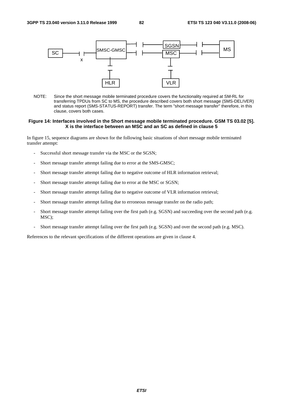

NOTE: Since the short message mobile terminated procedure covers the functionality required at SM-RL for transferring TPDUs from SC to MS, the procedure described covers both short message (SMS-DELIVER) and status report (SMS-STATUS-REPORT) transfer. The term "short message transfer" therefore, in this clause, covers both cases.

#### **Figure 14: Interfaces involved in the Short message mobile terminated procedure. GSM TS 03.02 [5]. X is the interface between an MSC and an SC as defined in clause 5**

In figure 15, sequence diagrams are shown for the following basic situations of short message mobile terminated transfer attempt:

- Successful short message transfer via the MSC or the SGSN;
- Short message transfer attempt failing due to error at the SMS-GMSC;
- Short message transfer attempt failing due to negative outcome of HLR information retrieval;
- Short message transfer attempt failing due to error at the MSC or SGSN;
- Short message transfer attempt failing due to negative outcome of VLR information retrieval;
- Short message transfer attempt failing due to erroneous message transfer on the radio path;
- Short message transfer attempt failing over the first path (e.g. SGSN) and succeeding over the second path (e.g. MSC);
- Short message transfer attempt failing over the first path (e.g. SGSN) and over the second path (e.g. MSC).

References to the relevant specifications of the different operations are given in clause 4.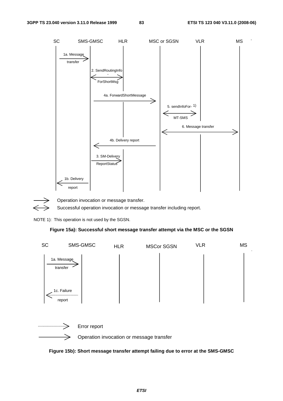



Operation invocation or message transfer.

Successful operation invocation or message transfer including report.

NOTE 1): This operation is not used by the SGSN.

#### **Figure 15a): Successful short message transfer attempt via the MSC or the SGSN**





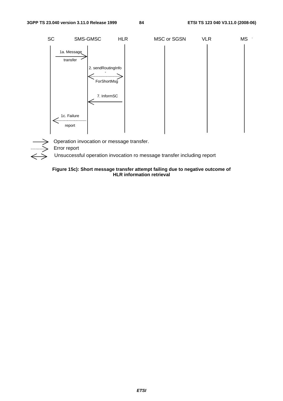



Operation invocation or message transfer.

Error report

Unsuccessful operation invocation ro message transfer including report

#### **Figure 15c): Short message transfer attempt failing due to negative outcome of HLR information retrieval**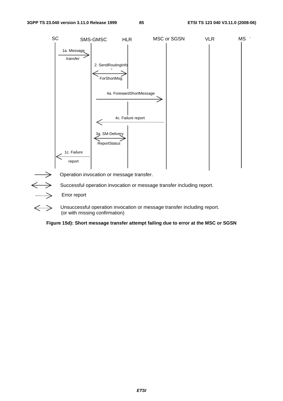

Error report

 $\Longleftrightarrow$ 

Unsuccessful operation invocation or message transfer including report. (or with missing confirmation)

**Figure 15d): Short message transfer attempt failing due to error at the MSC or SGSN**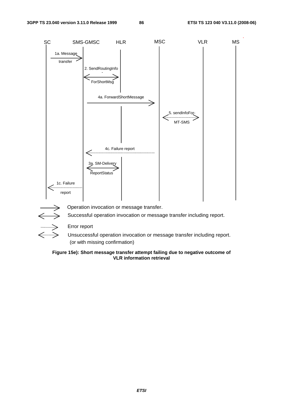

Error report

Unsuccessful operation invocation or message transfer including report. (or with missing confirmation)

#### **Figure 15e): Short message transfer attempt failing due to negative outcome of VLR information retrieval**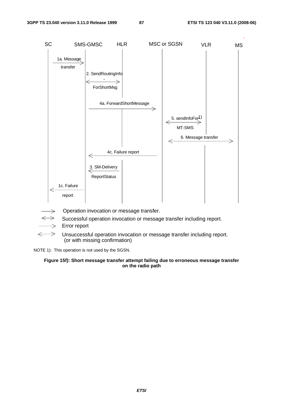.



- Successful operation invocation or message transfer including report.
- $\implies$ Error report
- $\Longleftrightarrow$ Unsuccessful operation invocation or message transfer including report. (or with missing confirmation)

NOTE 1): This operation is not used by the SGSN.

#### **Figure 15f): Short message transfer attempt failing due to erroneous message transfer on the radio path**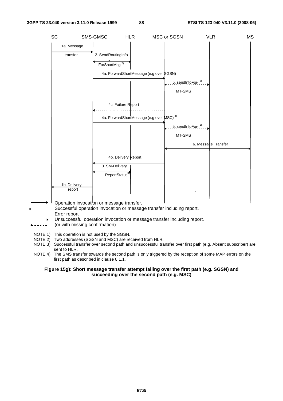

- NOTE 1): This operation is not used by the SGSN.
- NOTE 2): Two addresses (SGSN and MSC) are received from HLR.
- NOTE 3): Successful transfer over second path and unsuccessful transfer over first path (e.g. Absent subscriber) are sent to HLR.
- NOTE 4): The SMS transfer towards the second path is only triggered by the reception of some MAP errors on the first path as described in clause 8.1.1.

#### **Figure 15g): Short message transfer attempt failing over the first path (e.g. SGSN) and succeeding over the second path (e.g. MSC)**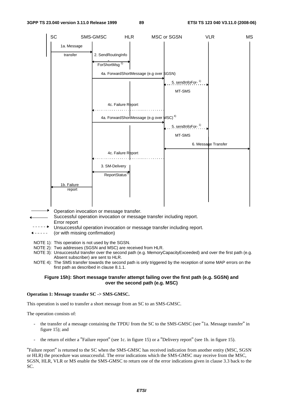

- Operation invocation or message transfer.
- Successful operation invocation or message transfer including report. Error report
- $--$ Unsuccessful operation invocation or message transfer including report.
- $- - -$ (or with missing confirmation)
- NOTE 1): This operation is not used by the SGSN.
- NOTE 2): Two addresses (SGSN and MSC) are received from HLR.
- NOTE 3): Unsuccessful transfer over the second path (e.g. MemoryCapacityExceeded) and over the first path (e.g. Absent subscriber) are sent to HLR.
- NOTE 4): The SMS transfer towards the second path is only triggered by the reception of some MAP errors on the first path as described in clause 8.1.1.

#### **Figure 15h): Short message transfer attempt failing over the first path (e.g. SGSN) and over the second path (e.g. MSC)**

#### **Operation 1: Message transfer SC -> SMS-GMSC.**

This operation is used to transfer a short message from an SC to an SMS-GMSC.

The operation consists of:

- the transfer of a message containing the TPDU from the SC to the SMS-GMSC (see "1a. Message transfer" in figure 15); and
- the return of either a "Failure report" (see 1c. in figure 15) or a "Delivery report" (see 1b. in figure 15).

"Failure report" is returned to the SC when the SMS-GMSC has received indication from another entity (MSC, SGSN or HLR) the procedure was unsuccessful. The error indications which the SMS-GMSC may receive from the MSC, SGSN, HLR, VLR or MS enable the SMS-GMSC to return one of the error indications given in clause 3.3 back to the SC.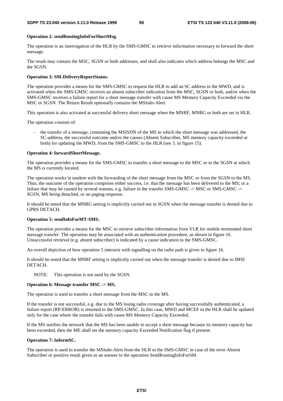#### **Operation 2: sendRoutingInfoForShortMsg.**

The operation is an interrogation of the HLR by the SMS-GMSC to retrieve information necessary to forward the short message.

The result may contain the MSC, SGSN or both addresses, and shall also indicates which address belongs the MSC and the SGSN.

#### **Operation 3: SM-DeliveryReportStatus.**

The operation provides a means for the SMS-GMSC to request the HLR to add an SC address to the MWD, and is activated when the SMS-GMSC receives an absent subscriber indication from the MSC, SGSN or both, and/or when the SMS-GMSC receives a failure report for a short message transfer with cause MS Memory Capacity Exceeded via the MSC or SGSN. The Return Result optionally contains the MSIsdn-Alert.

This operation is also activated at successful delivery short message when the MNRF, MNRG or both are set in HLR.

The operation consists of:

the transfer of a message, containing the MSISDN of the MS to which the short message was addressed, the SC-address, the successful outcome and/or the causes (Absent Subscriber, MS memory capacity exceeded or both) for updating the MWD, from the SMS-GMSC to the HLR (see 3. in figure 15).

#### **Operation 4: forwardShortMessage.**

The operation provides a means for the SMS-GMSC to transfer a short message to the MSC or to the SGSN at which the MS is currently located.

The operation works in tandem with the forwarding of the short message from the MSC or from the SGSN to the MS. Thus, the outcome of the operation comprises either success, i.e. that the message has been delivered to the MS; or a failure that may be caused by several reasons, e.g. failure in the transfer SMS-GMSC -> MSC or SMS-GMSC -> SGSN, MS being detached, or no paging response.

It should be noted that the MNRG setting is implicitly carried out in SGSN when the message transfer is denied due to GPRS DETACH.

#### **Operation 5: sendInfoForMT-SMS.**

The operation provides a means for the MSC to retrieve subscriber information from VLR for mobile terminated short message transfer. The operation may be associated with an authentication procedure, as shown in figure 16. Unsuccessful retrieval (e.g. absent subscriber) is indicated by a cause indication to the SMS-GMSC.

An overall depiction of how operation 5 interacts with signalling on the radio path is given in figure 16.

It should be noted that the MNRF setting is implicitly carried out when the message transfer is denied due to IMSI DETACH.

NOTE: This operation is not used by the SGSN.

#### **Operation 6: Message transfer MSC -> MS.**

The operation is used to transfer a short message from the MSC to the MS.

If the transfer is not successful, e.g. due to the MS losing radio coverage after having successfully authenticated, a failure report (RP-ERROR) is returned to the SMS-GMSC. In this case, MWD and MCEF in the HLR shall be updated only for the case where the transfer fails with cause MS Memory Capacity Exceeded.

If the MS notifies the network that the MS has been unable to accept a short message because its memory capacity has been exceeded, then the ME shall set the memory capacity Exceeded Notification flag if present.

#### **Operation 7: InformSC.**

The operation is used to transfer the MSIsdn-Alert from the HLR to the SMS-GMSC in case of the error Absent Subscriber or positive result given as an answer to the operation SendRoutingInfoForSM.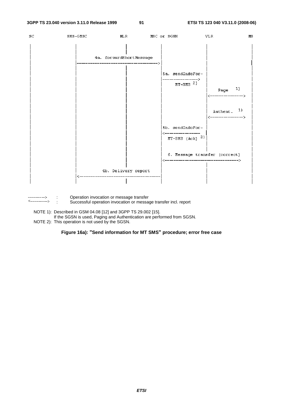

<----------->

: Operation invocation or message transfer Successful operation invocation or message transfer incl. report

NOTE 1): Described in GSM 04.08 [12] and 3GPP TS 29.002 [15].

If the SGSN is used, Paging and Authentication are performed from SGSN.

NOTE 2): This operation is not used by the SGSN.

**Figure 16a): "Send information for MT SMS" procedure; error free case**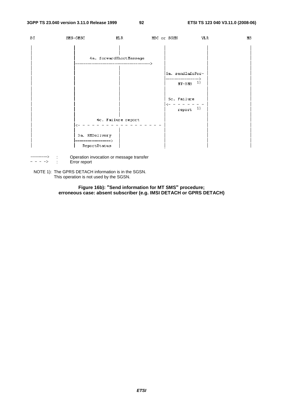

: Error report

NOTE 1): The GPRS DETACH information is in the SGSN. This operation is not used by the SGSN.

> **Figure 16b): "Send information for MT SMS" procedure; erroneous case: absent subscriber (e.g. IMSI DETACH or GPRS DETACH)**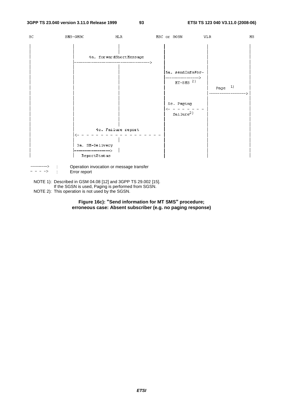

- $\frac{1}{2} \left( \frac{1}{2} \right) = \frac{1}{2} \left( \frac{1}{2} \right)$ : Error report
- NOTE 1): Described in GSM 04.08 [12] and 3GPP TS 29.002 [15]. If the SGSN is used, Paging is performed from SGSN. NOTE 2): This operation is not used by the SGSN.

**Figure 16c): "Send information for MT SMS" procedure; erroneous case: Absent subscriber (e.g. no paging response)**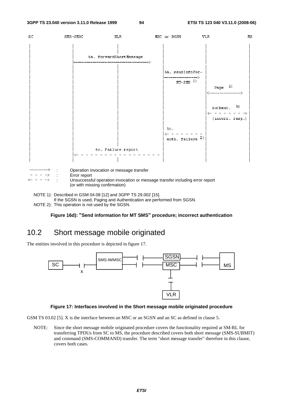

NOTE 1): Described in GSM 04.08 [12] and 3GPP TS 29.002 [15].

If the SGSN is used, Paging and Authentication are performed from SGSN.

NOTE 2): This operation is not used by the SGSN.

#### **Figure 16d): "Send information for MT SMS" procedure; incorrect authentication**

## 10.2 Short message mobile originated

The entities involved in this procedure is depicted in figure 17.



#### **Figure 17: Interfaces involved in the Short message mobile originated procedure**

GSM TS 03.02 [5]. X is the interface between an MSC or an SGSN and an SC as defined in clause 5.

NOTE: Since the short message mobile originated procedure covers the functionality required at SM-RL for transferring TPDUs from SC to MS, the procedure described covers both short message (SMS-SUBMIT) and command (SMS-COMMAND) transfer. The term "short message transfer" therefore in this clause, covers both cases.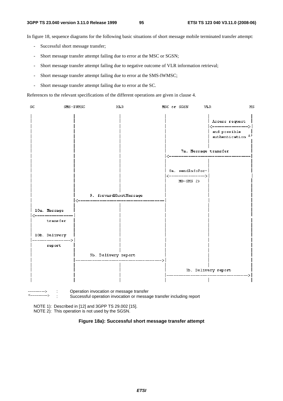In figure 18, sequence diagrams for the following basic situations of short message mobile terminated transfer attempt:

- Successful short message transfer;
- Short message transfer attempt failing due to error at the MSC or SGSN;
- Short message transfer attempt failing due to negative outcome of VLR information retrieval;
- Short message transfer attempt failing due to error at the SMS-IWMSC;
- Short message transfer attempt failing due to error at the SC.

References to the relevant specifications of the different operations are given in clause 4.



NOTE 1): Described in [12] and 3GPP TS 29.002 [15].

NOTE 2): This operation is not used by the SGSN.

#### **Figure 18a): Successful short message transfer attempt**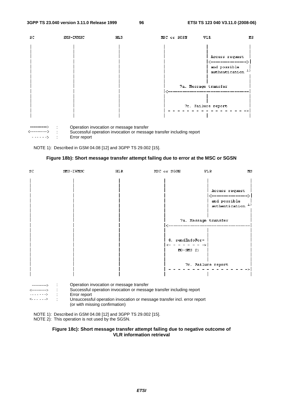

NOTE 1): Described in GSM 04.08 [12] and 3GPP TS 29.002 [15].



| SC.                                                                      | SMS-IWMSC    | <b>HLR</b>                               | MSC or SGSN                                                                                                                                      | <b>VLR</b>           | $_{\rm MS}$                            |
|--------------------------------------------------------------------------|--------------|------------------------------------------|--------------------------------------------------------------------------------------------------------------------------------------------------|----------------------|----------------------------------------|
|                                                                          |              |                                          |                                                                                                                                                  | and possible         | Access request<br>T)<br>authentication |
|                                                                          |              |                                          |                                                                                                                                                  | 7a. Message transfer |                                        |
|                                                                          |              |                                          | 8. sendInfoFor-<br>$MO-SMS$ 2)                                                                                                                   |                      |                                        |
|                                                                          |              |                                          |                                                                                                                                                  | 7c. Failure report   |                                        |
| ------------><br>$\langle \ldots \rangle \rangle \langle \ldots \rangle$ | Error report | Operation invocation or message transfer | Successful operation invocation or message transfer including report<br>Unsuccessful operation invocation or message transfer incl. error report |                      |                                        |

(or with missing confirmation)

NOTE 1): Described in GSM 04.08 [12] and 3GPP TS 29.002 [15]. NOTE 2): This operation is not used by the SGSN.

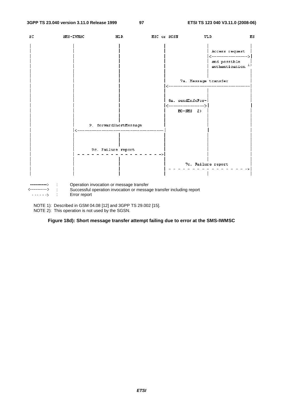

NOTE 1): Described in GSM 04.08 [12] and 3GPP TS 29.002 [15]. NOTE 2): This operation is not used by the SGSN.

**Figure 18d): Short message transfer attempt failing due to error at the SMS-IWMSC**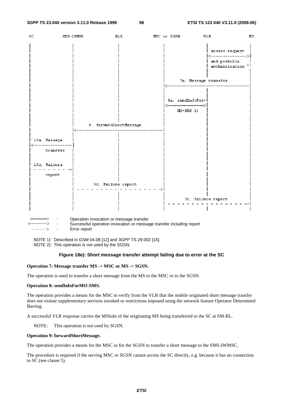

NOTE 1): Described in GSM 04.08 [12] and 3GPP TS 29.002 [15]. NOTE 2): This operation is not used by the SGSN.

#### **Figure 18e): Short message transfer attempt failing due to error at the SC**

#### **Operation 7: Message transfer MS -> MSC or MS -> SGSN.**

The operation is used to transfer a short message from the MS to the MSC or to the SGSN.

#### **Operation 8: sendInfoForMO-SMS.**

The operation provides a means for the MSC to verify from the VLR that the mobile originated short message transfer does not violate supplementary services invoked or restrictions imposed using the network feature Operator Determined Barring.

A successful VLR response carries the MSIsdn of the originating MS being transferred to the SC at SM-RL.

NOTE: This operation is not used by SGSN.

#### **Operation 9: forwardShortMessage.**

The operation provides a means for the MSC or for the SGSN to transfer a short message to the SMS-IWMSC.

The procedure is required if the serving MSC or SGSN cannot access the SC directly, e.g. because it has no connection to SC (see clause 5).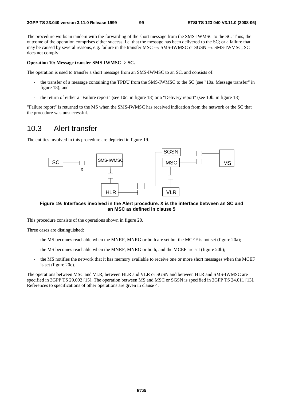The procedure works in tandem with the forwarding of the short message from the SMS-IWMSC to the SC. Thus, the outcome of the operation comprises either success, i.e. that the message has been delivered to the SC; or a failure that may be caused by several reasons, e.g. failure in the transfer MSC --> SMS-IWMSC or SGSN --> SMS-IWMSC, SC does not comply.

#### **Operation 10: Message transfer SMS-IWMSC -> SC.**

The operation is used to transfer a short message from an SMS-IWMSC to an SC, and consists of:

- the transfer of a message containing the TPDU from the SMS-IWMSC to the SC (see "10a. Message transfer" in figure 18); and
- the return of either a "Failure report" (see 10c. in figure 18) or a "Delivery report" (see 10b. in figure 18).

"Failure report" is returned to the MS when the SMS-IWMSC has received indication from the network or the SC that the procedure was unsuccessful.

## 10.3 Alert transfer

The entities involved in this procedure are depicted in figure 19.



**Figure 19: Interfaces involved in the Alert procedure. X is the interface between an SC and an MSC as defined in clause 5** 

This procedure consists of the operations shown in figure 20.

Three cases are distinguished:

- the MS becomes reachable when the MNRF, MNRG or both are set but the MCEF is not set (figure 20a);
- the MS becomes reachable when the MNRF, MNRG or both, and the MCEF are set (figure 20b);
- the MS notifies the network that it has memory available to receive one or more short messages when the MCEF is set (figure 20c).

The operations between MSC and VLR, between HLR and VLR or SGSN and between HLR and SMS-IWMSC are specified in 3GPP TS 29.002 [15]. The operation between MS and MSC or SGSN is specified in 3GPP TS 24.011 [13]. References to specifications of other operations are given in clause 4.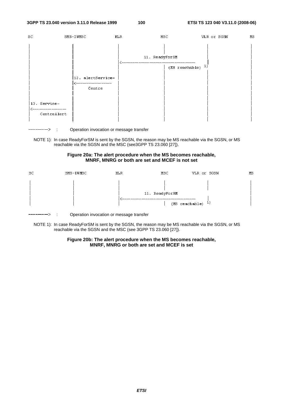

---------> : Operation invocation or message transfer

NOTE 1): In case ReadyForSM is sent by the SGSN, the reason may be MS reachable via the SGSN, or MS reachable via the SGSN and the MSC (see3GPP TS 23.060 [27]).

#### **Figure 20a: The alert procedure when the MS becomes reachable, MNRF, MNRG or both are set and MCEF is not set**

| SC | SMS-IWMSC | HLR. | MSC                                              | VLR or SGSN | ИS |
|----|-----------|------|--------------------------------------------------|-------------|----|
|    |           |      | 11. ReadyForSM<br>$(MS$ reachable) <sup>1)</sup> |             |    |

 $\Rightarrow$  : Operation invocation or message transfer

NOTE 1): In case ReadyForSM is sent by the SGSN, the reason may be MS reachable via the SGSN, or MS reachable via the SGSN and the MSC (see 3GPP TS 23.060 [27]).

#### **Figure 20b: The alert procedure when the MS becomes reachable, MNRF, MNRG or both are set and MCEF is set**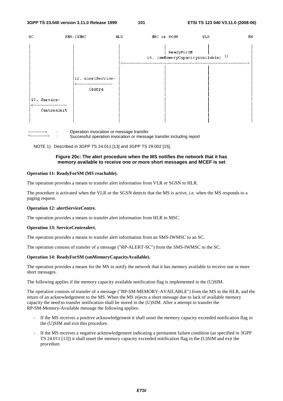



NOTE 1): Described in 3GPP TS 24.011 [13] and 3GPP TS 29.002 [15].

#### **Figure 20c: The alert procedure when the MS notifies the network that it has memory available to receive one or more short messages and MCEF is set**

#### **Operation 11: ReadyForSM (MS reachable).**

The operation provides a means to transfer alert information from VLR or SGSN to HLR.

The procedure is activated when the VLR or the SGSN detects that the MS is active, i.e. when the MS responds to a paging request.

#### **Operation 12: alertServiceCentre.**

The operation provides a means to transfer alert information from HLR to MSC.

#### **Operation 13: ServiceCentrealert.**

The operation provides a means to transfer alert information from an SMS-IWMSC to an SC.

The operation consists of transfer of a message ("RP-ALERT-SC") from the SMS-IWMSC to the SC.

#### **Operation 14: ReadyForSM (smMemoryCapacityAvailable).**

The operation provides a means for the MS to notify the network that it has memory available to receive one or more short messages.

The following applies if the memory capacity available notification flag is implemented in the (U)SIM.

The operation consists of transfer of a message ("RP-SM-MEMORY-AVAILABLE") from the MS to the HLR, and the return of an acknowledgement to the MS. When the MS rejects a short message due to lack of available memory capacity the need to transfer notification shall be stored in the (U)SIM. After a attempt to transfer the RP-SM-Memory-Available message the following applies:

- If the MS receives a positive acknowledgement it shall unset the memory capacity exceeded notification flag in the (U)SIM and exit this procedure.
- If the MS receives a negative acknowledgement indicating a permanent failure condition (as specified in 3GPP TS 24.011 [13]) it shall unset the memory capacity exceeded notification flag in the (U)SIM and exit the procedure.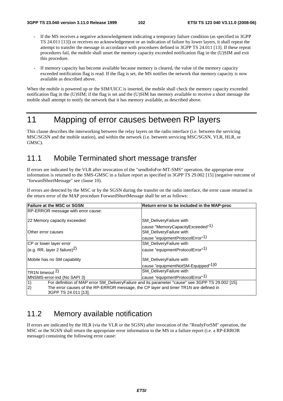- If the MS receives a negative acknowledgement indicating a temporary failure condition (as specified in 3GPP) TS 24.011 [13]) or receives no acknowledgement or an indication of failure by lower layers, it shall repeat the attempt to transfer the message in accordance with procedures defined in 3GPP TS 24.011 [13]. If these repeat procedures fail, the mobile shall unset the memory capacity exceeded notification flag in the (U)SIM and exit this procedure.
- If memory capacity has become available because memory is cleared, the value of the memory capacity exceeded notification flag is read. If the flag is set, the MS notifies the network that memory capacity is now available as described above.

When the mobile is powered up or the SIM/UICC is inserted, the mobile shall check the memory capacity exceeded notification flag in the (U)SIM; if the flag is set and the (U)SIM has memory available to receive a short message the mobile shall attempt to notify the network that it has memory available, as described above.

## 11 Mapping of error causes between RP layers

This clause describes the interworking between the relay layers on the radio interface (i.e. between the servicing MSC/SGSN and the mobile station), and within the network (i.e. between servicing MSC/SGSN, VLR, HLR, or GMSC).

## 11.1 Mobile Terminated short message transfer

If errors are indicated by the VLR after invocation of the "sendInfoFor-MT-SMS" operation, the appropriate error information is returned to the SMS-GMSC in a failure report as specified in 3GPP TS 29.002 [15] (negative outcome of "forwardShortMessage" see clause 10).

If errors are detected by the MSC or by the SGSN during the transfer on the radio interface, the error cause returned in the return error of the MAP procedure ForwardShortMessage shall be set as follows:

| <b>Failure at the MSC or SGSN</b>                                                                       | Return error to be included in the MAP-proc                             |
|---------------------------------------------------------------------------------------------------------|-------------------------------------------------------------------------|
| <b>RP-ERROR message with error cause:</b>                                                               |                                                                         |
| 22 Memory capacity exceeded                                                                             | SM_DeliveryFailure with                                                 |
| IOther error causes                                                                                     | cause "MemoryCapacityExceeded" <sup>1)</sup><br>SM_DeliveryFailure with |
|                                                                                                         | cause "equipmentProtocolError"1)                                        |
| CP or lower layer error                                                                                 | <b>SM</b> Delivery Failure with                                         |
| (e.g. RR, layer 2 failure) $^{2)}$                                                                      | cause "equipmentProtocolError" <sup>1)</sup>                            |
| Mobile has no SM capability                                                                             | SM_DeliveryFailure with                                                 |
|                                                                                                         | cause "equipmentNotSM-Equipped" <sup>1)0</sup>                          |
| TR <sub>1</sub> N timeout <sup>2)</sup>                                                                 | <b>SM</b> Delivery Failure with                                         |
| MNSMS-error-ind (No SAPI 3)                                                                             | cause "equipmentProtocolError" <sup>1)</sup>                            |
| 1)<br>For definition of MAP error SM_DeliveryFailure and its parameter "cause" see 3GPP TS 29.002 [15]. |                                                                         |
| $\overline{2}$<br>The error causes of the RP-ERROR message, the CP layer and timer TR1N are defined in  |                                                                         |
| 3GPP TS 24.011 [13].                                                                                    |                                                                         |

## 11.2 Memory available notification

If errors are indicated by the HLR (via the VLR or the SGSN) after invocation of the "ReadyForSM" operation, the MSC or the SGSN shall return the appropriate error information to the MS in a failure report (i.e. a RP-ERROR message) containing the following error cause: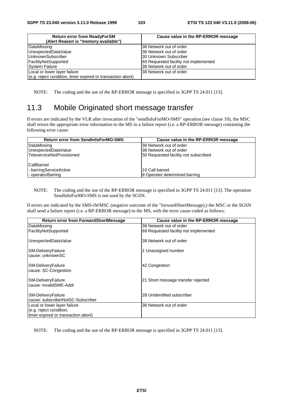| <b>Return error from ReadyForSM</b><br>(Alert Reason is "memory available") | Cause value in the RP-ERROR message   |
|-----------------------------------------------------------------------------|---------------------------------------|
| DataMissing                                                                 | I38 Network out of order              |
| UnexpectedDataValue                                                         | 38 Network out of order               |
| UnknownSubscriber                                                           | 130 Unknown Subscriber                |
| FacilityNotSupported                                                        | 69 Requested facility not implemented |
| <b>System Failure</b>                                                       | 38 Network out of order               |
| Local or lower layer failure                                                | l38 Network out of order              |
| (e.g. reject condition, timer expired or transaction abort)                 |                                       |

NOTE: The coding and the use of the RP-ERROR message is specified in 3GPP TS 24.011 [13].

## 11.3 Mobile Originated short message transfer

If errors are indicated by the VLR after invocation of the "sendInfoForMO-SMS" operation.(see clause 10), the MSC shall return the appropriate error information to the MS in a failure report (i.e. a RP-ERROR message) containing the following error cause:

| <b>Return error from SendInfoForMO-SMS</b> | Cause value in the RP-ERROR message  |
|--------------------------------------------|--------------------------------------|
| DataMissing                                | 38 Network out of order              |
| UnexpectedDataValue                        | 38 Network out of order              |
| lTeleserviceNotProvisioned                 | 50 Requested facility not subscribed |
|                                            |                                      |
| CallBarred                                 |                                      |
| - barringServiceActive                     | 10 Call barred                       |
| - operatorBarring                          | 8 Operator determined barring        |

#### NOTE: The coding and the use of the RP-ERROR message is specified in 3GPP TS 24.011 [13]. The operation SendInfoForMO-SMS is not used by the SGSN.

If errors are indicated by the SMS-IWMSC (negative outcome of the "forwardShortMessage),) the MSC or the SGSN shall send a failure report (i.e. a RP-ERROR message) to the MS, with the error cause coded as follows:

| <b>Return error from ForwardShortMessage</b>            | Cause value in the RP-ERROR message   |
|---------------------------------------------------------|---------------------------------------|
| DataMissing                                             | 38 Network out of order               |
| FacilityNotSupported                                    | 69 Requested facility not implemented |
| UnexpectedDataValue                                     | 38 Network out of order               |
| SM-DeliveryFailure<br>cause: unknownSC                  | 1 Unassigned number                   |
| SM-DeliveryFailure<br>cause: SC-Congestion              | 42 Congestion                         |
| SM-DeliveryFailure<br>cause: invalidSME-Addr            | 21 Short message transfer rejected    |
| SM-DeliveryFailure<br>cause: subscriberNotSC-Subscriber | 28 Unidentified subscriber            |
| Local or lower layer failure                            | 38 Network out of order               |
| (e.g. reject condition,                                 |                                       |
| timer expired or transaction abort)                     |                                       |

NOTE: The coding and the use of the RP-ERROR message is specified in 3GPP TS 24.011 [13].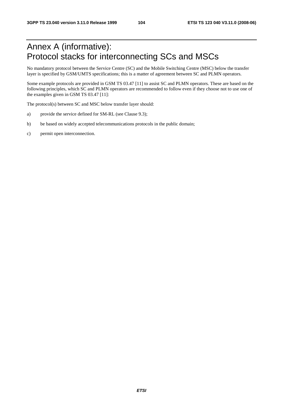# Annex A (informative): Protocol stacks for interconnecting SCs and MSCs

No mandatory protocol between the Service Centre (SC) and the Mobile Switching Centre (MSC) below the transfer layer is specified by GSM/UMTS specifications; this is a matter of agreement between SC and PLMN operators.

Some example protocols are provided in GSM TS 03.47 [11] to assist SC and PLMN operators. These are based on the following principles, which SC and PLMN operators are recommended to follow even if they choose not to use one of the examples given in GSM TS 03.47 [11]:

The protocol(s) between SC and MSC below transfer layer should:

- a) provide the service defined for SM-RL (see Clause 9.3);
- b) be based on widely accepted telecommunications protocols in the public domain;
- c) permit open interconnection.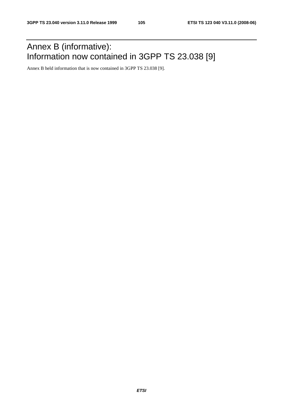# Annex B (informative): Information now contained in 3GPP TS 23.038 [9]

Annex B held information that is now contained in 3GPP TS 23.038 [9].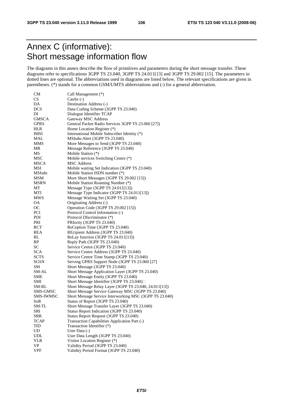# Annex C (informative): Short message information flow

The diagrams in this annex describe the flow of primitives and parameters during the short message transfer. These diagrams refer to specifications 3GPP TS 23.040, 3GPP TS 24.011[13] and 3GPP TS 29.002 [15]. The parameters in dotted lines are optional. The abbreviations used in diagrams are listed below. The relevant specifications are given in parentheses. (\*) stands for a common GSM/UMTS abbreviations and (-) for a general abbreviation.

| <b>CM</b>   | Call Management (*)                                     |
|-------------|---------------------------------------------------------|
| <b>CS</b>   | CauSe $(-)$                                             |
| DA          | Destination Address (-)                                 |
| DCS         | Data Coding Scheme (3GPP TS 23.040)                     |
| DI          | Dialogue Identifier TCAP                                |
| GMSCA       | Gateway MSC Address                                     |
| <b>GPRS</b> | General Packet Radio Services 3GPP TS 23.060 [27])      |
| <b>HLR</b>  | Home Location Register (*)                              |
| IMSI        | International Mobile Subscriber Identity (*)            |
| MAL         | MSIsdn-Alert (3GPP TS 23.040)                           |
| <b>MMS</b>  | More Messages to Send (3GPP TS 23.040)                  |
| MR          | Message Reference (3GPP TS 23.040)                      |
| MS          | Mobile Station (*)                                      |
| <b>MSC</b>  | Mobile services Switching Centre (*)                    |
| MSCA        | <b>MSC</b> Address                                      |
| MSI         | Mobile waiting Set Indication (3GPP TS 23.040)          |
| MSIsdn      | Mobile Station ISDN number (*)                          |
| MSM         | More Short Messages (3GPP TS 29.002 [15])               |
|             | Mobile Station Roaming Number (*)                       |
| <b>MSRN</b> | Message Type (3GPP TS 24.011[13])                       |
| МT          |                                                         |
| MTI         | Message Type Indicator (3GPP TS 24.011[13])             |
| MWS         | Message Waiting Set (3GPP TS 23.040)                    |
| ОA          | Originating Address (-)                                 |
| OС          | Operation Code (3GPP TS 29.002 [15])                    |
| <b>PCI</b>  | Protocol Control Information (-)                        |
| PDI         | Protocol DIscriminator (*)                              |
| PRI         | PRIority (3GPP TS 23.040)                               |
| <b>RCT</b>  | ReCeption Time (3GPP TS 23.040)                         |
| REA         | REcipient Address (3GPP TS 23.040)                      |
| RL          | ReLay function (3GPP TS 24.011[13])                     |
| RP          | Reply Path (3GPP TS 23.040)                             |
| SC          | Service Centre (3GPP TS 23.040)                         |
| SCA         | Service Centre Address (3GPP TS 23.040)                 |
| SCTS        | Service Centre Time Stamp (3GPP TS 23.040)              |
| SGSN        | Serving GPRS Support Node (3GPP TS 23.060 [27]          |
| SΜ          | Short Message (3GPP TS 23.040)                          |
| SM-AL       | Short Message Application Layer (3GPP TS 23.040)        |
| SME         | Short Message Entity (3GPP TS 23.040)                   |
| SMI         | Short Message Identifier (3GPP TS 23.040)□              |
| SM-RL       | Short Message Relay Layer (3GPP TS 23.040, 24.011[13])  |
| SMS-GMSC    | Short Message Service Gateway MSC (3GPP TS 23.040)      |
| SMS-IWMSC   | Short Message Service Interworking MSC (3GPP TS 23.040) |
| SoR         | Status of Report (3GPP TS 23.040)                       |
| SM-TL       | Short Message Transfer Layer (3GPP TS 23.040)           |
| SRI         | Status Report Indication (3GPP TS 23.040)               |
| <b>SRR</b>  | Status Report Request (3GPP TS 23.040)                  |
| <b>TCAP</b> | Transaction Capabilities Application Part (-)           |
| TID         | Transaction Identifier (*)                              |
| UD          | User Data $(-)$                                         |
| <b>UDL</b>  | User Data Length (3GPP TS 23.040)                       |
| <b>VLR</b>  | Visitor Location Register (*)                           |
| VP          | Validity Period (3GPP TS 23.040)                        |
| <b>VPF</b>  | Validity Period Format (3GPP TS 23.040)                 |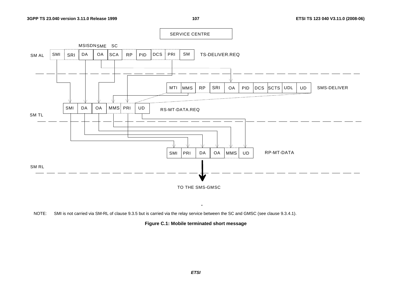SERVICE CENTRE MSISDNSME SC TS-DELIVER.REQSM ALD | DCS | PRI | SM SMI | SRI | DA | OA A |SCA | RP | PID PRI RP MTI MMSRP SRI OA | PID DCS SCTS UDL | UD SMS-DELIVER NZ. SMI DA OA MMS PRI UD RS-MT-DATA.REQ SM TL NZ



NOTE: SMI is not carried via SM-RL of clause 9.3.5 but is carried via the relay service between the SC and GMSC (see clause 9.3.4.1).

**Figure C.1: Mobile terminated short message** 

.

*ETSI*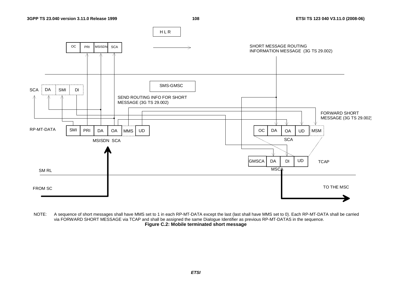

NOTE: A sequence of short messages shall have MMS set to 1 in each RP-MT-DATA except the last (last shall have MMS set to 0). Each RP-MT-DATA shall be carried via FORWARD SHORT MESSAGE via TCAP and shall be assigned the same Dialogue Identifier as previous RP-MT-DATAS in the sequence. **Figure C.2: Mobile terminated short message**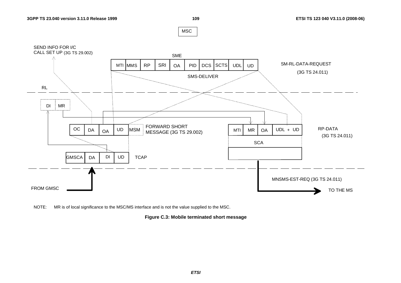MSC



NOTE: MR is of local significance to the MSC/MS interface and is not the value supplied to the MSC.

**Figure C.3: Mobile terminated short message**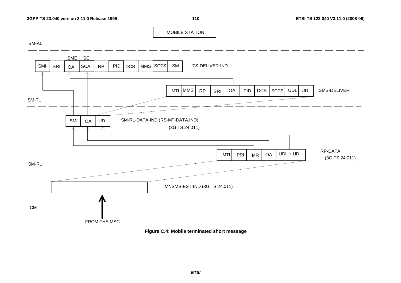

SM-AL



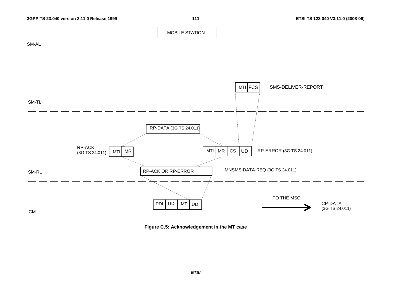



**Figure C.5: Acknowledgement in the MT case**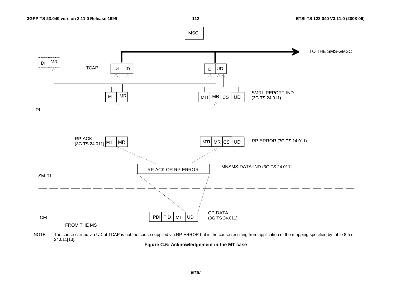

NOTE: The cause carried via UD of TCAP is not the cause supplied via RP-ERROR but is the cause resulting from application of the mapping specified by table 8.5 of 24.011[13].

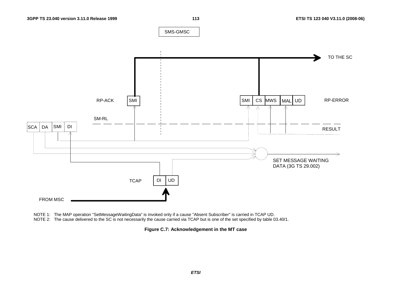

NOTE 1: The MAP operation "SetMessageWaitingData" is invoked only if a cause "Absent Subscriber" is carried in TCAP UD.

NOTE 2: The cause delivered to the SC is not necessarily the cause carried via TCAP but is one of the set specified by table 03.40/1.

**Figure C.7: Acknowledgement in the MT case**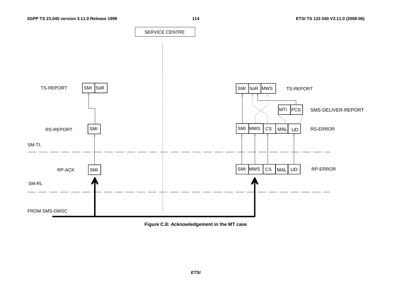

**Figure C.8: Acknowledgement in the MT case**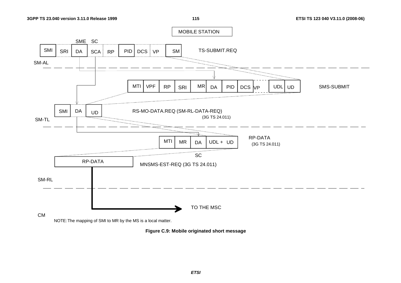

**Figure C.9: Mobile originated short message**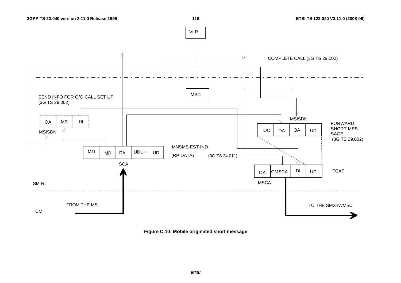

**Figure C.10: Mobile originated short message**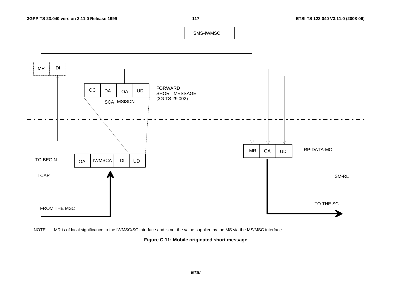$\pm$ 

SMS-IWMSC





**Figure C.11: Mobile originated short message**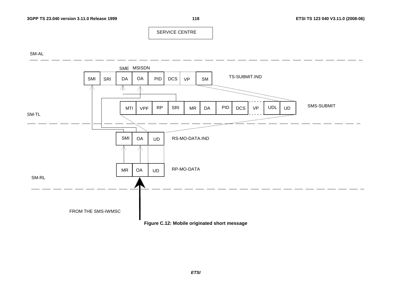SERVICE CENTRE

SM-AL



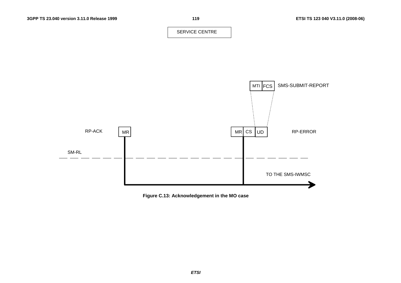SERVICE CENTRE



**Figure C.13: Acknowledgement in the MO case**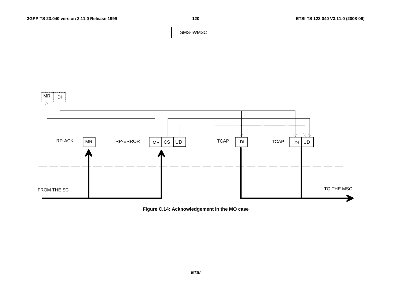SMS-IWMSC



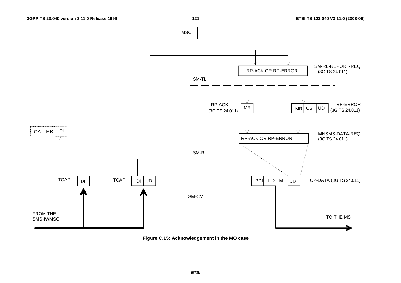**121 ETSI TS 123 040 V3.11.0 (2008-06)**





**Figure C.15: Acknowledgement in the MO case**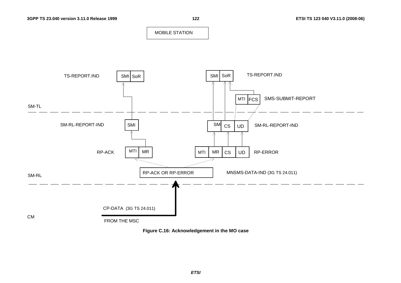

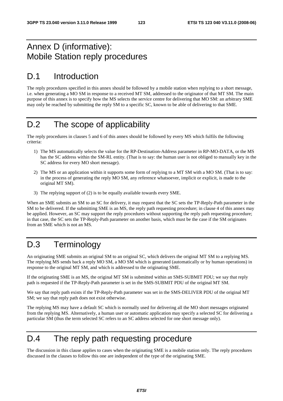#### Annex D (informative): Mobile Station reply procedures

## D.1 Introduction

The reply procedures specified in this annex should be followed by a mobile station when replying to a short message, i.e. when generating a MO SM in response to a received MT SM, addressed to the originator of that MT SM. The main purpose of this annex is to specify how the MS selects the service centre for delivering that MO SM: an arbitrary SME may only be reached by submitting the reply SM to a specific SC, known to be able of delivering to that SME.

## D.2 The scope of applicability

The reply procedures in clauses 5 and 6 of this annex should be followed by every MS which fulfils the following criteria:

- 1) The MS automatically selects the value for the RP-Destination-Address parameter in RP-MO-DATA, or the MS has the SC address within the SM-RL entity. (That is to say: the human user is not obliged to manually key in the SC address for every MO short message).
- 2) The MS or an application within it supports some form of replying to a MT SM with a MO SM. (That is to say: in the process of generating the reply MO SM, any reference whatsoever, implicit or explicit, is made to the original MT SM).
- 3) The replying support of (2) is to be equally available towards every SME.

When an SME submits an SM to an SC for delivery, it may request that the SC sets the TP-Reply-Path parameter in the SM to be delivered. If the submitting SME is an MS, the reply path requesting procedure; in clause 4 of this annex may be applied. However, an SC may support the reply procedures without supporting the reply path requesting procedure; in that case, the SC sets the TP-Reply-Path parameter on another basis, which must be the case if the SM originates from an SME which is not an MS.

# D.3 Terminology

An originating SME submits an original SM to an original SC, which delivers the original MT SM to a replying MS. The replying MS sends back a reply MO SM, a MO SM which is generated (automatically or by human operations) in response to the original MT SM, and which is addressed to the originating SME.

If the originating SME is an MS, the original MT SM is submitted within an SMS-SUBMIT PDU; we say that reply path is requested if the TP-Reply-Path parameter is set in the SMS-SUBMIT PDU of the original MT SM.

We say that reply path exists if the TP-Reply-Path parameter was set in the SMS-DELIVER PDU of the original MT SM; we say that reply path does not exist otherwise.

The replying MS may have a default SC which is normally used for delivering all the MO short messages originated from the replying MS. Alternatively, a human user or automatic application may specify a selected SC for delivering a particular SM (thus the term selected SC refers to an SC address selected for one short message only).

#### D.4 The reply path requesting procedure

The discussion in this clause applies to cases when the originating SME is a mobile station only. The reply procedures discussed in the clauses to follow this one are independent of the type of the originating SME.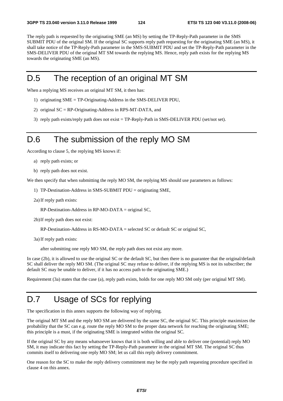The reply path is requested by the originating SME (an MS) by setting the TP-Reply-Path parameter in the SMS SUBMIT PDU of the original SM. If the original SC supports reply path requesting for the originating SME (an MS), it shall take notice of the TP-Reply-Path parameter in the SMS-SUBMIT PDU and set the TP-Reply-Path parameter in the SMS-DELIVER PDU of the original MT SM towards the replying MS. Hence, reply path exists for the replying MS towards the originating SME (an MS).

#### D.5 The reception of an original MT SM

When a replying MS receives an original MT SM, it then has:

- 1) originating SME = TP-Originating-Address in the SMS-DELIVER PDU,
- 2) original SC = RP-Originating-Address in RPS-MT-DATA, and
- 3) reply path exists/reply path does not exist = TP-Reply-Path in SMS-DELIVER PDU (set/not set).

#### D.6 The submission of the reply MO SM

According to clause 5, the replying MS knows if:

- a) reply path exists; or
- b) reply path does not exist.

We then specify that when submitting the reply MO SM, the replying MS should use parameters as follows:

1) TP-Destination-Address in SMS-SUBMIT PDU = originating SME,

2a) If reply path exists:

RP-Destination-Address in RP-MO-DATA = original SC,

2b) If reply path does not exist:

RP-Destination-Address in RS-MO-DATA = selected SC or default SC or original SC,

3a) If reply path exists:

after submitting one reply MO SM, the reply path does not exist any more.

In case (2b), it is allowed to use the original SC or the default SC, but then there is no guarantee that the original/default SC shall deliver the reply MO SM. (The original SC may refuse to deliver, if the replying MS is not its subscriber; the default SC may be unable to deliver, if it has no access path to the originating SME.)

Requirement (3a) states that the case (a), reply path exists, holds for one reply MO SM only (per original MT SM).

## D.7 Usage of SCs for replying

The specification in this annex supports the following way of replying.

The original MT SM and the reply MO SM are delivered by the same SC, the original SC. This principle maximizes the probability that the SC can e.g. route the reply MO SM to the proper data network for reaching the originating SME; this principle is a must, if the originating SME is integrated within the original SC.

If the original SC by any means whatsoever knows that it is both willing and able to deliver one (potential) reply MO SM, it may indicate this fact by setting the TP-Reply-Path parameter in the original MT SM. The original SC thus commits itself to delivering one reply MO SM; let us call this reply delivery commitment.

One reason for the SC to make the reply delivery commitment may be the reply path requesting procedure specified in clause 4 on this annex.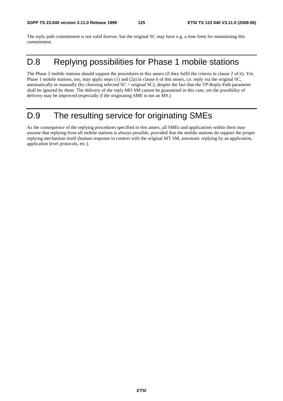The reply path commitment is not valid forever, but the original SC may have e.g. a time limit for maintaining this commitment.

# D.8 Replying possibilities for Phase 1 mobile stations

The Phase 2 mobile stations should support the procedures in this annex (if they fulfil the criteria in clause 2 of it). Yet, Phase 1 mobile stations, too, may apply steps (1) and (2a) in clause 6 of this annex, i.e. reply via the original SC, automatically or manually (by choosing selected SC = original SC), despite the fact that the TP-Reply-Path parameter shall be ignored by them. The delivery of the reply MO SM cannot be guarantied in this case, yet the possibility of delivery may be improved (especially if the originating SME is not an MS.)

## D.9 The resulting service for originating SMEs

As the consequence of the replying procedures specified in this annex, all SMEs and applications within them may assume that replying from all mobile stations is always possible, provided that the mobile stations do support the proper replying mechanism itself (human response in context with the original MT SM, automatic replying by an application, application level protocols, etc.).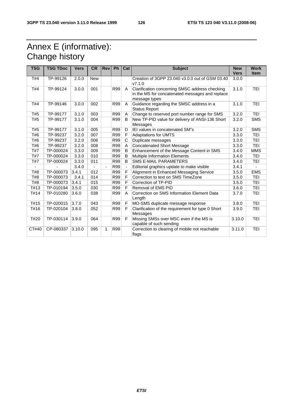# Annex E (informative): Change history

| <b>TSG</b> | <b>TSG TDoc</b> | <b>Vers</b> | <b>CR</b>  | <b>Rev</b> | Ph         | Cat         | <b>Subject</b>                                                                                                     | <b>New</b><br><b>Vers</b> | <b>Work</b><br><b>Item</b> |
|------------|-----------------|-------------|------------|------------|------------|-------------|--------------------------------------------------------------------------------------------------------------------|---------------------------|----------------------------|
| T#4        | TP-99126        | 2.0.0       | <b>New</b> |            |            |             | Creation of 3GPP 23.040 v3.0.0 out of GSM 03.40<br>V7.1.0                                                          | 3.0.0                     |                            |
| T#4        | TP-99124        | 3.0.0       | 001        |            | R99        | A           | Clarification concerning SMSC address checking<br>in the MS for concatenated messages and replace<br>message types | 3.1.0                     | <b>TEI</b>                 |
| T#4        | TP-99146        | 3.0.0       | 002        |            | R99        | A           | Guidance regarding the SMSC address in a<br><b>Status Report</b>                                                   | 3.1.0                     | <b>TEI</b>                 |
| T#5        | TP-99177        | 3.1.0       | 003        |            | R99        | A           | Change to reserved port number range for SMS                                                                       | 3.2.0                     | <b>TEI</b>                 |
| T#5        | TP-99177        | 3.1.0       | 004        |            | R99        | B           | New TP-PID value for delivery of ANSI-136 Short<br>Messages                                                        | 3.2.0                     | <b>SMS</b>                 |
| T#5        | TP-99177        | 3.1.0       | 005        |            | R99        | D           | IEI values in concatenated SM"s                                                                                    | 3.2.0                     | <b>SMS</b>                 |
| T#6        | TP-99237        | 3.2.0       | 007        |            | R99        |             | <b>Adaptations for UMTS</b>                                                                                        | 3.3.0                     | <b>TEI</b>                 |
| T#6        | TP-99237        | 3.2.0       | 006        |            | R99        | C           | Duplicate messages                                                                                                 | 3.3.0                     | <b>TEI</b>                 |
| T#6        | TP-99237        | 3.2.0       | 008        |            | R99        | A           | <b>Concatenated Short Message</b>                                                                                  | 3.3.0                     | <b>TEI</b>                 |
| T#7        | TP-000024       | 3.3.0       | 009        |            | R99        | B           | Enhancement of the Message Content in SMS                                                                          | 3.4.0                     | <b>MMS</b>                 |
| T#7        | TP-000024       | 3.3.0       | 010        |            | R99        | B           | Multiple Information Elements                                                                                      | 3.4.0                     | <b>TEI</b>                 |
| T#7        | TP-000024       | 3.3.0       | 011        |            | R99        | B           | <b>SMS E-MAIL PARAMETERS</b>                                                                                       | 3.4.0                     | <b>TEI</b>                 |
|            |                 | 3.4.0       |            |            | <b>R99</b> |             | Editorial graphics update to make visible                                                                          | 3.4.1                     |                            |
| T#8        | TP-000073       | 3.4.1       | 012        |            | R99        |             | Alignment in Enhanced Messaging Service                                                                            | 3.5.0                     | <b>EMS</b>                 |
| T#8        | TP-000073       | 3.4.1       | 014        |            | R99        | F           | Correction to text on SMS TimeZone                                                                                 | 3.5.0                     | <b>TEI</b>                 |
| T#8        | TP-000073       | 3.4.1       | 015        |            | R99        | F           | Correction of TP-PID                                                                                               | 3.5.0                     | <b>TEI</b>                 |
| T#13       | TP-010194       | 3.5.0       | 030        |            | R99        | F           | Removal of EMS PID                                                                                                 | 3.6.0                     | <b>TEI</b>                 |
| T#14       | TP-010280       | 3.6.0       | 038        |            | R99        | A           | Correction on SMS Information Element Data<br>Length                                                               | 3.7.0                     | <b>TEI</b>                 |
| T#15       | TP-020015       | 3.7.0       | 043        |            | R99        | F           | MO-SMS duplicate message response                                                                                  | 3.8.0                     | <b>TEI</b>                 |
| T#16       | TP-020104       | 3.8.0       | 052        |            | R99        | $\mathsf F$ | Clarification of the requirement for type 0 Short<br>Messages                                                      | 3.9.0                     | <b>TEI</b>                 |
| T#20       | TP-030114       | 3.9.0       | 064        |            | R99        | F           | Missing SMSs over MSC even if the MS is<br>capable of such sending                                                 | 3.10.0                    | <b>TEI</b>                 |
| CT#40      | CP-080337       | 3.10.0      | 095        | 1          | R99        |             | Correction to clearing of mobile not reachable<br>flags                                                            | 3.11.0                    | <b>TEI</b>                 |